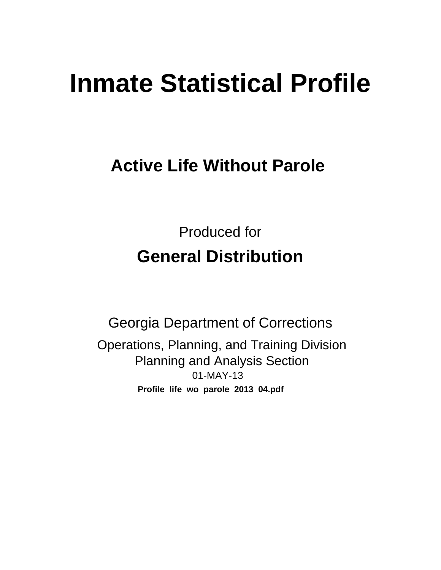# **Inmate Statistical Profile**

# **Active Life Without Parole**

**Produced for General Distribution** 

**Georgia Department of Corrections** Operations, Planning, and Training Division **Planning and Analysis Section** 01-MAY-13 Profile\_life\_wo\_parole\_2013\_04.pdf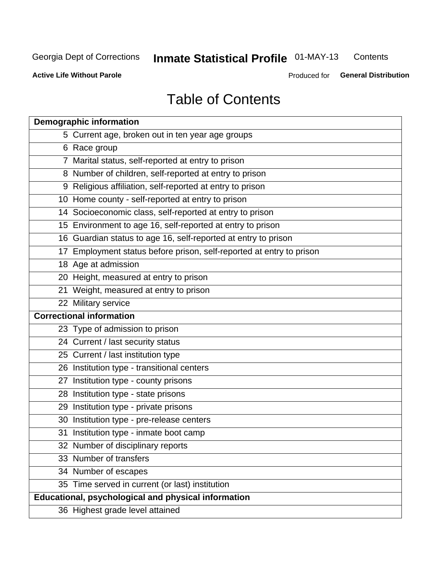#### **Inmate Statistical Profile 01-MAY-13** Contents

**Active Life Without Parole** 

Produced for General Distribution

# **Table of Contents**

| <b>Demographic information</b>                                       |
|----------------------------------------------------------------------|
| 5 Current age, broken out in ten year age groups                     |
| 6 Race group                                                         |
| 7 Marital status, self-reported at entry to prison                   |
| 8 Number of children, self-reported at entry to prison               |
| 9 Religious affiliation, self-reported at entry to prison            |
| 10 Home county - self-reported at entry to prison                    |
| 14 Socioeconomic class, self-reported at entry to prison             |
| 15 Environment to age 16, self-reported at entry to prison           |
| 16 Guardian status to age 16, self-reported at entry to prison       |
| 17 Employment status before prison, self-reported at entry to prison |
| 18 Age at admission                                                  |
| 20 Height, measured at entry to prison                               |
| 21 Weight, measured at entry to prison                               |
| 22 Military service                                                  |
| <b>Correctional information</b>                                      |
| 23 Type of admission to prison                                       |
| 24 Current / last security status                                    |
| 25 Current / last institution type                                   |
| 26 Institution type - transitional centers                           |
| 27 Institution type - county prisons                                 |
| 28 Institution type - state prisons                                  |
| 29 Institution type - private prisons                                |
| 30 Institution type - pre-release centers                            |
| 31 Institution type - inmate boot camp                               |
| 32 Number of disciplinary reports                                    |
| 33 Number of transfers                                               |
| 34 Number of escapes                                                 |
| 35 Time served in current (or last) institution                      |
| Educational, psychological and physical information                  |
| 36 Highest grade level attained                                      |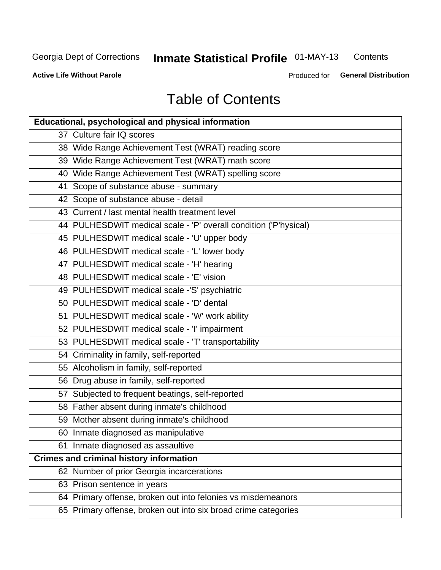#### **Inmate Statistical Profile 01-MAY-13** Contents

**Active Life Without Parole** 

Produced for General Distribution

# **Table of Contents**

| <b>Educational, psychological and physical information</b>       |
|------------------------------------------------------------------|
| 37 Culture fair IQ scores                                        |
| 38 Wide Range Achievement Test (WRAT) reading score              |
| 39 Wide Range Achievement Test (WRAT) math score                 |
| 40 Wide Range Achievement Test (WRAT) spelling score             |
| 41 Scope of substance abuse - summary                            |
| 42 Scope of substance abuse - detail                             |
| 43 Current / last mental health treatment level                  |
| 44 PULHESDWIT medical scale - 'P' overall condition ('P'hysical) |
| 45 PULHESDWIT medical scale - 'U' upper body                     |
| 46 PULHESDWIT medical scale - 'L' lower body                     |
| 47 PULHESDWIT medical scale - 'H' hearing                        |
| 48 PULHESDWIT medical scale - 'E' vision                         |
| 49 PULHESDWIT medical scale -'S' psychiatric                     |
| 50 PULHESDWIT medical scale - 'D' dental                         |
| 51 PULHESDWIT medical scale - 'W' work ability                   |
| 52 PULHESDWIT medical scale - 'I' impairment                     |
| 53 PULHESDWIT medical scale - 'T' transportability               |
| 54 Criminality in family, self-reported                          |
| 55 Alcoholism in family, self-reported                           |
| 56 Drug abuse in family, self-reported                           |
| 57 Subjected to frequent beatings, self-reported                 |
| 58 Father absent during inmate's childhood                       |
| 59 Mother absent during inmate's childhood                       |
| 60 Inmate diagnosed as manipulative                              |
| 61 Inmate diagnosed as assaultive                                |
| <b>Crimes and criminal history information</b>                   |
| 62 Number of prior Georgia incarcerations                        |
| 63 Prison sentence in years                                      |
| 64 Primary offense, broken out into felonies vs misdemeanors     |
| 65 Primary offense, broken out into six broad crime categories   |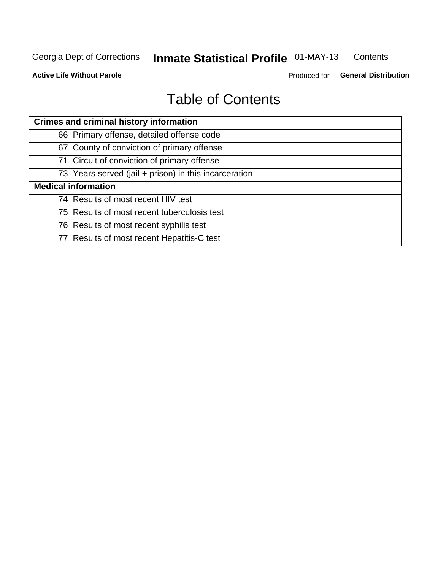#### **Inmate Statistical Profile 01-MAY-13** Contents

**Active Life Without Parole** 

Produced for General Distribution

# **Table of Contents**

| <b>Crimes and criminal history information</b>        |
|-------------------------------------------------------|
| 66 Primary offense, detailed offense code             |
| 67 County of conviction of primary offense            |
| 71 Circuit of conviction of primary offense           |
| 73 Years served (jail + prison) in this incarceration |
| <b>Medical information</b>                            |
| 74 Results of most recent HIV test                    |
| 75 Results of most recent tuberculosis test           |
| 76 Results of most recent syphilis test               |
| 77 Results of most recent Hepatitis-C test            |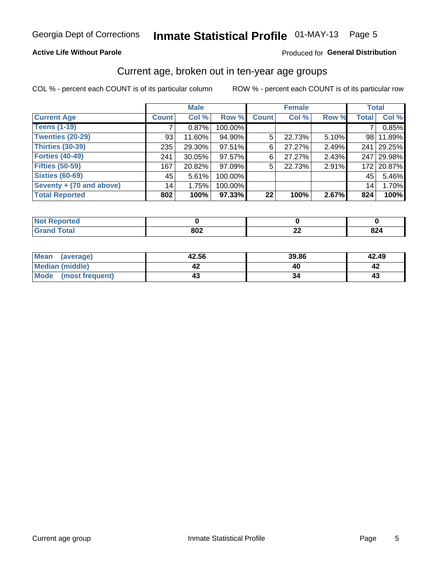# Inmate Statistical Profile 01-MAY-13 Page 5

### **Active Life Without Parole**

### Produced for General Distribution

### Current age, broken out in ten-year age groups

COL % - percent each COUNT is of its particular column

|                          |              | <b>Male</b> |         |              | <b>Female</b> |       | <b>Total</b>    |                |
|--------------------------|--------------|-------------|---------|--------------|---------------|-------|-----------------|----------------|
| <b>Current Age</b>       | <b>Count</b> | Col %       | Row %   | <b>Count</b> | Col %         | Row % | <b>Total</b>    | Col %          |
| <b>Teens (1-19)</b>      |              | 0.87%       | 100.00% |              |               |       | 7               | 0.85%          |
| <b>Twenties (20-29)</b>  | 93           | 11.60%      | 94.90%  | 5            | 22.73%        | 5.10% | 98 l            | 11.89%         |
| Thirties (30-39)         | 235          | 29.30%      | 97.51%  | 6            | 27.27%        | 2.49% | 241             | 29.25%         |
| <b>Forties (40-49)</b>   | 241          | $30.05\%$   | 97.57%  | 6            | 27.27%        | 2.43% | 247             | $\vert$ 29.98% |
| <b>Fifties (50-59)</b>   | 167          | 20.82%      | 97.09%  | 5            | 22.73%        | 2.91% | 172             | 20.87%         |
| <b>Sixties (60-69)</b>   | 45           | 5.61%       | 100.00% |              |               |       | 45              | 5.46%          |
| Seventy + (70 and above) | 14           | 1.75%       | 100.00% |              |               |       | 14 <sub>1</sub> | 1.70%          |
| <b>Total Reported</b>    | 802          | 100%        | 97.33%  | 22           | 100%          | 2.67% | 824             | 100%           |

| _____ | 802 | $\sim$<br><u>__</u> | 00.<br><b>U44</b> |
|-------|-----|---------------------|-------------------|

| <b>Mean</b><br>(average) | 42.56 | 39.86 | 42.49 |  |
|--------------------------|-------|-------|-------|--|
| Median (middle)          |       |       |       |  |
| Mode<br>(most frequent)  |       |       | 4.    |  |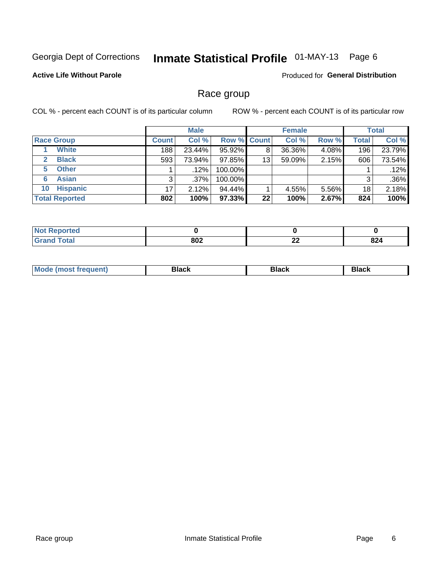#### Inmate Statistical Profile 01-MAY-13 Page 6

### **Active Life Without Parole**

Produced for General Distribution

### Race group

COL % - percent each COUNT is of its particular column

|                              |              | <b>Male</b> |                    |    | <b>Female</b> |       |              | <b>Total</b> |
|------------------------------|--------------|-------------|--------------------|----|---------------|-------|--------------|--------------|
| <b>Race Group</b>            | <b>Count</b> | Col %       | <b>Row % Count</b> |    | Col %         | Row % | <b>Total</b> | Col %        |
| <b>White</b>                 | 188          | 23.44%      | 95.92%             | 8  | 36.36%        | 4.08% | 196          | 23.79%       |
| <b>Black</b><br>$\mathbf{2}$ | 593          | 73.94%      | 97.85%             | 13 | 59.09%        | 2.15% | 606          | 73.54%       |
| <b>Other</b><br>5.           |              | $.12\%$     | 100.00%            |    |               |       |              | .12%         |
| <b>Asian</b><br>6            | 3            | $.37\%$     | 100.00%            |    |               |       | 3            | .36%         |
| <b>Hispanic</b><br>10        | 17           | 2.12%       | 94.44%             |    | 4.55%         | 5.56% | 18           | 2.18%        |
| <b>Total Reported</b>        | 802          | 100%        | 97.33%             | 22 | 100%          | 2.67% | 824          | 100%         |

| .<br>rreo<br>N       |     |          |            |
|----------------------|-----|----------|------------|
| $C = 4 - 7$<br>_____ | 802 | ^^<br>-- | oo.<br>824 |

| M | --- | $-1$ |
|---|-----|------|
|   |     |      |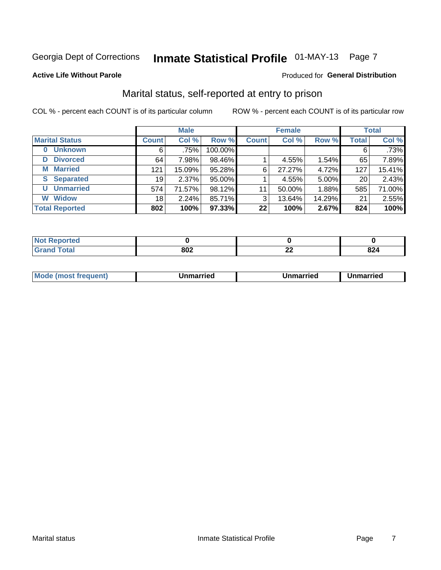# Inmate Statistical Profile 01-MAY-13 Page 7

#### **Active Life Without Parole**

#### Produced for General Distribution

# Marital status, self-reported at entry to prison

COL % - percent each COUNT is of its particular column

|                            | <b>Male</b>     |        |         | <b>Female</b> |        |          | <b>Total</b> |         |
|----------------------------|-----------------|--------|---------|---------------|--------|----------|--------------|---------|
| <b>Marital Status</b>      | <b>Count</b>    | Col %  | Row %   | <b>Count</b>  | Col %  | Row %    | <b>Total</b> | Col %   |
| <b>Unknown</b><br>$\bf{0}$ | 6               | .75%   | 100.00% |               |        |          | 6            | $.73\%$ |
| <b>Divorced</b><br>D       | 64              | 7.98%  | 98.46%  |               | 4.55%  | $1.54\%$ | 65           | 7.89%   |
| <b>Married</b><br>М        | 121             | 15.09% | 95.28%  | 6             | 27.27% | 4.72%    | 127          | 15.41%  |
| <b>Separated</b><br>S      | 19 <sub>1</sub> | 2.37%  | 95.00%  |               | 4.55%  | 5.00%    | 20           | 2.43%   |
| <b>Unmarried</b><br>U      | 574             | 71.57% | 98.12%  | 11            | 50.00% | 1.88%    | 585          | 71.00%  |
| <b>Widow</b><br>W          | 18              | 2.24%  | 85.71%  | 3             | 13.64% | 14.29%   | 21           | 2.55%   |
| <b>Total Reported</b>      | 802             | 100%   | 97.33%  | 22            | 100%   | 2.67%    | 824          | 100%    |

| <b>Not Reported</b><br><b>THUS STATE</b> |            |          |     |
|------------------------------------------|------------|----------|-----|
| <b>Total</b>                             | one.<br>שכ | ^^<br>-- | 824 |

|  | M | . | Unmarried | າmarried<br>_____ |
|--|---|---|-----------|-------------------|
|--|---|---|-----------|-------------------|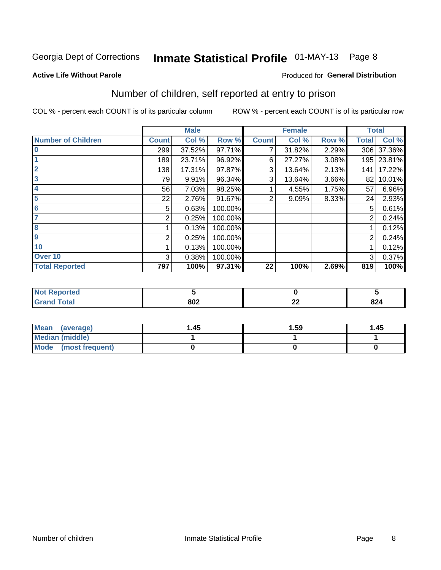# Inmate Statistical Profile 01-MAY-13 Page 8

#### **Active Life Without Parole**

### **Produced for General Distribution**

# Number of children, self reported at entry to prison

COL % - percent each COUNT is of its particular column

|                           |              | <b>Male</b> |         |              | <b>Female</b> |       | <b>Total</b> |            |
|---------------------------|--------------|-------------|---------|--------------|---------------|-------|--------------|------------|
| <b>Number of Children</b> | <b>Count</b> | Col %       | Row %   | <b>Count</b> | Col %         | Row % | <b>Total</b> | Col %      |
| $\bf{0}$                  | 299          | 37.52%      | 97.71%  | 7            | 31.82%        | 2.29% | 306          | 37.36%     |
|                           | 189          | 23.71%      | 96.92%  | 6            | 27.27%        | 3.08% |              | 195 23.81% |
| $\overline{2}$            | 138          | 17.31%      | 97.87%  | 3            | 13.64%        | 2.13% | 141          | 17.22%     |
| 3                         | 79           | 9.91%       | 96.34%  | 3            | 13.64%        | 3.66% | 82           | 10.01%     |
| 4                         | 56           | 7.03%       | 98.25%  |              | 4.55%         | 1.75% | 57           | 6.96%      |
| 5                         | 22           | 2.76%       | 91.67%  | 2            | 9.09%         | 8.33% | 24           | 2.93%      |
| 6                         | 5            | 0.63%       | 100.00% |              |               |       | 5            | 0.61%      |
| 7                         | 2            | 0.25%       | 100.00% |              |               |       | 2            | 0.24%      |
| 8                         |              | 0.13%       | 100.00% |              |               |       |              | 0.12%      |
| $\boldsymbol{9}$          | 2            | 0.25%       | 100.00% |              |               |       | 2            | 0.24%      |
| 10                        |              | 0.13%       | 100.00% |              |               |       |              | 0.12%      |
| Over 10                   | 3            | 0.38%       | 100.00% |              |               |       | 3            | 0.37%      |
| <b>Total Reported</b>     | 797          | 100%        | 97.31%  | 22           | 100%          | 2.69% | 819          | 100%       |

| meo<br>N                  |            |              |                   |
|---------------------------|------------|--------------|-------------------|
| المقماد<br>υιαι<br>$\sim$ | 000<br>JUZ | $\sim$<br>LL | <b>004</b><br>824 |

| <b>Mean</b><br>(average) | 1.45 | 1.59 | 1.45 |
|--------------------------|------|------|------|
| <b>Median (middle)</b>   |      |      |      |
| Mode (most frequent)     |      |      |      |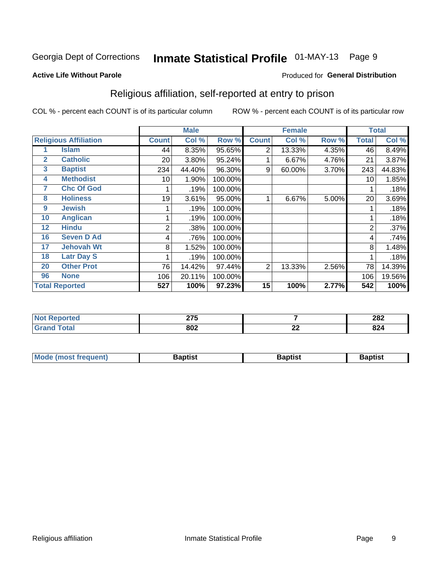# Inmate Statistical Profile 01-MAY-13 Page 9

#### **Active Life Without Parole**

#### Produced for General Distribution

# Religious affiliation, self-reported at entry to prison

COL % - percent each COUNT is of its particular column

|              | <b>Male</b><br><b>Female</b> |                 |        | <b>Total</b> |                |        |       |              |        |
|--------------|------------------------------|-----------------|--------|--------------|----------------|--------|-------|--------------|--------|
|              | <b>Religious Affiliation</b> | <b>Count</b>    | Col %  | Row %        | <b>Count</b>   | Col %  | Row % | <b>Total</b> | Col %  |
|              | <b>Islam</b>                 | 44              | 8.35%  | 95.65%       | 2              | 13.33% | 4.35% | 46           | 8.49%  |
| $\mathbf{2}$ | <b>Catholic</b>              | 20              | 3.80%  | 95.24%       |                | 6.67%  | 4.76% | 21           | 3.87%  |
| 3            | <b>Baptist</b>               | 234             | 44.40% | 96.30%       | 9              | 60.00% | 3.70% | 243          | 44.83% |
| 4            | <b>Methodist</b>             | 10 <sub>1</sub> | 1.90%  | 100.00%      |                |        |       | 10           | 1.85%  |
| 7            | <b>Chc Of God</b>            |                 | .19%   | 100.00%      |                |        |       |              | .18%   |
| 8            | <b>Holiness</b>              | 19              | 3.61%  | 95.00%       |                | 6.67%  | 5.00% | 20           | 3.69%  |
| 9            | <b>Jewish</b>                |                 | .19%   | 100.00%      |                |        |       |              | .18%   |
| 10           | <b>Anglican</b>              |                 | .19%   | 100.00%      |                |        |       |              | .18%   |
| 12           | <b>Hindu</b>                 | 2               | .38%   | 100.00%      |                |        |       | 2            | .37%   |
| 16           | <b>Seven D Ad</b>            | 4               | .76%   | 100.00%      |                |        |       | 4            | .74%   |
| 17           | <b>Jehovah Wt</b>            | 8               | 1.52%  | 100.00%      |                |        |       | 8            | 1.48%  |
| 18           | <b>Latr Day S</b>            |                 | .19%   | 100.00%      |                |        |       |              | .18%   |
| 20           | <b>Other Prot</b>            | 76              | 14.42% | 97.44%       | $\overline{2}$ | 13.33% | 2.56% | 78           | 14.39% |
| 96           | <b>None</b>                  | 106             | 20.11% | 100.00%      |                |        |       | 106          | 19.56% |
|              | <b>Total Reported</b>        | 527             | 100%   | 97.23%       | 15             | 100%   | 2.77% | 542          | 100%   |

| rtea | $\sim$ $\sim$ $\sim$ |                                | າ໑າ                    |
|------|----------------------|--------------------------------|------------------------|
| .    | 41 V                 |                                | ZOZ                    |
|      | 802                  | $\overline{\phantom{a}}$<br>~~ | 92 <sub>h</sub><br>044 |

| <b>Mode (most frequent)</b> | եaptist | 3aptisเ | aptist |
|-----------------------------|---------|---------|--------|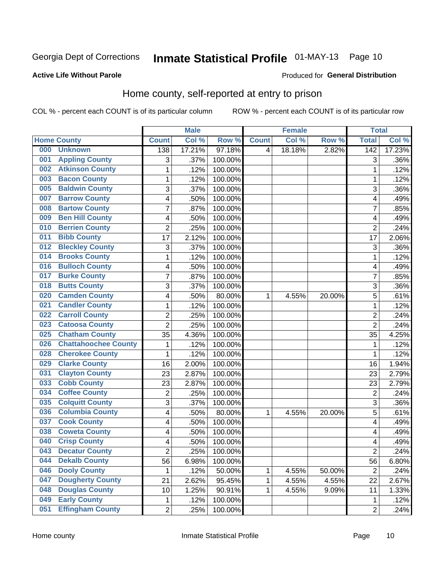# Inmate Statistical Profile 01-MAY-13 Page 10

### **Active Life Without Parole**

#### Produced for General Distribution

# Home county, self-reported at entry to prison

COL % - percent each COUNT is of its particular column

|     |                             |                | <b>Male</b> |         |                | <b>Female</b> |        | <b>Total</b>            |        |
|-----|-----------------------------|----------------|-------------|---------|----------------|---------------|--------|-------------------------|--------|
|     | <b>Home County</b>          | <b>Count</b>   | Col %       | Row %   | <b>Count</b>   | Col %         | Row %  | <b>Total</b>            | Col %  |
| 000 | <b>Unknown</b>              | 138            | 17.21%      | 97.18%  | $\overline{4}$ | 18.18%        | 2.82%  | 142                     | 17.23% |
| 001 | <b>Appling County</b>       | 3              | .37%        | 100.00% |                |               |        | 3                       | .36%   |
| 002 | <b>Atkinson County</b>      | $\mathbf 1$    | .12%        | 100.00% |                |               |        | 1                       | .12%   |
| 003 | <b>Bacon County</b>         | $\mathbf 1$    | .12%        | 100.00% |                |               |        | 1                       | .12%   |
| 005 | <b>Baldwin County</b>       | 3              | .37%        | 100.00% |                |               |        | 3                       | .36%   |
| 007 | <b>Barrow County</b>        | 4              | .50%        | 100.00% |                |               |        | $\overline{4}$          | .49%   |
| 008 | <b>Bartow County</b>        | 7              | .87%        | 100.00% |                |               |        | $\overline{7}$          | .85%   |
| 009 | <b>Ben Hill County</b>      | 4              | .50%        | 100.00% |                |               |        | $\overline{4}$          | .49%   |
| 010 | <b>Berrien County</b>       | $\overline{2}$ | .25%        | 100.00% |                |               |        | $\overline{2}$          | .24%   |
| 011 | <b>Bibb County</b>          | 17             | 2.12%       | 100.00% |                |               |        | 17                      | 2.06%  |
| 012 | <b>Bleckley County</b>      | 3              | .37%        | 100.00% |                |               |        | 3                       | .36%   |
| 014 | <b>Brooks County</b>        | $\mathbf 1$    | .12%        | 100.00% |                |               |        | 1                       | .12%   |
| 016 | <b>Bulloch County</b>       | 4              | .50%        | 100.00% |                |               |        | 4                       | .49%   |
| 017 | <b>Burke County</b>         | 7              | .87%        | 100.00% |                |               |        | $\overline{7}$          | .85%   |
| 018 | <b>Butts County</b>         | 3              | .37%        | 100.00% |                |               |        | 3                       | .36%   |
| 020 | <b>Camden County</b>        | 4              | .50%        | 80.00%  | 1              | 4.55%         | 20.00% | 5                       | .61%   |
| 021 | <b>Candler County</b>       | $\mathbf 1$    | .12%        | 100.00% |                |               |        | 1                       | .12%   |
| 022 | <b>Carroll County</b>       | $\mathbf 2$    | .25%        | 100.00% |                |               |        | $\overline{2}$          | .24%   |
| 023 | <b>Catoosa County</b>       | $\overline{2}$ | .25%        | 100.00% |                |               |        | $\overline{2}$          | .24%   |
| 025 | <b>Chatham County</b>       | 35             | 4.36%       | 100.00% |                |               |        | 35                      | 4.25%  |
| 026 | <b>Chattahoochee County</b> | 1              | .12%        | 100.00% |                |               |        | 1                       | .12%   |
| 028 | <b>Cherokee County</b>      | $\mathbf{1}$   | .12%        | 100.00% |                |               |        | 1                       | .12%   |
| 029 | <b>Clarke County</b>        | 16             | 2.00%       | 100.00% |                |               |        | 16                      | 1.94%  |
| 031 | <b>Clayton County</b>       | 23             | 2.87%       | 100.00% |                |               |        | 23                      | 2.79%  |
| 033 | <b>Cobb County</b>          | 23             | 2.87%       | 100.00% |                |               |        | 23                      | 2.79%  |
| 034 | <b>Coffee County</b>        | $\mathbf 2$    | .25%        | 100.00% |                |               |        | $\overline{2}$          | .24%   |
| 035 | <b>Colquitt County</b>      | 3              | .37%        | 100.00% |                |               |        | 3                       | .36%   |
| 036 | <b>Columbia County</b>      | 4              | .50%        | 80.00%  | 1              | 4.55%         | 20.00% | 5                       | .61%   |
| 037 | <b>Cook County</b>          | 4              | .50%        | 100.00% |                |               |        | 4                       | .49%   |
| 038 | <b>Coweta County</b>        | 4              | .50%        | 100.00% |                |               |        | $\overline{\mathbf{4}}$ | .49%   |
| 040 | <b>Crisp County</b>         | 4              | .50%        | 100.00% |                |               |        | 4                       | .49%   |
| 043 | <b>Decatur County</b>       | 2              | .25%        | 100.00% |                |               |        | $\overline{2}$          | .24%   |
| 044 | <b>Dekalb County</b>        | 56             | 6.98%       | 100.00% |                |               |        | 56                      | 6.80%  |
| 046 | <b>Dooly County</b>         | 1              | .12%        | 50.00%  | 1              | 4.55%         | 50.00% | $\boldsymbol{2}$        | .24%   |
| 047 | <b>Dougherty County</b>     | 21             | 2.62%       | 95.45%  | 1              | 4.55%         | 4.55%  | 22                      | 2.67%  |
| 048 | <b>Douglas County</b>       | 10             | 1.25%       | 90.91%  | 1              | 4.55%         | 9.09%  | 11                      | 1.33%  |
| 049 | <b>Early County</b>         | 1              | .12%        | 100.00% |                |               |        | 1                       | .12%   |
| 051 | <b>Effingham County</b>     | $\overline{2}$ | .25%        | 100.00% |                |               |        | $\overline{2}$          | .24%   |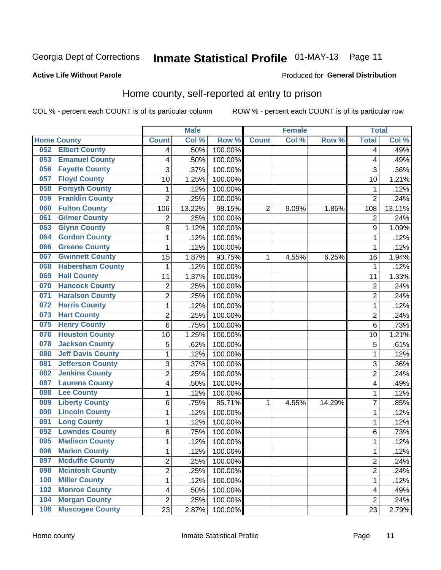# Inmate Statistical Profile 01-MAY-13 Page 11

#### **Active Life Without Parole**

#### Produced for General Distribution

# Home county, self-reported at entry to prison

COL % - percent each COUNT is of its particular column

|     |                          |                | <b>Male</b> |         |                | <b>Female</b> |        | <b>Total</b>   |        |
|-----|--------------------------|----------------|-------------|---------|----------------|---------------|--------|----------------|--------|
|     | <b>Home County</b>       | <b>Count</b>   | Col %       | Row %   | <b>Count</b>   | Col %         | Row %  | <b>Total</b>   | Col %  |
| 052 | <b>Elbert County</b>     | 4              | .50%        | 100.00% |                |               |        | 4              | .49%   |
| 053 | <b>Emanuel County</b>    | 4              | .50%        | 100.00% |                |               |        | 4              | .49%   |
| 056 | <b>Fayette County</b>    | 3              | .37%        | 100.00% |                |               |        | 3              | .36%   |
| 057 | <b>Floyd County</b>      | 10             | 1.25%       | 100.00% |                |               |        | 10             | 1.21%  |
| 058 | <b>Forsyth County</b>    | 1              | .12%        | 100.00% |                |               |        | 1              | .12%   |
| 059 | <b>Franklin County</b>   | $\overline{2}$ | .25%        | 100.00% |                |               |        | $\overline{2}$ | .24%   |
| 060 | <b>Fulton County</b>     | 106            | 13.22%      | 98.15%  | $\overline{2}$ | 9.09%         | 1.85%  | 108            | 13.11% |
| 061 | <b>Gilmer County</b>     | $\overline{2}$ | .25%        | 100.00% |                |               |        | $\overline{2}$ | .24%   |
| 063 | <b>Glynn County</b>      | 9              | 1.12%       | 100.00% |                |               |        | 9              | 1.09%  |
| 064 | <b>Gordon County</b>     | 1              | .12%        | 100.00% |                |               |        | 1              | .12%   |
| 066 | <b>Greene County</b>     | 1              | .12%        | 100.00% |                |               |        | 1              | .12%   |
| 067 | <b>Gwinnett County</b>   | 15             | 1.87%       | 93.75%  | 1              | 4.55%         | 6.25%  | 16             | 1.94%  |
| 068 | <b>Habersham County</b>  | $\mathbf{1}$   | .12%        | 100.00% |                |               |        | 1              | .12%   |
| 069 | <b>Hall County</b>       | 11             | 1.37%       | 100.00% |                |               |        | 11             | 1.33%  |
| 070 | <b>Hancock County</b>    | $\overline{2}$ | .25%        | 100.00% |                |               |        | $\overline{2}$ | .24%   |
| 071 | <b>Haralson County</b>   | $\overline{2}$ | .25%        | 100.00% |                |               |        | $\overline{2}$ | .24%   |
| 072 | <b>Harris County</b>     | 1              | .12%        | 100.00% |                |               |        | 1              | .12%   |
| 073 | <b>Hart County</b>       | $\overline{2}$ | .25%        | 100.00% |                |               |        | $\overline{c}$ | .24%   |
| 075 | <b>Henry County</b>      | 6              | .75%        | 100.00% |                |               |        | 6              | .73%   |
| 076 | <b>Houston County</b>    | 10             | 1.25%       | 100.00% |                |               |        | 10             | 1.21%  |
| 078 | <b>Jackson County</b>    | 5              | .62%        | 100.00% |                |               |        | 5              | .61%   |
| 080 | <b>Jeff Davis County</b> | 1              | .12%        | 100.00% |                |               |        | 1              | .12%   |
| 081 | <b>Jefferson County</b>  | 3              | .37%        | 100.00% |                |               |        | 3              | .36%   |
| 082 | <b>Jenkins County</b>    | $\overline{2}$ | .25%        | 100.00% |                |               |        | $\overline{2}$ | .24%   |
| 087 | <b>Laurens County</b>    | 4              | .50%        | 100.00% |                |               |        | 4              | .49%   |
| 088 | <b>Lee County</b>        | 1              | .12%        | 100.00% |                |               |        | 1              | .12%   |
| 089 | <b>Liberty County</b>    | 6              | .75%        | 85.71%  | 1              | 4.55%         | 14.29% | 7              | .85%   |
| 090 | <b>Lincoln County</b>    | 1              | .12%        | 100.00% |                |               |        | 1              | .12%   |
| 091 | <b>Long County</b>       | 1              | .12%        | 100.00% |                |               |        | 1              | .12%   |
| 092 | <b>Lowndes County</b>    | $\,6$          | .75%        | 100.00% |                |               |        | 6              | .73%   |
| 095 | <b>Madison County</b>    | $\mathbf{1}$   | .12%        | 100.00% |                |               |        | 1              | .12%   |
| 096 | <b>Marion County</b>     | 1              | .12%        | 100.00% |                |               |        | 1              | .12%   |
| 097 | <b>Mcduffie County</b>   | $\overline{2}$ | .25%        | 100.00% |                |               |        | $\overline{2}$ | .24%   |
| 098 | <b>Mcintosh County</b>   | $\overline{c}$ | .25%        | 100.00% |                |               |        | 2              | .24%   |
| 100 | <b>Miller County</b>     | $\mathbf{1}$   | .12%        | 100.00% |                |               |        | 1              | .12%   |
| 102 | <b>Monroe County</b>     | 4              | .50%        | 100.00% |                |               |        | 4              | .49%   |
| 104 | <b>Morgan County</b>     | $\overline{2}$ | .25%        | 100.00% |                |               |        | 2              | .24%   |
| 106 | <b>Muscogee County</b>   | 23             | 2.87%       | 100.00% |                |               |        | 23             | 2.79%  |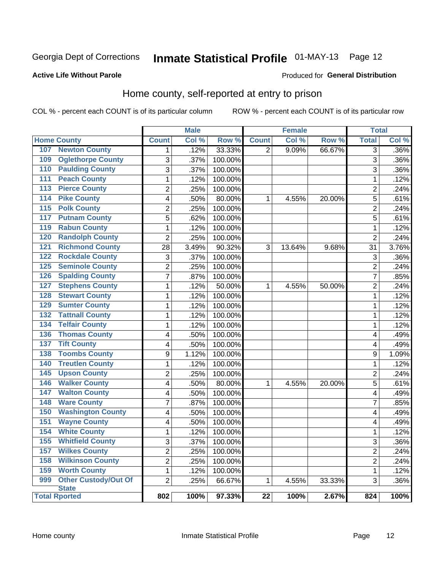# Inmate Statistical Profile 01-MAY-13 Page 12

#### **Active Life Without Parole**

### **Produced for General Distribution**

# Home county, self-reported at entry to prison

COL % - percent each COUNT is of its particular column

|                                             |                | <b>Male</b> |         |                 | <b>Female</b> |        | <b>Total</b>            |       |
|---------------------------------------------|----------------|-------------|---------|-----------------|---------------|--------|-------------------------|-------|
| <b>Home County</b>                          | <b>Count</b>   | Col %       | Row %   | <b>Count</b>    | Col %         | Row %  | <b>Total</b>            | Col % |
| <b>Newton County</b><br>107                 | 1              | .12%        | 33.33%  | $\overline{2}$  | 9.09%         | 66.67% | $\overline{3}$          | .36%  |
| <b>Oglethorpe County</b><br>109             | 3              | .37%        | 100.00% |                 |               |        | 3                       | .36%  |
| <b>Paulding County</b><br>110               | 3              | .37%        | 100.00% |                 |               |        | 3                       | .36%  |
| <b>Peach County</b><br>111                  | $\mathbf 1$    | .12%        | 100.00% |                 |               |        | 1                       | .12%  |
| <b>Pierce County</b><br>113                 | $\overline{2}$ | .25%        | 100.00% |                 |               |        | $\overline{2}$          | .24%  |
| <b>Pike County</b><br>114                   | 4              | .50%        | 80.00%  | 1               | 4.55%         | 20.00% | 5                       | .61%  |
| <b>Polk County</b><br>115                   | $\overline{2}$ | .25%        | 100.00% |                 |               |        | $\overline{2}$          | .24%  |
| <b>Putnam County</b><br>117                 | 5              | .62%        | 100.00% |                 |               |        | 5                       | .61%  |
| <b>Rabun County</b><br>119                  | 1              | .12%        | 100.00% |                 |               |        | 1                       | .12%  |
| <b>Randolph County</b><br>120               | $\overline{2}$ | .25%        | 100.00% |                 |               |        | $\overline{2}$          | .24%  |
| <b>Richmond County</b><br>121               | 28             | 3.49%       | 90.32%  | 3               | 13.64%        | 9.68%  | 31                      | 3.76% |
| 122<br><b>Rockdale County</b>               | 3              | .37%        | 100.00% |                 |               |        | 3                       | .36%  |
| <b>Seminole County</b><br>125               | $\overline{2}$ | .25%        | 100.00% |                 |               |        | $\overline{2}$          | .24%  |
| <b>Spalding County</b><br>126               | $\overline{7}$ | .87%        | 100.00% |                 |               |        | $\overline{7}$          | .85%  |
| <b>Stephens County</b><br>127               | $\mathbf{1}$   | .12%        | 50.00%  | 1               | 4.55%         | 50.00% | $\overline{2}$          | .24%  |
| <b>Stewart County</b><br>128                | 1              | .12%        | 100.00% |                 |               |        | 1                       | .12%  |
| <b>Sumter County</b><br>129                 | 1              | .12%        | 100.00% |                 |               |        | $\mathbf 1$             | .12%  |
| <b>Tattnall County</b><br>132               | 1              | .12%        | 100.00% |                 |               |        | 1                       | .12%  |
| 134<br><b>Telfair County</b>                | 1              | .12%        | 100.00% |                 |               |        | 1                       | .12%  |
| <b>Thomas County</b><br>136                 | 4              | .50%        | 100.00% |                 |               |        | $\overline{\mathbf{4}}$ | .49%  |
| <b>Tift County</b><br>137                   | 4              | .50%        | 100.00% |                 |               |        | $\overline{\mathbf{4}}$ | .49%  |
| <b>Toombs County</b><br>138                 | 9              | 1.12%       | 100.00% |                 |               |        | 9                       | 1.09% |
| <b>Treutlen County</b><br>140               | 1              | .12%        | 100.00% |                 |               |        | 1                       | .12%  |
| <b>Upson County</b><br>145                  | $\overline{2}$ | .25%        | 100.00% |                 |               |        | $\overline{2}$          | .24%  |
| <b>Walker County</b><br>146                 | 4              | .50%        | 80.00%  | 1               | 4.55%         | 20.00% | 5                       | .61%  |
| <b>Walton County</b><br>147                 | 4              | .50%        | 100.00% |                 |               |        | $\overline{4}$          | .49%  |
| <b>Ware County</b><br>148                   | $\overline{7}$ | .87%        | 100.00% |                 |               |        | $\overline{7}$          | .85%  |
| <b>Washington County</b><br>150             | 4              | .50%        | 100.00% |                 |               |        | $\overline{\mathbf{4}}$ | .49%  |
| <b>Wayne County</b><br>151                  | 4              | .50%        | 100.00% |                 |               |        | $\overline{\mathbf{4}}$ | .49%  |
| <b>White County</b><br>154                  | $\mathbf 1$    | .12%        | 100.00% |                 |               |        | 1                       | .12%  |
| <b>Whitfield County</b><br>155              | $\overline{3}$ | .37%        | 100.00% |                 |               |        | 3                       | .36%  |
| <b>Wilkes County</b><br>157                 | $\overline{2}$ | .25%        | 100.00% |                 |               |        | $\overline{2}$          | .24%  |
| 158<br><b>Wilkinson County</b>              | $\overline{2}$ | .25%        | 100.00% |                 |               |        | $\overline{2}$          | .24%  |
| <b>Worth County</b><br>159                  | $\mathbf 1$    | .12%        | 100.00% |                 |               |        | $\mathbf 1$             | .12%  |
| Other Custody/Out Of<br>999<br><b>State</b> | $\overline{2}$ | .25%        | 66.67%  | $\mathbf{1}$    | 4.55%         | 33.33% | 3                       | .36%  |
| <b>Total Rported</b>                        | 802            | 100%        | 97.33%  | $\overline{22}$ | 100%          | 2.67%  | 824                     | 100%  |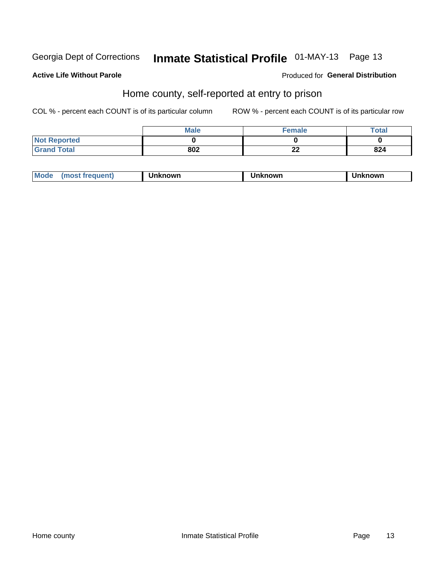# Inmate Statistical Profile 01-MAY-13 Page 13

### **Active Life Without Parole**

### **Produced for General Distribution**

## Home county, self-reported at entry to prison

COL % - percent each COUNT is of its particular column

|                     | <b>Male</b> | <b>Female</b> | Total |
|---------------------|-------------|---------------|-------|
| <b>Not Reported</b> |             |               |       |
| <b>Grand Total</b>  | 802         | ^^<br>스스      | 824   |

| <b>Moa</b><br>nown | owr | nowr |
|--------------------|-----|------|
|--------------------|-----|------|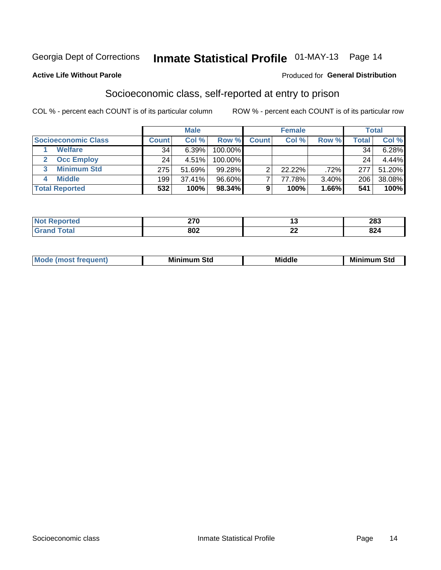# Inmate Statistical Profile 01-MAY-13 Page 14

#### **Active Life Without Parole**

#### Produced for General Distribution

# Socioeconomic class, self-reported at entry to prison

COL % - percent each COUNT is of its particular column

|                       | <b>Male</b><br><b>Female</b> |        |           | <b>Total</b> |           |       |        |        |
|-----------------------|------------------------------|--------|-----------|--------------|-----------|-------|--------|--------|
| Socioeconomic Class   | <b>Count</b>                 | Col %  | Row %     | <b>Count</b> | Col %     | Row % | Total, | Col %  |
| <b>Welfare</b>        | 34                           | 6.39%  | 100.00%   |              |           |       | 34     | 6.28%  |
| <b>Occ Employ</b>     | 24                           | 4.51%  | 100.00%   |              |           |       | 24     | 4.44%  |
| <b>Minimum Std</b>    | 275                          | 51.69% | $99.28\%$ | ⌒            | $22.22\%$ | .72%  | 277    | 51.20% |
| <b>Middle</b>         | 199                          | 37.41% | 96.60%    |              | 77.78%    | 3.40% | 206    | 38.08% |
| <b>Total Reported</b> | 532                          | 100%   | 98.34%    |              | 100%      | 1.66% | 541    | 100%   |

| 270<br>– I V<br>$\sim$ |          | າວາ<br>20J  |
|------------------------|----------|-------------|
| 802                    | n,<br>-- | ດດ 4<br>044 |

|  | Mo | Minin<br>Std<br>$- - - -$ | <b>Middle</b> | Min<br>Std<br>. |
|--|----|---------------------------|---------------|-----------------|
|--|----|---------------------------|---------------|-----------------|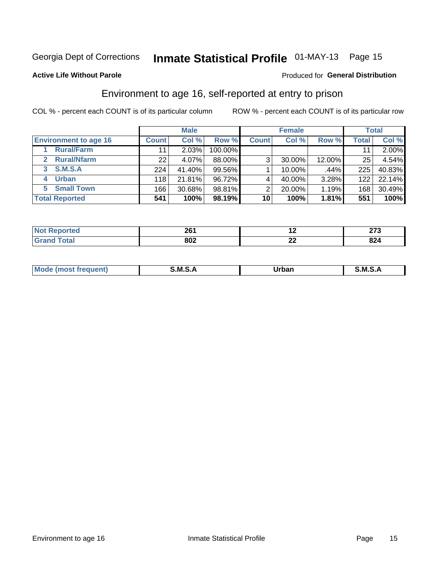# Inmate Statistical Profile 01-MAY-13 Page 15

#### **Active Life Without Parole**

#### Produced for General Distribution

# Environment to age 16, self-reported at entry to prison

COL % - percent each COUNT is of its particular column

|                                      |                  | <b>Male</b> |         |                | <b>Female</b> |        |              | <b>Total</b> |
|--------------------------------------|------------------|-------------|---------|----------------|---------------|--------|--------------|--------------|
| <b>Environment to age 16</b>         | <b>Count</b>     | Col %       | Row %   | <b>Count</b>   | Col %         | Row %  | <b>Total</b> | Col %        |
| <b>Rural/Farm</b>                    | 11               | 2.03%       | 100.00% |                |               |        |              | 2.00%        |
| <b>Rural/Nfarm</b><br>$\overline{2}$ | 22 <sub>1</sub>  | 4.07%       | 88.00%  | 3 <sub>1</sub> | 30.00%        | 12.00% | 25           | 4.54%        |
| 3 S.M.S.A                            | 224              | 41.40%      | 99.56%  |                | 10.00%        | .44%   | 225          | 40.83%       |
| <b>Urban</b><br>4                    | 118              | 21.81%      | 96.72%  |                | 40.00%        | 3.28%  | 122          | 22.14%       |
| <b>Small Town</b><br>5               | 166 <sub>1</sub> | 30.68%      | 98.81%  | 2              | 20.00%        | 1.19%  | 168          | 30.49%       |
| <b>Total Reported</b>                | 541              | 100%        | 98.19%  | 10             | 100%          | 1.81%  | 551          | 100%         |

| ∘rted | 904  |             | היה   |
|-------|------|-------------|-------|
| .     | 20 I |             | – • • |
|       | 802  | $\sim$<br>▵ | 824   |

| Mo | M | urhar . | M      |
|----|---|---------|--------|
|    |   | _____   | ______ |
|    |   |         |        |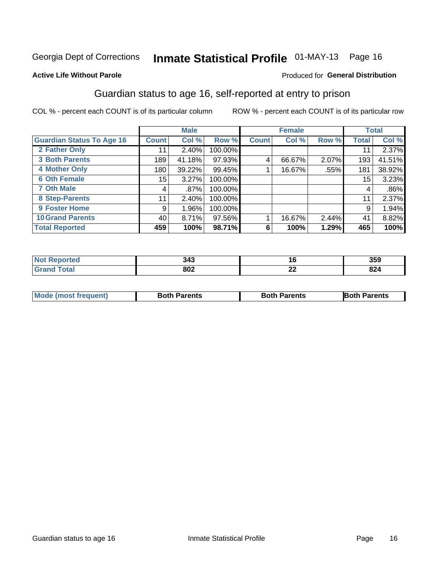# Inmate Statistical Profile 01-MAY-13 Page 16

#### **Active Life Without Parole**

### **Produced for General Distribution**

# Guardian status to age 16, self-reported at entry to prison

COL % - percent each COUNT is of its particular column

|                                  |                 | <b>Male</b> |         |              | <b>Female</b> |       |       | <b>Total</b> |
|----------------------------------|-----------------|-------------|---------|--------------|---------------|-------|-------|--------------|
| <b>Guardian Status To Age 16</b> | <b>Count</b>    | Col %       | Row %   | <b>Count</b> | Col %         | Row % | Total | Col %        |
| 2 Father Only                    | 11              | 2.40%       | 100.00% |              |               |       | 11    | 2.37%        |
| <b>3 Both Parents</b>            | 189             | 41.18%      | 97.93%  | 4            | 66.67%        | 2.07% | 193   | 41.51%       |
| <b>4 Mother Only</b>             | 180             | 39.22%      | 99.45%  |              | 16.67%        | .55%  | 181   | 38.92%       |
| <b>6 Oth Female</b>              | 15 <sub>1</sub> | 3.27%       | 100.00% |              |               |       | 15    | 3.23%        |
| <b>7 Oth Male</b>                | 4               | $.87\%$     | 100.00% |              |               |       | 4     | $.86\%$      |
| 8 Step-Parents                   | 11              | 2.40%       | 100.00% |              |               |       | 11    | 2.37%        |
| <b>9 Foster Home</b>             | 9               | 1.96%       | 100.00% |              |               |       | 9     | 1.94%        |
| <b>10 Grand Parents</b>          | 40              | 8.71%       | 97.56%  |              | 16.67%        | 2.44% | 41    | 8.82%        |
| <b>Total Reported</b>            | 459             | 100%        | 98.71%  | 6            | 100%          | 1.29% | 465   | 100%         |

| rted        | 343 | יי                   | 359 |
|-------------|-----|----------------------|-----|
| <b>otal</b> | 802 | $\overline{ }$<br>LL | 824 |

| <b>Mode (most frequent)</b> | <b>Both Parents</b> | <b>Both Parents</b> | <b>Both Parents</b> |
|-----------------------------|---------------------|---------------------|---------------------|
|                             |                     |                     |                     |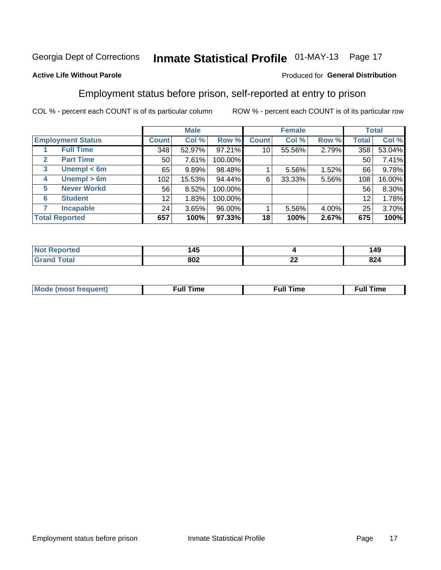# Inmate Statistical Profile 01-MAY-13 Page 17

#### **Active Life Without Parole**

#### Produced for General Distribution

## Employment status before prison, self-reported at entry to prison

COL % - percent each COUNT is of its particular column

|                                  |                  | <b>Male</b> |         |              | <b>Female</b> |       |       | <b>Total</b> |
|----------------------------------|------------------|-------------|---------|--------------|---------------|-------|-------|--------------|
| <b>Employment Status</b>         | <b>Count</b>     | Col %       | Row %   | <b>Count</b> | Col %         | Row % | Total | Col %        |
| <b>Full Time</b>                 | 348              | 52.97%      | 97.21%  | 10           | 55.56%        | 2.79% | 358   | 53.04%       |
| <b>Part Time</b><br>$\mathbf{2}$ | 50 <sub>1</sub>  | 7.61%       | 100.00% |              |               |       | 50    | 7.41%        |
| Unempl $<$ 6m<br>3               | 65               | 9.89%       | 98.48%  |              | 5.56%         | 1.52% | 66    | 9.78%        |
| Unempl > 6m<br>4                 | 102 <sub>1</sub> | 15.53%      | 94.44%  | 6            | 33.33%        | 5.56% | 108   | 16.00%       |
| <b>Never Workd</b><br>5          | 56               | 8.52%       | 100.00% |              |               |       | 56    | 8.30%        |
| <b>Student</b><br>6              | 12               | 1.83%       | 100.00% |              |               |       | 12    | 1.78%        |
| <b>Incapable</b><br>7            | 24               | 3.65%       | 96.00%  |              | $5.56\%$      | 4.00% | 25    | 3.70%        |
| <b>Total Reported</b>            | 657              | 100%        | 97.33%  | 18           | 100%          | 2.67% | 675   | 100%         |

| . .<br>z<br>. TV<br>$\sim$ |              | 149        |
|----------------------------|--------------|------------|
| 802                        | $\sim$<br>-- | ດດເ<br>824 |

| Mc | ∴ull | ----<br>ıme<br>w |
|----|------|------------------|
|    |      |                  |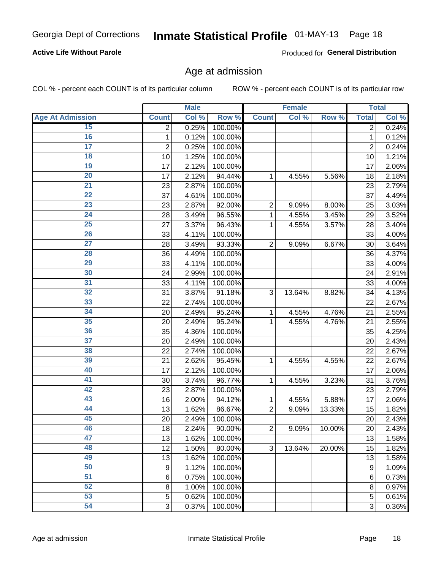# Inmate Statistical Profile 01-MAY-13 Page 18

### **Active Life Without Parole**

Produced for General Distribution

### Age at admission

COL % - percent each COUNT is of its particular column

|                         |                 | <b>Male</b> |         |                | <b>Female</b> |        |                | <b>Total</b> |
|-------------------------|-----------------|-------------|---------|----------------|---------------|--------|----------------|--------------|
| <b>Age At Admission</b> | <b>Count</b>    | Col %       | Row %   | <b>Count</b>   | Col %         | Row %  | <b>Total</b>   | Col %        |
| 15                      | 2               | 0.25%       | 100.00% |                |               |        | 2              | 0.24%        |
| 16                      | 1               | 0.12%       | 100.00% |                |               |        | $\mathbf{1}$   | 0.12%        |
| $\overline{17}$         | $\overline{c}$  | 0.25%       | 100.00% |                |               |        | $\overline{2}$ | 0.24%        |
| 18                      | 10              | 1.25%       | 100.00% |                |               |        | 10             | 1.21%        |
| 19                      | 17              | 2.12%       | 100.00% |                |               |        | 17             | 2.06%        |
| $\overline{20}$         | 17              | 2.12%       | 94.44%  | 1              | 4.55%         | 5.56%  | 18             | 2.18%        |
| 21                      | 23              | 2.87%       | 100.00% |                |               |        | 23             | 2.79%        |
| 22                      | 37              | 4.61%       | 100.00% |                |               |        | 37             | 4.49%        |
| 23                      | 23              | 2.87%       | 92.00%  | $\overline{2}$ | 9.09%         | 8.00%  | 25             | 3.03%        |
| 24                      | 28              | 3.49%       | 96.55%  | 1              | 4.55%         | 3.45%  | 29             | 3.52%        |
| $\overline{25}$         | 27              | 3.37%       | 96.43%  | 1              | 4.55%         | 3.57%  | 28             | 3.40%        |
| 26                      | 33              | 4.11%       | 100.00% |                |               |        | 33             | 4.00%        |
| $\overline{27}$         | 28              | 3.49%       | 93.33%  | $\overline{2}$ | 9.09%         | 6.67%  | 30             | 3.64%        |
| 28                      | 36              | 4.49%       | 100.00% |                |               |        | 36             | 4.37%        |
| 29                      | 33              | 4.11%       | 100.00% |                |               |        | 33             | 4.00%        |
| 30                      | 24              | 2.99%       | 100.00% |                |               |        | 24             | 2.91%        |
| 31                      | 33              | 4.11%       | 100.00% |                |               |        | 33             | 4.00%        |
| 32                      | 31              | 3.87%       | 91.18%  | 3              | 13.64%        | 8.82%  | 34             | 4.13%        |
| 33                      | 22              | 2.74%       | 100.00% |                |               |        | 22             | 2.67%        |
| 34                      | 20              | 2.49%       | 95.24%  | 1              | 4.55%         | 4.76%  | 21             | 2.55%        |
| 35                      | 20              | 2.49%       | 95.24%  | 1              | 4.55%         | 4.76%  | 21             | 2.55%        |
| 36                      | 35              | 4.36%       | 100.00% |                |               |        | 35             | 4.25%        |
| $\overline{37}$         | 20              | 2.49%       | 100.00% |                |               |        | 20             | 2.43%        |
| 38                      | 22              | 2.74%       | 100.00% |                |               |        | 22             | 2.67%        |
| 39                      | 21              | 2.62%       | 95.45%  | 1              | 4.55%         | 4.55%  | 22             | 2.67%        |
| 40                      | 17              | 2.12%       | 100.00% |                |               |        | 17             | 2.06%        |
| 41                      | 30              | 3.74%       | 96.77%  | 1              | 4.55%         | 3.23%  | 31             | 3.76%        |
| 42                      | 23              | 2.87%       | 100.00% |                |               |        | 23             | 2.79%        |
| 43                      | 16              | 2.00%       | 94.12%  | 1              | 4.55%         | 5.88%  | 17             | 2.06%        |
| 44                      | 13              | 1.62%       | 86.67%  | $\overline{2}$ | 9.09%         | 13.33% | 15             | 1.82%        |
| 45                      | 20              | 2.49%       | 100.00% |                |               |        | 20             | 2.43%        |
| 46                      | 18              | 2.24%       | 90.00%  | $\overline{2}$ | 9.09%         | 10.00% | 20             | 2.43%        |
| 47                      | 13              | 1.62%       | 100.00% |                |               |        | 13             | 1.58%        |
| 48                      | 12              | 1.50%       | 80.00%  | 3              | 13.64%        | 20.00% | 15             | 1.82%        |
| 49                      | 13              | 1.62%       | 100.00% |                |               |        | 13             | 1.58%        |
| 50                      | 9               | 1.12%       | 100.00% |                |               |        | 9              | 1.09%        |
| $\overline{51}$         | $6\phantom{1}6$ | 0.75%       | 100.00% |                |               |        | 6              | 0.73%        |
| 52                      | 8               | 1.00%       | 100.00% |                |               |        | 8              | 0.97%        |
| 53                      | 5               | 0.62%       | 100.00% |                |               |        | 5              | 0.61%        |
| 54                      | 3               | 0.37%       | 100.00% |                |               |        | 3              | 0.36%        |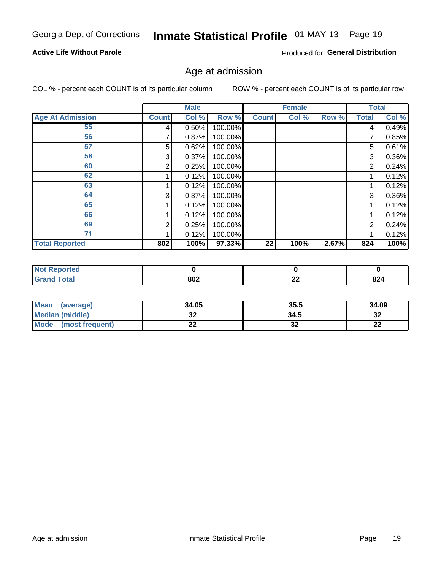# Inmate Statistical Profile 01-MAY-13 Page 19

### **Active Life Without Parole**

Produced for General Distribution

### Age at admission

COL % - percent each COUNT is of its particular column

|                         |              | <b>Male</b> |         |              | <b>Female</b> |       |                | <b>Total</b> |
|-------------------------|--------------|-------------|---------|--------------|---------------|-------|----------------|--------------|
| <b>Age At Admission</b> | <b>Count</b> | Col %       | Row %   | <b>Count</b> | Col %         | Row % | <b>Total</b>   | Col %        |
| 55                      | 4            | 0.50%       | 100.00% |              |               |       | 4              | 0.49%        |
| 56                      |              | 0.87%       | 100.00% |              |               |       |                | 0.85%        |
| 57                      | 5            | 0.62%       | 100.00% |              |               |       | 5              | 0.61%        |
| 58                      | 3            | 0.37%       | 100.00% |              |               |       | 3              | 0.36%        |
| 60                      | 2            | 0.25%       | 100.00% |              |               |       | 2              | 0.24%        |
| 62                      |              | 0.12%       | 100.00% |              |               |       |                | 0.12%        |
| 63                      |              | 0.12%       | 100.00% |              |               |       |                | 0.12%        |
| 64                      | 3            | 0.37%       | 100.00% |              |               |       | 3              | 0.36%        |
| 65                      |              | 0.12%       | 100.00% |              |               |       |                | 0.12%        |
| 66                      |              | 0.12%       | 100.00% |              |               |       |                | 0.12%        |
| 69                      | 2            | 0.25%       | 100.00% |              |               |       | $\overline{2}$ | 0.24%        |
| 71                      |              | 0.12%       | 100.00% |              |               |       |                | 0.12%        |
| <b>Total Reported</b>   | 802          | 100%        | 97.33%  | 22           | 100%          | 2.67% | 824            | 100%         |

| ported<br><b>NOT</b> |     |              |     |
|----------------------|-----|--------------|-----|
| int                  | 802 | $\sim$<br>LL | 824 |

| <b>Mean</b><br>(average)       | 34.05 | 35.5     | 34.09    |
|--------------------------------|-------|----------|----------|
| <b>Median (middle)</b>         | JŁ    | 34.5     | າາ<br>১∠ |
| <b>Mode</b><br>(most frequent) | --    | ^^<br>JZ | n,<br>LL |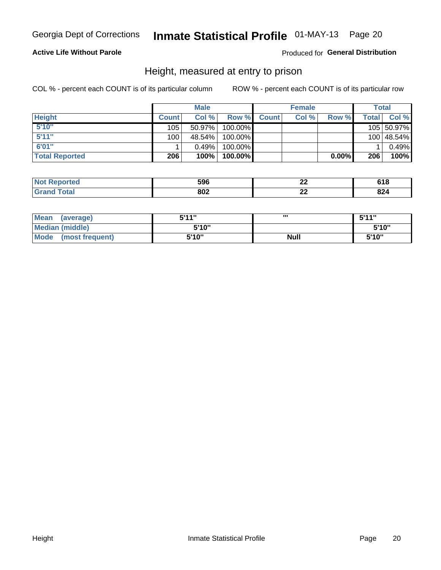# Inmate Statistical Profile 01-MAY-13 Page 20

### **Active Life Without Parole**

#### Produced for General Distribution

### Height, measured at entry to prison

COL % - percent each COUNT is of its particular column

|                       |              | <b>Male</b> |         |              | <b>Female</b> |       |       | Total      |
|-----------------------|--------------|-------------|---------|--------------|---------------|-------|-------|------------|
| <b>Height</b>         | <b>Count</b> | Col %       | Row %   | <b>Count</b> | Col %         | Row % | Total | Col %      |
| 5'10''                | 105          | $50.97\%$   | 100.00% |              |               |       |       | 105 50.97% |
| 5'11''                | 100          | 48.54%      | 100.00% |              |               |       |       | 100 48.54% |
| 6'01"                 |              | 0.49%       | 100.00% |              |               |       |       | 0.49%      |
| <b>Total Reported</b> | 206          | $100\%$     | 100.00% |              |               | 0.00% | 206   | 100%       |

| <b>Not</b><br>orted<br>eno | 596 | n,        | ס ו כ |
|----------------------------|-----|-----------|-------|
| <b>Total</b><br>' Grano    | 802 | ne.<br>-- | 824   |

| Mean (average)          | 5'11" | ш           | 5'11" |
|-------------------------|-------|-------------|-------|
| <b>Median (middle)</b>  | 5'10" |             | 5'10" |
| Mode<br>(most frequent) | 5'10" | <b>Null</b> | 5'10" |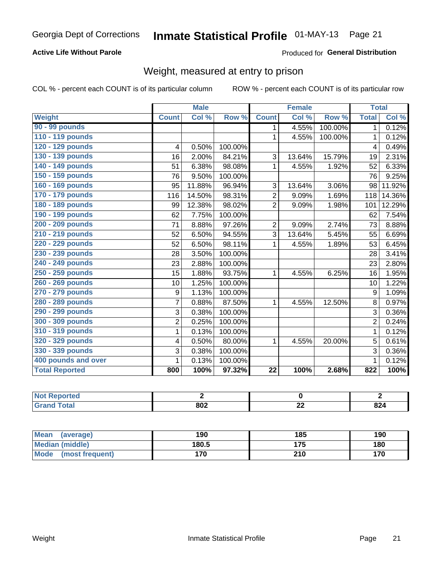# Inmate Statistical Profile 01-MAY-13 Page 21

### **Active Life Without Parole**

Produced for General Distribution

# Weight, measured at entry to prison

COL % - percent each COUNT is of its particular column

|                       |                | <b>Male</b> |         |                 | <b>Female</b> |         | <b>Total</b>   |        |
|-----------------------|----------------|-------------|---------|-----------------|---------------|---------|----------------|--------|
| <b>Weight</b>         | <b>Count</b>   | Col %       | Row %   | <b>Count</b>    | Col%          | Row %   | <b>Total</b>   | Col %  |
| 90 - 99 pounds        |                |             |         | 1               | 4.55%         | 100.00% | 1              | 0.12%  |
| 110 - 119 pounds      |                |             |         | 1               | 4.55%         | 100.00% | $\mathbf 1$    | 0.12%  |
| 120 - 129 pounds      | 4              | 0.50%       | 100.00% |                 |               |         | 4              | 0.49%  |
| 130 - 139 pounds      | 16             | 2.00%       | 84.21%  | 3               | 13.64%        | 15.79%  | 19             | 2.31%  |
| 140 - 149 pounds      | 51             | 6.38%       | 98.08%  | 1               | 4.55%         | 1.92%   | 52             | 6.33%  |
| 150 - 159 pounds      | 76             | 9.50%       | 100.00% |                 |               |         | 76             | 9.25%  |
| 160 - 169 pounds      | 95             | 11.88%      | 96.94%  | 3               | 13.64%        | 3.06%   | 98             | 11.92% |
| 170 - 179 pounds      | 116            | 14.50%      | 98.31%  | $\overline{2}$  | 9.09%         | 1.69%   | 118            | 14.36% |
| 180 - 189 pounds      | 99             | 12.38%      | 98.02%  | $\overline{2}$  | 9.09%         | 1.98%   | 101            | 12.29% |
| 190 - 199 pounds      | 62             | 7.75%       | 100.00% |                 |               |         | 62             | 7.54%  |
| 200 - 209 pounds      | 71             | 8.88%       | 97.26%  | 2               | 9.09%         | 2.74%   | 73             | 8.88%  |
| 210 - 219 pounds      | 52             | 6.50%       | 94.55%  | 3               | 13.64%        | 5.45%   | 55             | 6.69%  |
| 220 - 229 pounds      | 52             | 6.50%       | 98.11%  | 1               | 4.55%         | 1.89%   | 53             | 6.45%  |
| 230 - 239 pounds      | 28             | 3.50%       | 100.00% |                 |               |         | 28             | 3.41%  |
| 240 - 249 pounds      | 23             | 2.88%       | 100.00% |                 |               |         | 23             | 2.80%  |
| 250 - 259 pounds      | 15             | 1.88%       | 93.75%  | 1               | 4.55%         | 6.25%   | 16             | 1.95%  |
| 260 - 269 pounds      | 10             | 1.25%       | 100.00% |                 |               |         | 10             | 1.22%  |
| 270 - 279 pounds      | 9              | 1.13%       | 100.00% |                 |               |         | 9              | 1.09%  |
| 280 - 289 pounds      | $\overline{7}$ | 0.88%       | 87.50%  | 1               | 4.55%         | 12.50%  | 8              | 0.97%  |
| 290 - 299 pounds      | 3              | 0.38%       | 100.00% |                 |               |         | 3              | 0.36%  |
| 300 - 309 pounds      | $\overline{2}$ | 0.25%       | 100.00% |                 |               |         | $\overline{2}$ | 0.24%  |
| 310 - 319 pounds      | 1              | 0.13%       | 100.00% |                 |               |         | $\mathbf 1$    | 0.12%  |
| 320 - 329 pounds      | 4              | 0.50%       | 80.00%  | 1               | 4.55%         | 20.00%  | 5              | 0.61%  |
| 330 - 339 pounds      | 3              | 0.38%       | 100.00% |                 |               |         | 3              | 0.36%  |
| 400 pounds and over   | 1              | 0.13%       | 100.00% |                 |               |         | $\mathbf 1$    | 0.12%  |
| <b>Total Reported</b> | 800            | 100%        | 97.32%  | $\overline{22}$ | 100%          | 2.68%   | 822            | 100%   |

| <b>Reported</b><br>NOT.<br> |           |           |     |
|-----------------------------|-----------|-----------|-----|
| <b>c</b> otal               | onn<br>שט | ^'<br>--- | 824 |

| <b>Mean</b><br>(average) | 190   | 185 | 190 |
|--------------------------|-------|-----|-----|
| <b>Median (middle)</b>   | 180.5 | 175 | 180 |
| Mode<br>(most frequent)  | 170   | 210 | 170 |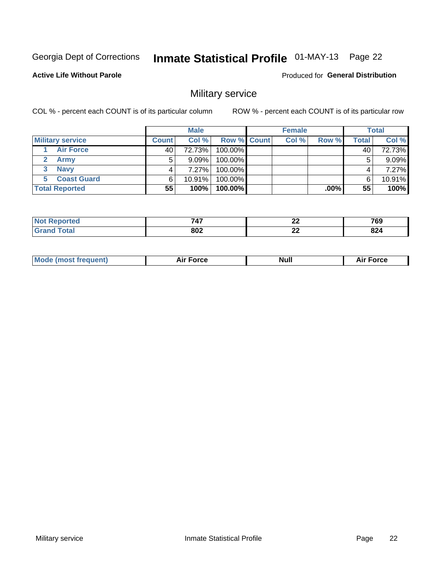# Inmate Statistical Profile 01-MAY-13 Page 22

**Active Life Without Parole** 

Produced for General Distribution

# Military service

COL % - percent each COUNT is of its particular column

|                          |              | <b>Male</b> |             | <b>Female</b> |       |       | <b>Total</b> |
|--------------------------|--------------|-------------|-------------|---------------|-------|-------|--------------|
| <b>Military service</b>  | <b>Count</b> | Col%        | Row % Count | Col %         | Row % | Total | Col %        |
| <b>Air Force</b>         | 40           | 72.73%      | 100.00%     |               |       | 40    | 72.73%       |
| <b>Army</b>              | 5            | $9.09\%$    | 100.00%     |               |       | 5     | 9.09%        |
| <b>Navy</b><br>3         |              | 7.27%       | 100.00%     |               |       | 4     | 7.27%        |
| <b>Coast Guard</b><br>5. | 6            | 10.91%      | 100.00%     |               |       | 6     | 10.91%       |
| <b>Total Reported</b>    | 55           | $100\%$     | $100.00\%$  |               | ا%00. | 55    | 100%         |

| --<br>747 | ^^<br>-- | 769                  |
|-----------|----------|----------------------|
| 802       | n,<br>-- | $\sim$<br><b>044</b> |

|  | <b>Mode (most frequent)</b> | <b>Force</b> | <b>Null</b> | ∙orce<br>−… |
|--|-----------------------------|--------------|-------------|-------------|
|--|-----------------------------|--------------|-------------|-------------|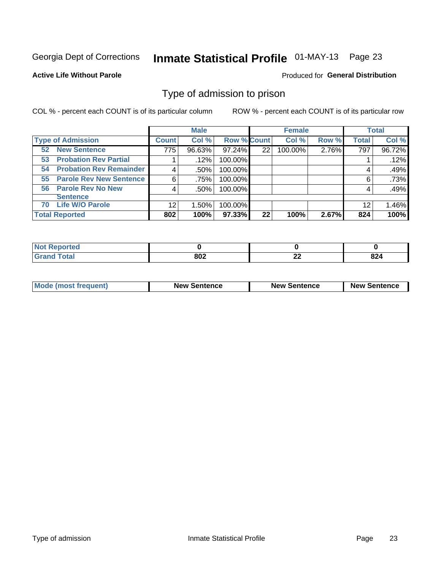# Inmate Statistical Profile 01-MAY-13 Page 23

#### **Active Life Without Parole**

#### Produced for General Distribution

### Type of admission to prison

COL % - percent each COUNT is of its particular column

|                                      |         | <b>Male</b> |                    |    | <b>Female</b> |       |              | <b>Total</b> |
|--------------------------------------|---------|-------------|--------------------|----|---------------|-------|--------------|--------------|
| <b>Type of Admission</b>             | Count l | Col %       | <b>Row % Count</b> |    | Col %         | Row % | <b>Total</b> | Col %        |
| <b>New Sentence</b><br>52            | 775     | 96.63%      | 97.24%             | 22 | 100.00%       | 2.76% | 797          | 96.72%       |
| <b>Probation Rev Partial</b><br>53   |         | .12%        | 100.00%            |    |               |       |              | .12%         |
| <b>Probation Rev Remainder</b><br>54 |         | .50%        | 100.00%            |    |               |       | 4            | .49%         |
| <b>Parole Rev New Sentence</b><br>55 | 6       | .75%        | 100.00%            |    |               |       | 6            | .73%         |
| <b>Parole Rev No New</b><br>56       | 4       | $.50\%$     | 100.00%            |    |               |       | 4            | .49%         |
| <b>Sentence</b>                      |         |             |                    |    |               |       |              |              |
| <b>Life W/O Parole</b><br>70         | 12      | 1.50%       | 100.00%            |    |               |       | 12           | 1.46%        |
| <b>Total Reported</b>                | 802     | 100%        | 97.33%             | 22 | 100%          | 2.67% | 824          | 100%         |

| <b>Reported</b><br><b>NOT</b> |           |              |     |
|-------------------------------|-----------|--------------|-----|
| <b>Fotal</b>                  | ong<br>שט | $\sim$<br>-- | 824 |

| <b>Mode (most frequent)</b> | <b>New Sentence</b> | <b>New Sentence</b> | <b>New Sentence</b> |
|-----------------------------|---------------------|---------------------|---------------------|
|                             |                     |                     |                     |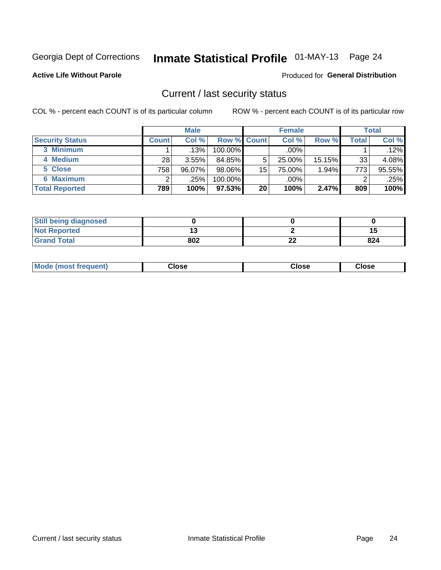# Inmate Statistical Profile 01-MAY-13 Page 24

**Active Life Without Parole** 

#### Produced for General Distribution

### Current / last security status

COL % - percent each COUNT is of its particular column

|                        |              | <b>Male</b> |                    |    | <b>Female</b> |        |              | <b>Total</b> |
|------------------------|--------------|-------------|--------------------|----|---------------|--------|--------------|--------------|
| <b>Security Status</b> | <b>Count</b> | Col %       | <b>Row % Count</b> |    | Col %         | Row %  | <b>Total</b> | Col %        |
| 3 Minimum              |              | .13%        | 100.00%            |    | .00%          |        |              | $.12\%$      |
| 4 Medium               | 28           | $3.55\%$    | 84.85%             | 5  | 25.00%        | 15.15% | 33           | 4.08%        |
| 5 Close                | 758          | $96.07\%$   | 98.06%             | 15 | 75.00%        | 1.94%  | 773          | 95.55%       |
| <b>6 Maximum</b>       |              | .25%        | 100.00%            |    | .00%          |        | 2            | .25%         |
| <b>Total Reported</b>  | 789          | 100%        | 97.53%             | 20 | 100%          | 2.47%  | 809          | 100%         |

| <b>Still being diagnosed</b> |     |           |     |
|------------------------------|-----|-----------|-----|
| <b>Not Reported</b>          |     |           |     |
| <b>Grand Total</b>           | 802 | ne.<br>LL | 824 |

| <b>Mode</b><br>Close<br>: (most frequent)<br>oseت<br>Close<br>- - - -<br>- - - -<br>- - - - |
|---------------------------------------------------------------------------------------------|
|---------------------------------------------------------------------------------------------|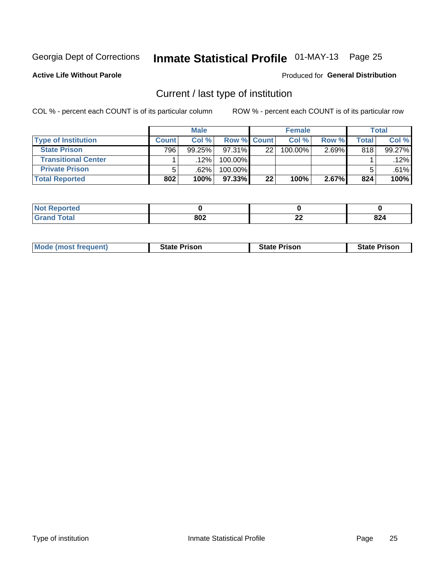# Inmate Statistical Profile 01-MAY-13 Page 25

**Active Life Without Parole** 

#### Produced for General Distribution

# Current / last type of institution

COL % - percent each COUNT is of its particular column

|                            |              | <b>Male</b> |             |    | <b>Female</b> |       |       | <b>Total</b> |
|----------------------------|--------------|-------------|-------------|----|---------------|-------|-------|--------------|
| <b>Type of Institution</b> | <b>Count</b> | Col %       | Row % Count |    | Col %         | Row % | Total | Col %        |
| <b>State Prison</b>        | 796          | $99.25\%$   | $97.31\%$   | 22 | 100.00%       | 2.69% | 818   | 99.27%       |
| <b>Transitional Center</b> |              | .12%        | 100.00%     |    |               |       |       | .12%         |
| <b>Private Prison</b>      | 5            | .62%        | 100.00%     |    |               |       |       | .61%         |
| <b>Total Reported</b>      | 802          | 100%        | $97.33\%$   | 22 | 100%          | 2.67% | 824   | 100%         |

| oorted      |     |           |                      |
|-------------|-----|-----------|----------------------|
| <b>otal</b> | 802 | ne.<br>44 | oo.<br>044<br>$\sim$ |

| <b>Mode (most frequent)</b> | <b>State Prison</b> | <b>State Prison</b> | <b>State Prison</b> |
|-----------------------------|---------------------|---------------------|---------------------|
|                             |                     |                     |                     |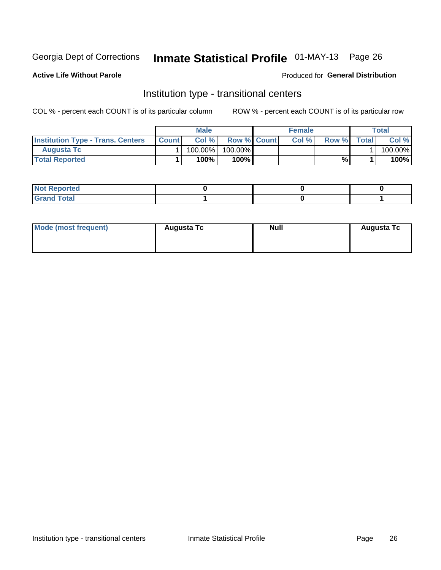# Inmate Statistical Profile 01-MAY-13 Page 26

**Active Life Without Parole** 

#### Produced for General Distribution

# Institution type - transitional centers

COL % - percent each COUNT is of its particular column

|                                          |              | Male       |                    | <b>Female</b> |       |              | Total   |
|------------------------------------------|--------------|------------|--------------------|---------------|-------|--------------|---------|
| <b>Institution Type - Trans. Centers</b> | <b>Count</b> | Col%       | <b>Row % Count</b> | Col%          | Row % | <b>Total</b> | Col %   |
| <b>Augusta Tc</b>                        |              | $100.00\%$ | 100.00%            |               |       |              | 100.00% |
| <b>Total Reported</b>                    |              | $100\%$    | $100\%$            |               | %     |              | 100%    |

| ∣ Not Reportea |  |  |
|----------------|--|--|
|                |  |  |

| Mode (most frequent) | <b>Augusta Tc</b> | <b>Null</b> | <b>Augusta Tc</b> |
|----------------------|-------------------|-------------|-------------------|
|                      |                   |             |                   |
|                      |                   |             |                   |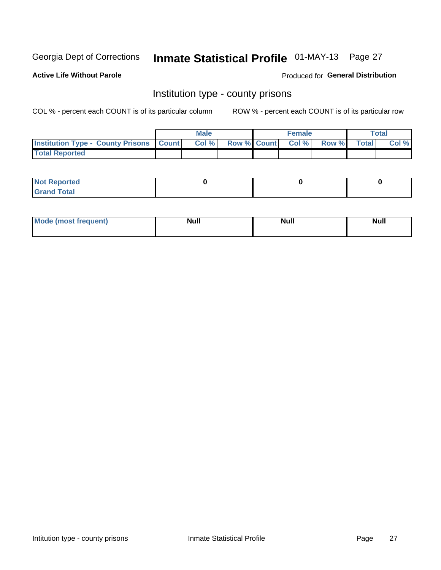# Inmate Statistical Profile 01-MAY-13 Page 27

**Active Life Without Parole** 

Produced for General Distribution

### Institution type - county prisons

COL % - percent each COUNT is of its particular column

|                                                    | <b>Male</b> |  | <b>Female</b>            |             | <b>Total</b> |
|----------------------------------------------------|-------------|--|--------------------------|-------------|--------------|
| <b>Institution Type - County Prisons   Count  </b> | Col %       |  | <b>Row % Count Col %</b> | Row % Total | Col %        |
| <b>Total Reported</b>                              |             |  |                          |             |              |

| <b>Not Reported</b>   |  |  |
|-----------------------|--|--|
| <b>Total</b><br>Granc |  |  |

| <b>Mode</b>      | <b>Null</b> | <b>Null</b> | <b>Null</b> |
|------------------|-------------|-------------|-------------|
| (most freauent). |             |             |             |
|                  |             |             |             |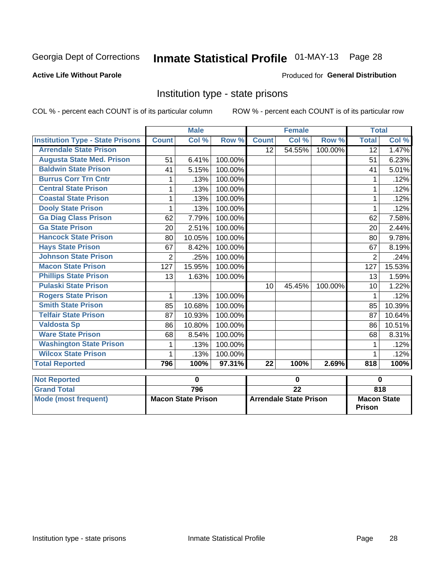# Inmate Statistical Profile 01-MAY-13 Page 28

### **Active Life Without Parole**

#### Produced for General Distribution

### Institution type - state prisons

COL % - percent each COUNT is of its particular column ROW % - percent each COUNT is of its particular row

|                                         |                | <b>Male</b>               |         |                 | <b>Female</b>                 |         | <b>Total</b>                 |             |
|-----------------------------------------|----------------|---------------------------|---------|-----------------|-------------------------------|---------|------------------------------|-------------|
| <b>Institution Type - State Prisons</b> | <b>Count</b>   | Col %                     | Row %   | <b>Count</b>    | Col %                         | Row %   | <b>Total</b>                 | Col %       |
| <b>Arrendale State Prison</b>           |                |                           |         | 12 <sup>2</sup> | 54.55%                        | 100.00% | $\overline{12}$              | 1.47%       |
| <b>Augusta State Med. Prison</b>        | 51             | 6.41%                     | 100.00% |                 |                               |         | 51                           | 6.23%       |
| <b>Baldwin State Prison</b>             | 41             | 5.15%                     | 100.00% |                 |                               |         | 41                           | 5.01%       |
| <b>Burrus Corr Trn Cntr</b>             | 1              | .13%                      | 100.00% |                 |                               |         | 1                            | .12%        |
| <b>Central State Prison</b>             | 1              | .13%                      | 100.00% |                 |                               |         | 1                            | .12%        |
| <b>Coastal State Prison</b>             | 1              | .13%                      | 100.00% |                 |                               |         | 1                            | .12%        |
| <b>Dooly State Prison</b>               | 1              | .13%                      | 100.00% |                 |                               |         | 1                            | .12%        |
| <b>Ga Diag Class Prison</b>             | 62             | 7.79%                     | 100.00% |                 |                               |         | 62                           | 7.58%       |
| <b>Ga State Prison</b>                  | 20             | 2.51%                     | 100.00% |                 |                               |         | 20                           | 2.44%       |
| <b>Hancock State Prison</b>             | 80             | 10.05%                    | 100.00% |                 |                               |         | 80                           | 9.78%       |
| <b>Hays State Prison</b>                | 67             | 8.42%                     | 100.00% |                 |                               |         | 67                           | 8.19%       |
| <b>Johnson State Prison</b>             | $\overline{2}$ | .25%                      | 100.00% |                 |                               |         | 2                            | .24%        |
| <b>Macon State Prison</b>               | 127            | 15.95%                    | 100.00% |                 |                               |         | 127                          | 15.53%      |
| <b>Phillips State Prison</b>            | 13             | 1.63%                     | 100.00% |                 |                               |         | 13                           | 1.59%       |
| <b>Pulaski State Prison</b>             |                |                           |         | 10              | 45.45%                        | 100.00% | 10                           | 1.22%       |
| <b>Rogers State Prison</b>              | 1              | .13%                      | 100.00% |                 |                               |         | 1                            | .12%        |
| <b>Smith State Prison</b>               | 85             | 10.68%                    | 100.00% |                 |                               |         | 85                           | 10.39%      |
| <b>Telfair State Prison</b>             | 87             | 10.93%                    | 100.00% |                 |                               |         | 87                           | 10.64%      |
| <b>Valdosta Sp</b>                      | 86             | 10.80%                    | 100.00% |                 |                               |         | 86                           | 10.51%      |
| <b>Ware State Prison</b>                | 68             | 8.54%                     | 100.00% |                 |                               |         | 68                           | 8.31%       |
| <b>Washington State Prison</b>          | 1              | .13%                      | 100.00% |                 |                               |         | 1                            | .12%        |
| <b>Wilcox State Prison</b>              | 1              | .13%                      | 100.00% |                 |                               |         |                              | .12%        |
| <b>Total Reported</b>                   | 796            | 100%                      | 97.31%  | $\overline{22}$ | 100%                          | 2.69%   | 818                          | 100%        |
| <b>Not Reported</b>                     |                | $\mathbf 0$               |         |                 | $\mathbf 0$                   |         |                              | $\mathbf 0$ |
| <b>Grand Total</b>                      |                | 796                       |         |                 | $\overline{22}$               |         |                              | 818         |
| <b>Mode (most frequent)</b>             |                | <b>Macon State Prison</b> |         |                 | <b>Arrendale State Prison</b> |         | <b>Macon State</b><br>Prison |             |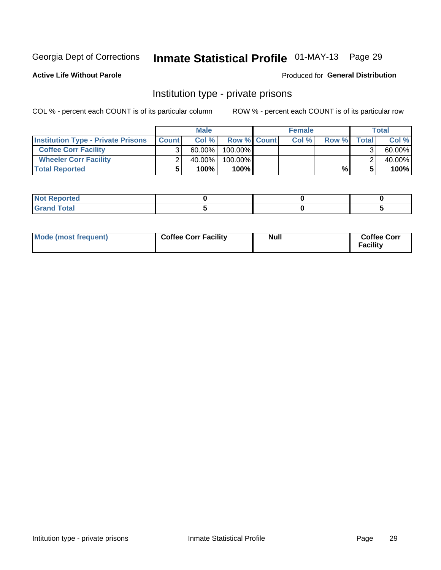# Inmate Statistical Profile 01-MAY-13 Page 29

**Active Life Without Parole** 

#### Produced for General Distribution

## Institution type - private prisons

COL % - percent each COUNT is of its particular column

|                                           |              | <b>Male</b> |                    | <b>Female</b> |       |       | <b>Total</b> |
|-------------------------------------------|--------------|-------------|--------------------|---------------|-------|-------|--------------|
| <b>Institution Type - Private Prisons</b> | <b>Count</b> | Col %       | <b>Row % Count</b> | Col%          | Row % | Total | Col %        |
| <b>Coffee Corr Facility</b>               |              | $60.00\%$   | $100.00\%$         |               |       |       | 60.00%       |
| <b>Wheeler Corr Facility</b>              |              | 40.00%      | $100.00\%$         |               |       |       | 40.00%       |
| <b>Total Reported</b>                     |              | 100%        | 100%               |               | %     |       | 100%         |

| <b>Not Reported</b>    |  |  |
|------------------------|--|--|
| <u>i Utal</u><br>_____ |  |  |

| Mode (most frequent) | <b>Coffee Corr Facility</b> | <b>Null</b> | <b>Coffee Corr</b><br><b>Facility</b> |
|----------------------|-----------------------------|-------------|---------------------------------------|
|----------------------|-----------------------------|-------------|---------------------------------------|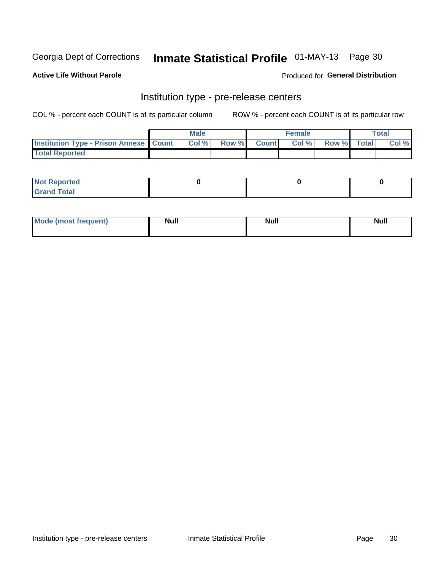# Inmate Statistical Profile 01-MAY-13 Page 30

**Active Life Without Parole** 

**Produced for General Distribution** 

# Institution type - pre-release centers

COL % - percent each COUNT is of its particular column

|                                                   | <b>Male</b> |              |       | <b>Female</b> |                    | <b>Total</b> |
|---------------------------------------------------|-------------|--------------|-------|---------------|--------------------|--------------|
| <b>Institution Type - Prison Annexe   Count  </b> | Col %       | <b>Row %</b> | Count | Col %         | <b>Row %</b> Total | Col %        |
| <b>Total Reported</b>                             |             |              |       |               |                    |              |

| <b>Reported</b><br>I NOT |  |  |
|--------------------------|--|--|
| <b>Total</b><br>$C$ ren  |  |  |

| $^{\prime}$ Mo <sub>t</sub><br>frequent)<br>⊥(most | <b>Null</b> | Noll<br><b>vull</b> | <b>Null</b> |
|----------------------------------------------------|-------------|---------------------|-------------|
|                                                    |             |                     |             |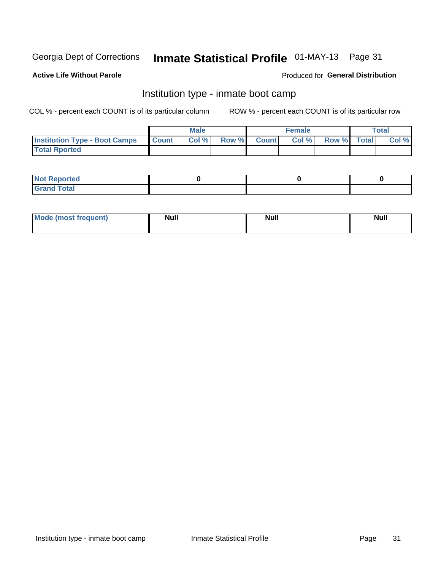# Inmate Statistical Profile 01-MAY-13 Page 31

### **Active Life Without Parole**

### **Produced for General Distribution**

# Institution type - inmate boot camp

COL % - percent each COUNT is of its particular column

|                                      |              | <b>Male</b> |             | <b>Female</b> |             | Total |
|--------------------------------------|--------------|-------------|-------------|---------------|-------------|-------|
| <b>Institution Type - Boot Camps</b> | <b>Count</b> | Col %       | Row % Count | Col%          | Row % Total | Col % |
| <b>Total Rported</b>                 |              |             |             |               |             |       |

| <b>Not Reported</b> |  |  |
|---------------------|--|--|
| <b>Total</b><br>Cro |  |  |

| <b>I Mode (most frequent)</b> | <b>Null</b> | <b>Null</b> | <b>Null</b> |
|-------------------------------|-------------|-------------|-------------|
|                               |             |             |             |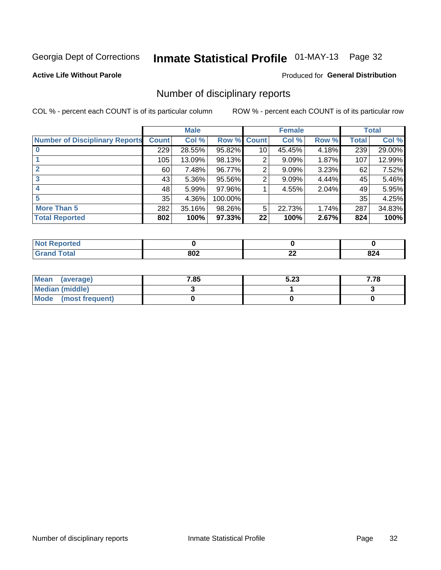# Inmate Statistical Profile 01-MAY-13 Page 32

### **Active Life Without Parole**

#### Produced for General Distribution

### Number of disciplinary reports

COL % - percent each COUNT is of its particular column

|                                       |              | <b>Male</b> |             |    | <b>Female</b> |       |       | <b>Total</b> |
|---------------------------------------|--------------|-------------|-------------|----|---------------|-------|-------|--------------|
| <b>Number of Disciplinary Reports</b> | <b>Count</b> | Col %       | Row % Count |    | Col %         | Row % | Total | Col %        |
|                                       | 229          | 28.55%      | 95.82%      | 10 | 45.45%        | 4.18% | 239   | 29.00%       |
|                                       | 105          | 13.09%      | 98.13%      | 2  | 9.09%         | 1.87% | 107   | 12.99%       |
| $\mathbf{2}$                          | 60           | 7.48%       | 96.77%      | 2  | 9.09%         | 3.23% | 62    | 7.52%        |
| 3                                     | 43           | $5.36\%$    | 95.56%      | 2  | 9.09%         | 4.44% | 45    | 5.46%        |
|                                       | 48           | 5.99%       | 97.96%      |    | 4.55%         | 2.04% | 49    | 5.95%        |
| 5                                     | 35           | 4.36%       | 100.00%     |    |               |       | 35    | 4.25%        |
| <b>More Than 5</b>                    | 282          | 35.16%      | 98.26%      | 5  | 22.73%        | 1.74% | 287   | 34.83%       |
| <b>Total Reported</b>                 | 802          | 100%        | 97.33%      | 22 | 100%          | 2.67% | 824   | 100%         |

| prted<br>NOT      |     |          |            |
|-------------------|-----|----------|------------|
| <sup>-</sup> otal | 802 | ^^<br>-- | nn.<br>044 |

| Mean (average)       | 7.85 | 5.23 | 7.78 |
|----------------------|------|------|------|
| Median (middle)      |      |      |      |
| Mode (most frequent) |      |      |      |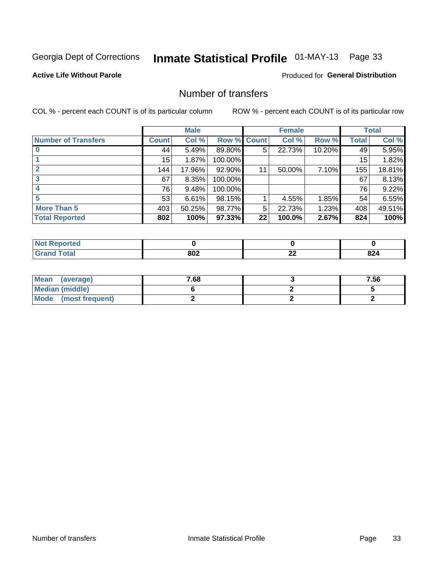# Inmate Statistical Profile 01-MAY-13 Page 33

### **Active Life Without Parole**

### **Produced for General Distribution**

# Number of transfers

COL % - percent each COUNT is of its particular column

|                            |         | <b>Male</b> |         |              | <b>Female</b> |        |              | <b>Total</b> |
|----------------------------|---------|-------------|---------|--------------|---------------|--------|--------------|--------------|
| <b>Number of Transfers</b> | Count l | Col %       | Row %   | <b>Count</b> | Col %         | Row %  | <b>Total</b> | Col %        |
|                            | 44      | 5.49%       | 89.80%  | 5            | 22.73%        | 10.20% | 49           | 5.95%        |
|                            | 15      | 1.87%       | 100.00% |              |               |        | 15           | 1.82%        |
|                            | 144     | 17.96%      | 92.90%  | 11           | 50.00%        | 7.10%  | 155          | 18.81%       |
| 3                          | 67      | 8.35%       | 100.00% |              |               |        | 67           | 8.13%        |
|                            | 76      | 9.48%       | 100.00% |              |               |        | 76           | 9.22%        |
| 5                          | 53      | 6.61%       | 98.15%  |              | 4.55%         | 1.85%  | 54           | 6.55%        |
| <b>More Than 5</b>         | 403     | 50.25%      | 98.77%  | 5            | 22.73%        | 1.23%  | 408          | 49.51%       |
| <b>Total Reported</b>      | 802     | 100%        | 97.33%  | 22           | 100.0%        | 2.67%  | 824          | 100%         |

| prted<br>NOT      |     |          |            |
|-------------------|-----|----------|------------|
| <sup>-</sup> otal | 802 | ^^<br>-- | nn.<br>044 |

| Mean (average)       | 7.68 | 7.56 |
|----------------------|------|------|
| Median (middle)      |      |      |
| Mode (most frequent) |      |      |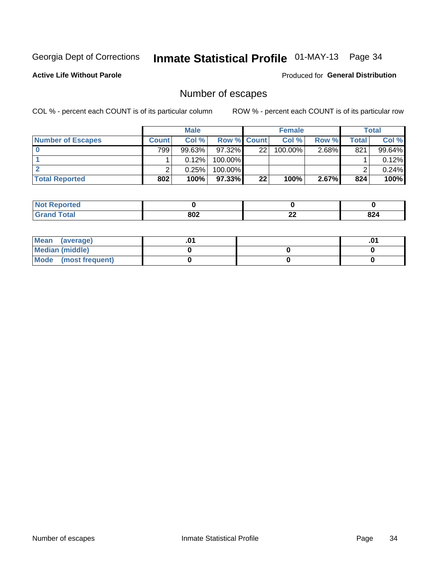# Inmate Statistical Profile 01-MAY-13 Page 34

**Active Life Without Parole** 

**Produced for General Distribution** 

# Number of escapes

COL % - percent each COUNT is of its particular column

|                          |         | <b>Male</b> |                    |    | <b>Female</b> |          |       | <b>Total</b> |
|--------------------------|---------|-------------|--------------------|----|---------------|----------|-------|--------------|
| <b>Number of Escapes</b> | Count l | Col %       | <b>Row % Count</b> |    | Col %         | Row %    | Total | Col %        |
|                          | 799     | $99.63\%$   | $97.32\%$          | 22 | $100.00\%$    | $2.68\%$ | 821   | 99.64%       |
|                          |         | 0.12%       | 100.00%            |    |               |          |       | 0.12%        |
|                          |         | 0.25%       | 100.00%            |    |               |          |       | 0.24%        |
| <b>Total Reported</b>    | 802     | 100%        | 97.33% I           | 22 | 100%          | 2.67%    | 824   | 100%         |

| <b>orted</b><br><b>NO</b> t<br>. Repor |     |              |     |
|----------------------------------------|-----|--------------|-----|
| <b>f</b> otal<br>Grand                 | 802 | $\sim$<br>LL | 824 |

| Mean (average)       |  | .01 |
|----------------------|--|-----|
| Median (middle)      |  |     |
| Mode (most frequent) |  |     |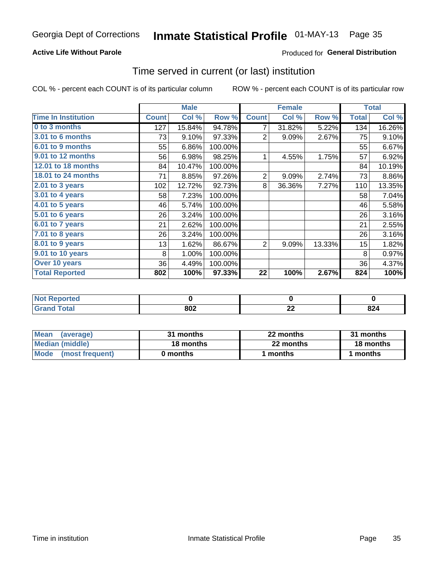# Inmate Statistical Profile 01-MAY-13 Page 35

### **Active Life Without Parole**

### **Produced for General Distribution**

### Time served in current (or last) institution

COL % - percent each COUNT is of its particular column

|                            |              | <b>Male</b> |         |                | <b>Female</b> |        |              | <b>Total</b> |
|----------------------------|--------------|-------------|---------|----------------|---------------|--------|--------------|--------------|
| <b>Time In Institution</b> | <b>Count</b> | Col %       | Row %   | <b>Count</b>   | Col %         | Row %  | <b>Total</b> | Col %        |
| 0 to 3 months              | 127          | 15.84%      | 94.78%  | 7              | 31.82%        | 5.22%  | 134          | 16.26%       |
| <b>3.01 to 6 months</b>    | 73           | 9.10%       | 97.33%  | 2              | 9.09%         | 2.67%  | 75           | 9.10%        |
| 6.01 to 9 months           | 55           | 6.86%       | 100.00% |                |               |        | 55           | 6.67%        |
| 9.01 to 12 months          | 56           | 6.98%       | 98.25%  | 1              | 4.55%         | 1.75%  | 57           | 6.92%        |
| 12.01 to 18 months         | 84           | 10.47%      | 100.00% |                |               |        | 84           | 10.19%       |
| <b>18.01 to 24 months</b>  | 71           | 8.85%       | 97.26%  | $\overline{2}$ | 9.09%         | 2.74%  | 73           | 8.86%        |
| $2.01$ to 3 years          | 102          | 12.72%      | 92.73%  | 8              | 36.36%        | 7.27%  | 110          | 13.35%       |
| 3.01 to 4 years            | 58           | 7.23%       | 100.00% |                |               |        | 58           | 7.04%        |
| 4.01 to 5 years            | 46           | 5.74%       | 100.00% |                |               |        | 46           | 5.58%        |
| 5.01 to 6 years            | 26           | 3.24%       | 100.00% |                |               |        | 26           | 3.16%        |
| 6.01 to 7 years            | 21           | 2.62%       | 100.00% |                |               |        | 21           | 2.55%        |
| 7.01 to 8 years            | 26           | 3.24%       | 100.00% |                |               |        | 26           | 3.16%        |
| 8.01 to 9 years            | 13           | 1.62%       | 86.67%  | $\overline{2}$ | 9.09%         | 13.33% | 15           | 1.82%        |
| 9.01 to 10 years           | 8            | 1.00%       | 100.00% |                |               |        | 8            | 0.97%        |
| Over 10 years              | 36           | 4.49%       | 100.00% |                |               |        | 36           | 4.37%        |
| <b>Total Reported</b>      | 802          | 100%        | 97.33%  | 22             | 100%          | 2.67%  | 824          | 100%         |

| <b>Reported</b><br><b>NOT</b> |            |              |                    |
|-------------------------------|------------|--------------|--------------------|
| <i>i</i> otal                 | 000<br>OVZ | $\sim$<br>-- | ົ<br>044<br>$\sim$ |

| <b>Mean</b><br>(average) | 31 months | 22 months | 31 months |
|--------------------------|-----------|-----------|-----------|
| Median (middle)          | 18 months | 22 months | 18 months |
| Mode (most frequent)     | 0 months  | 1 months  | 1 months  |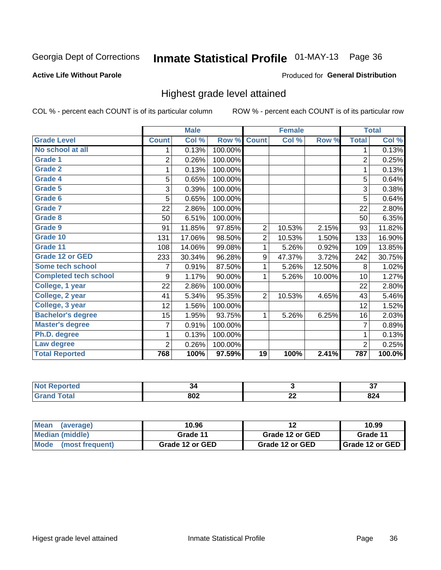# Inmate Statistical Profile 01-MAY-13 Page 36

#### **Active Life Without Parole**

#### Produced for General Distribution

### Highest grade level attained

COL % - percent each COUNT is of its particular column

|                              |                | <b>Male</b> |         |                | <b>Female</b> |        |                | <b>Total</b> |
|------------------------------|----------------|-------------|---------|----------------|---------------|--------|----------------|--------------|
| <b>Grade Level</b>           | <b>Count</b>   | Col %       | Row %   | <b>Count</b>   | Col %         | Row %  | <b>Total</b>   | Col %        |
| No school at all             | 1              | 0.13%       | 100.00% |                |               |        | 1              | 0.13%        |
| <b>Grade 1</b>               | $\overline{c}$ | 0.26%       | 100.00% |                |               |        | $\overline{2}$ | 0.25%        |
| <b>Grade 2</b>               | 1              | 0.13%       | 100.00% |                |               |        | 1              | 0.13%        |
| <b>Grade 4</b>               | 5              | 0.65%       | 100.00% |                |               |        | 5              | 0.64%        |
| Grade 5                      | 3              | 0.39%       | 100.00% |                |               |        | 3              | 0.38%        |
| Grade 6                      | 5              | 0.65%       | 100.00% |                |               |        | 5              | 0.64%        |
| <b>Grade 7</b>               | 22             | 2.86%       | 100.00% |                |               |        | 22             | 2.80%        |
| <b>Grade 8</b>               | 50             | 6.51%       | 100.00% |                |               |        | 50             | 6.35%        |
| <b>Grade 9</b>               | 91             | 11.85%      | 97.85%  | $\overline{2}$ | 10.53%        | 2.15%  | 93             | 11.82%       |
| Grade 10                     | 131            | 17.06%      | 98.50%  | $\overline{2}$ | 10.53%        | 1.50%  | 133            | 16.90%       |
| Grade 11                     | 108            | 14.06%      | 99.08%  | 1              | 5.26%         | 0.92%  | 109            | 13.85%       |
| <b>Grade 12 or GED</b>       | 233            | 30.34%      | 96.28%  | 9              | 47.37%        | 3.72%  | 242            | 30.75%       |
| <b>Some tech school</b>      | 7              | 0.91%       | 87.50%  | 1              | 5.26%         | 12.50% | 8              | 1.02%        |
| <b>Completed tech school</b> | 9              | 1.17%       | 90.00%  | 1              | 5.26%         | 10.00% | 10             | 1.27%        |
| College, 1 year              | 22             | 2.86%       | 100.00% |                |               |        | 22             | 2.80%        |
| College, 2 year              | 41             | 5.34%       | 95.35%  | 2              | 10.53%        | 4.65%  | 43             | 5.46%        |
| College, 3 year              | 12             | 1.56%       | 100.00% |                |               |        | 12             | 1.52%        |
| <b>Bachelor's degree</b>     | 15             | 1.95%       | 93.75%  | 1              | 5.26%         | 6.25%  | 16             | 2.03%        |
| <b>Master's degree</b>       | 7              | 0.91%       | 100.00% |                |               |        | 7              | 0.89%        |
| Ph.D. degree                 | 1              | 0.13%       | 100.00% |                |               |        | 1              | 0.13%        |
| Law degree                   | $\overline{2}$ | 0.26%       | 100.00% |                |               |        | $\overline{2}$ | 0.25%        |
| <b>Total Reported</b>        | 768            | 100%        | 97.59%  | 19             | 100%          | 2.41%  | 787            | 100.0%       |

| <b>REDORTED</b> | -34<br>- - |          | ^¬<br>. Je |
|-----------------|------------|----------|------------|
| <b>ota</b>      | 802        | ^^<br>-- | n n<br>044 |

| <b>Mean</b><br>(average) | 10.96           |                 | 10.99             |
|--------------------------|-----------------|-----------------|-------------------|
| Median (middle)          | Grade 11        | Grade 12 or GED | Grade 11          |
| Mode (most frequent)     | Grade 12 or GED | Grade 12 or GED | I Grade 12 or GED |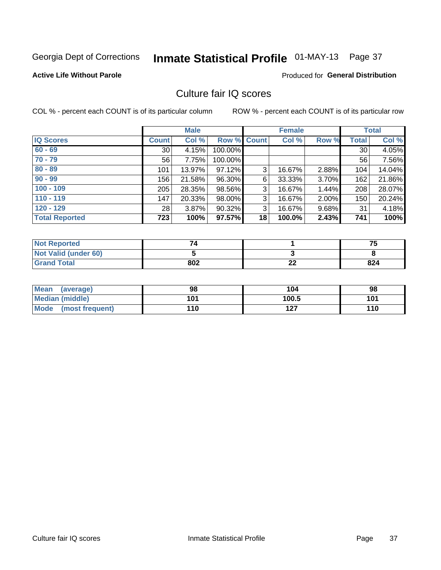# Inmate Statistical Profile 01-MAY-13 Page 37

### **Active Life Without Parole**

#### Produced for General Distribution

# Culture fair IQ scores

COL % - percent each COUNT is of its particular column

|                       |              | <b>Male</b> |                    |    | <b>Female</b> |          |              | <b>Total</b> |
|-----------------------|--------------|-------------|--------------------|----|---------------|----------|--------------|--------------|
| <b>IQ Scores</b>      | <b>Count</b> | Col %       | <b>Row % Count</b> |    | Col %         | Row %    | <b>Total</b> | Col %        |
| $60 - 69$             | 30           | 4.15%       | 100.00%            |    |               |          | 30           | 4.05%        |
| $70 - 79$             | 56           | 7.75%       | 100.00%            |    |               |          | 56           | 7.56%        |
| $80 - 89$             | 101          | 13.97%      | 97.12%             | 3  | 16.67%        | 2.88%    | 104          | 14.04%       |
| $90 - 99$             | 156          | 21.58%      | 96.30%             | 6  | 33.33%        | $3.70\%$ | 162          | 21.86%       |
| $100 - 109$           | 205          | 28.35%      | 98.56%             | 3  | 16.67%        | 1.44%    | 208          | 28.07%       |
| $110 - 119$           | 147          | 20.33%      | 98.00%             | 3  | 16.67%        | $2.00\%$ | 150          | 20.24%       |
| $120 - 129$           | 28           | 3.87%       | 90.32%             | 3  | 16.67%        | $9.68\%$ | 31           | 4.18%        |
| <b>Total Reported</b> | 723          | 100%        | 97.57%             | 18 | 100.0%        | 2.43%    | 741          | 100%         |

| <b>Not Reported</b>         |     |          | 75  |
|-----------------------------|-----|----------|-----|
| <b>Not Valid (under 60)</b> |     |          |     |
| <b>Grand Total</b>          | 802 | ^^<br>LL | 824 |

| Mean (average)       | 98  | 104   | 98  |
|----------------------|-----|-------|-----|
| Median (middle)      | 101 | 100.5 | 101 |
| Mode (most frequent) | 110 | 127   | 110 |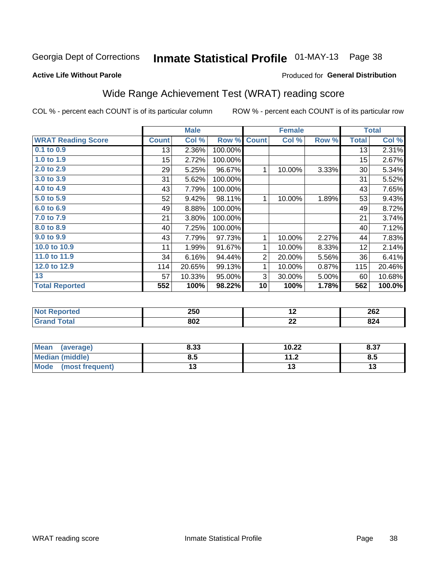# Inmate Statistical Profile 01-MAY-13 Page 38

#### **Active Life Without Parole**

# **Produced for General Distribution**

# Wide Range Achievement Test (WRAT) reading score

COL % - percent each COUNT is of its particular column

|                           |              | <b>Male</b> |         |                | <b>Female</b> |       |              | <b>Total</b> |
|---------------------------|--------------|-------------|---------|----------------|---------------|-------|--------------|--------------|
| <b>WRAT Reading Score</b> | <b>Count</b> | Col %       | Row %   | <b>Count</b>   | Col %         | Row % | <b>Total</b> | Col %        |
| $0.1$ to $0.9$            | 13           | 2.36%       | 100.00% |                |               |       | 13           | 2.31%        |
| 1.0 to 1.9                | 15           | 2.72%       | 100.00% |                |               |       | 15           | 2.67%        |
| 2.0 to 2.9                | 29           | 5.25%       | 96.67%  | 1              | 10.00%        | 3.33% | 30           | 5.34%        |
| 3.0 to 3.9                | 31           | 5.62%       | 100.00% |                |               |       | 31           | 5.52%        |
| 4.0 to 4.9                | 43           | 7.79%       | 100.00% |                |               |       | 43           | 7.65%        |
| 5.0 to 5.9                | 52           | 9.42%       | 98.11%  | 1              | 10.00%        | 1.89% | 53           | 9.43%        |
| 6.0 to 6.9                | 49           | 8.88%       | 100.00% |                |               |       | 49           | 8.72%        |
| 7.0 to 7.9                | 21           | 3.80%       | 100.00% |                |               |       | 21           | 3.74%        |
| 8.0 to 8.9                | 40           | 7.25%       | 100.00% |                |               |       | 40           | 7.12%        |
| 9.0 to 9.9                | 43           | 7.79%       | 97.73%  | 1              | 10.00%        | 2.27% | 44           | 7.83%        |
| 10.0 to 10.9              | 11           | 1.99%       | 91.67%  | 1              | 10.00%        | 8.33% | 12           | 2.14%        |
| 11.0 to 11.9              | 34           | 6.16%       | 94.44%  | $\overline{2}$ | 20.00%        | 5.56% | 36           | 6.41%        |
| 12.0 to 12.9              | 114          | 20.65%      | 99.13%  | 1              | 10.00%        | 0.87% | 115          | 20.46%       |
| 13                        | 57           | 10.33%      | 95.00%  | 3              | 30.00%        | 5.00% | 60           | 10.68%       |
| <b>Total Reported</b>     | 552          | 100%        | 98.22%  | 10             | 100%          | 1.78% | 562          | 100.0%       |

| <b>Not Reported</b> | 250 | . .          | 262        |
|---------------------|-----|--------------|------------|
| <b>Total</b>        | 802 | $\sim$<br>LL | ៰៱៱<br>O44 |

| <b>Mean</b><br>(average) | 8.33 | 10.22               | 8.37 |
|--------------------------|------|---------------------|------|
| Median (middle)          | ช. ა | 112<br>. . <u>.</u> | Ծ.J  |
| Mode<br>(most frequent)  |      |                     | יי   |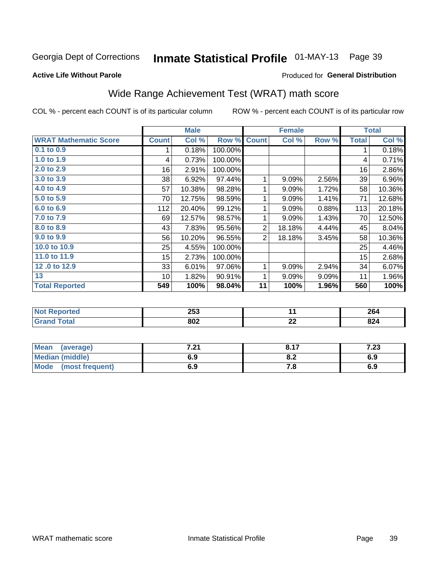# Inmate Statistical Profile 01-MAY-13 Page 39

#### **Active Life Without Parole**

# **Produced for General Distribution**

# Wide Range Achievement Test (WRAT) math score

COL % - percent each COUNT is of its particular column

|                              |                 | <b>Male</b> |         |                | <b>Female</b> |       |              | <b>Total</b> |
|------------------------------|-----------------|-------------|---------|----------------|---------------|-------|--------------|--------------|
| <b>WRAT Mathematic Score</b> | <b>Count</b>    | Col %       | Row %   | <b>Count</b>   | Col %         | Row % | <b>Total</b> | Col %        |
| 0.1 to 0.9                   | 1               | 0.18%       | 100.00% |                |               |       | 1            | 0.18%        |
| 1.0 to 1.9                   | 4               | 0.73%       | 100.00% |                |               |       | 4            | 0.71%        |
| $2.0$ to $2.9$               | 16              | 2.91%       | 100.00% |                |               |       | 16           | 2.86%        |
| 3.0 to 3.9                   | 38              | 6.92%       | 97.44%  | 1              | 9.09%         | 2.56% | 39           | 6.96%        |
| 4.0 to 4.9                   | 57              | 10.38%      | 98.28%  | 1              | 9.09%         | 1.72% | 58           | 10.36%       |
| 5.0 to 5.9                   | 70              | 12.75%      | 98.59%  | 1              | 9.09%         | 1.41% | 71           | 12.68%       |
| 6.0 to 6.9                   | 112             | 20.40%      | 99.12%  | 1              | 9.09%         | 0.88% | 113          | 20.18%       |
| 7.0 to 7.9                   | 69              | 12.57%      | 98.57%  | 1              | 9.09%         | 1.43% | 70           | 12.50%       |
| 8.0 to 8.9                   | 43              | 7.83%       | 95.56%  | $\overline{2}$ | 18.18%        | 4.44% | 45           | 8.04%        |
| 9.0 to 9.9                   | 56              | 10.20%      | 96.55%  | $\overline{2}$ | 18.18%        | 3.45% | 58           | 10.36%       |
| 10.0 to 10.9                 | 25              | 4.55%       | 100.00% |                |               |       | 25           | 4.46%        |
| 11.0 to 11.9                 | 15              | 2.73%       | 100.00% |                |               |       | 15           | 2.68%        |
| 12.0 to 12.9                 | 33              | 6.01%       | 97.06%  | 1              | 9.09%         | 2.94% | 34           | 6.07%        |
| 13                           | 10 <sup>1</sup> | 1.82%       | 90.91%  | 1              | 9.09%         | 9.09% | 11           | 1.96%        |
| <b>Total Reported</b>        | 549             | 100%        | 98.04%  | 11             | 100%          | 1.96% | 560          | 100%         |
|                              |                 |             |         |                |               |       |              |              |
| <b>Not Reported</b>          |                 | 253         |         |                | 11            |       |              | 264          |
| <b>Grand Total</b>           |                 | 802         |         |                | 22            |       |              | 824          |

| Mean (average)       | 7.04<br>1 . Z I | 8.17 | 1 ר?<br>د∡. ا |
|----------------------|-----------------|------|---------------|
| Median (middle)      | 6.9             | 0.Z  | 6.9           |
| Mode (most frequent) | 6.9             | 7. a | 6.9           |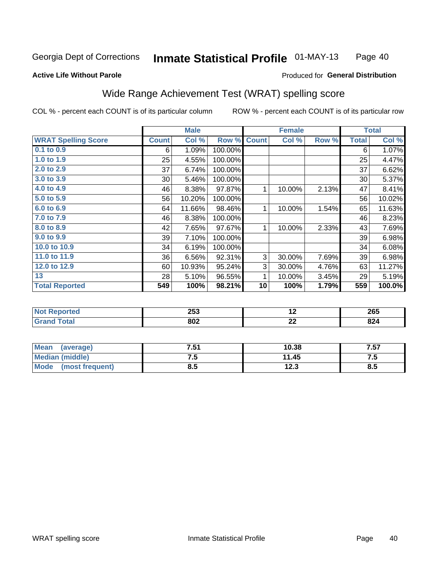#### **Inmate Statistical Profile 01-MAY-13** Page 40

#### **Active Life Without Parole**

### Produced for General Distribution

# Wide Range Achievement Test (WRAT) spelling score

COL % - percent each COUNT is of its particular column

|                            |              | <b>Male</b> |         |              | <b>Female</b> |       |              | <b>Total</b> |
|----------------------------|--------------|-------------|---------|--------------|---------------|-------|--------------|--------------|
| <b>WRAT Spelling Score</b> | <b>Count</b> | Col %       | Row %   | <b>Count</b> | Col %         | Row % | <b>Total</b> | Col %        |
| 0.1 to 0.9                 | 6            | 1.09%       | 100.00% |              |               |       | 6            | 1.07%        |
| 1.0 to 1.9                 | 25           | 4.55%       | 100.00% |              |               |       | 25           | 4.47%        |
| 2.0 to 2.9                 | 37           | 6.74%       | 100.00% |              |               |       | 37           | 6.62%        |
| 3.0 to 3.9                 | 30           | 5.46%       | 100.00% |              |               |       | 30           | 5.37%        |
| 4.0 to 4.9                 | 46           | 8.38%       | 97.87%  | 1            | 10.00%        | 2.13% | 47           | 8.41%        |
| 5.0 to 5.9                 | 56           | 10.20%      | 100.00% |              |               |       | 56           | 10.02%       |
| 6.0 to 6.9                 | 64           | 11.66%      | 98.46%  | 1            | 10.00%        | 1.54% | 65           | 11.63%       |
| 7.0 to 7.9                 | 46           | 8.38%       | 100.00% |              |               |       | 46           | 8.23%        |
| 8.0 to 8.9                 | 42           | 7.65%       | 97.67%  | 1            | 10.00%        | 2.33% | 43           | 7.69%        |
| 9.0 to 9.9                 | 39           | 7.10%       | 100.00% |              |               |       | 39           | 6.98%        |
| 10.0 to 10.9               | 34           | 6.19%       | 100.00% |              |               |       | 34           | 6.08%        |
| 11.0 to 11.9               | 36           | 6.56%       | 92.31%  | 3            | 30.00%        | 7.69% | 39           | 6.98%        |
| 12.0 to 12.9               | 60           | 10.93%      | 95.24%  | 3            | 30.00%        | 4.76% | 63           | 11.27%       |
| 13                         | 28           | 5.10%       | 96.55%  | 1            | 10.00%        | 3.45% | 29           | 5.19%        |
| <b>Total Reported</b>      | 549          | 100%        | 98.21%  | 10           | 100%          | 1.79% | 559          | 100.0%       |
|                            |              |             |         |              |               |       |              |              |
| <b>Not Reported</b>        |              | 253         |         | 12           |               |       |              | 265          |
| <b>Grand Total</b>         |              | 802         |         |              | 22            |       |              | 824          |

| Mean (average)         | 7.51 | 10.38 | 7.57 |
|------------------------|------|-------|------|
| <b>Median (middle)</b> | ن. ا | 11.45 | ن. ا |
| Mode (most frequent)   | 8.5  | 12.3  | 8.5  |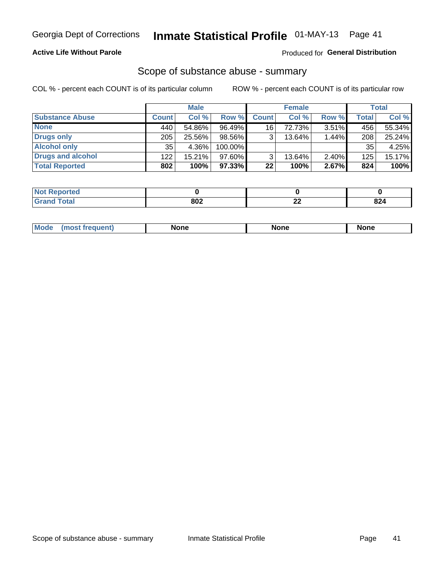# **Active Life Without Parole**

# **Produced for General Distribution**

# Scope of substance abuse - summary

COL % - percent each COUNT is of its particular column

|                        |              | <b>Male</b> |         |                 | <b>Female</b> |          |              | <b>Total</b> |
|------------------------|--------------|-------------|---------|-----------------|---------------|----------|--------------|--------------|
| <b>Substance Abuse</b> | <b>Count</b> | Col %       | Row %   | <b>Count</b>    | Col %         | Row %    | <b>Total</b> | Col %        |
| <b>None</b>            | 440          | 54.86%      | 96.49%  | 16              | 72.73%        | $3.51\%$ | 456          | 55.34%       |
| <b>Drugs only</b>      | 205          | 25.56%      | 98.56%  |                 | 13.64%        | 1.44%    | 208          | 25.24%       |
| <b>Alcohol only</b>    | 35           | 4.36%       | 100.00% |                 |               |          | 35           | 4.25%        |
| Drugs and alcohol      | 122          | $15.21\%$   | 97.60%  |                 | 13.64%        | $2.40\%$ | 125          | 15.17%       |
| <b>Total Reported</b>  | 802          | 100%        | 97.33%  | 22 <sub>1</sub> | 100%          | 2.67%    | 824          | 100%         |

| <b>Not</b><br><b>Reported</b> |     |          |             |
|-------------------------------|-----|----------|-------------|
| <b>Total</b><br><b>Grand</b>  | 802 | ^^<br>-- | nn /<br>044 |

| <b>Mod</b><br>'one<br>None<br><b>None</b> |
|-------------------------------------------|
|-------------------------------------------|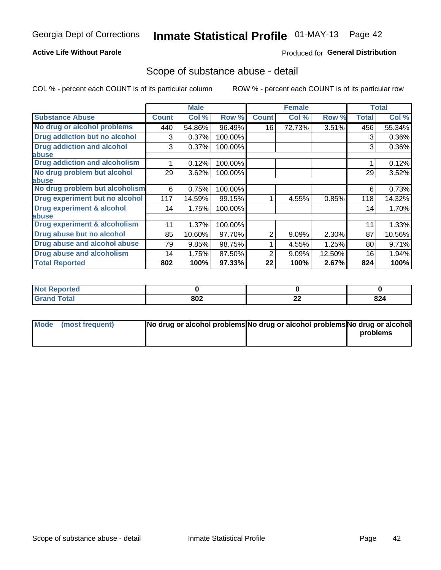## **Active Life Without Parole**

# **Produced for General Distribution**

# Scope of substance abuse - detail

COL % - percent each COUNT is of its particular column

|                                         |              | <b>Male</b> |         |              | <b>Female</b> |        |              | <b>Total</b> |
|-----------------------------------------|--------------|-------------|---------|--------------|---------------|--------|--------------|--------------|
| <b>Substance Abuse</b>                  | <b>Count</b> | Col %       | Row %   | <b>Count</b> | Col %         | Row %  | <b>Total</b> | Col %        |
| No drug or alcohol problems             | 440          | 54.86%      | 96.49%  | 16           | 72.73%        | 3.51%  | 456          | 55.34%       |
| Drug addiction but no alcohol           | 3            | 0.37%       | 100.00% |              |               |        | 3            | 0.36%        |
| <b>Drug addiction and alcohol</b>       | 3            | 0.37%       | 100.00% |              |               |        | 3            | 0.36%        |
| <b>labuse</b>                           |              |             |         |              |               |        |              |              |
| <b>Drug addiction and alcoholism</b>    |              | 0.12%       | 100.00% |              |               |        |              | 0.12%        |
| No drug problem but alcohol             | 29           | 3.62%       | 100.00% |              |               |        | 29           | 3.52%        |
| abuse                                   |              |             |         |              |               |        |              |              |
| No drug problem but alcoholism          | 6            | 0.75%       | 100.00% |              |               |        | 6            | 0.73%        |
| Drug experiment but no alcohol          | 117          | 14.59%      | 99.15%  |              | 4.55%         | 0.85%  | 118          | 14.32%       |
| <b>Drug experiment &amp; alcohol</b>    | 14           | 1.75%       | 100.00% |              |               |        | 14           | 1.70%        |
| abuse                                   |              |             |         |              |               |        |              |              |
| <b>Drug experiment &amp; alcoholism</b> | 11           | 1.37%       | 100.00% |              |               |        | 11           | 1.33%        |
| Drug abuse but no alcohol               | 85           | 10.60%      | 97.70%  | 2            | 9.09%         | 2.30%  | 87           | 10.56%       |
| Drug abuse and alcohol abuse            | 79           | 9.85%       | 98.75%  |              | 4.55%         | 1.25%  | 80           | 9.71%        |
| <b>Drug abuse and alcoholism</b>        | 14           | 1.75%       | 87.50%  | 2            | 9.09%         | 12.50% | 16           | 1.94%        |
| <b>Total Reported</b>                   | 802          | 100%        | 97.33%  | 22           | 100%          | 2.67%  | 824          | 100%         |

| ported<br><b>NOT</b> |     |    |     |
|----------------------|-----|----|-----|
| $\sim$               | 802 | 00 | 024 |
| _____                |     | 44 | 044 |

| Mode (most frequent) | No drug or alcohol problems No drug or alcohol problems No drug or alcohol |          |
|----------------------|----------------------------------------------------------------------------|----------|
|                      |                                                                            | problems |
|                      |                                                                            |          |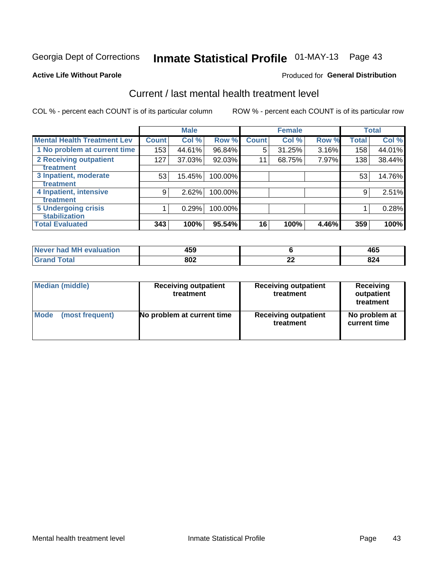# Inmate Statistical Profile 01-MAY-13 Page 43

#### **Active Life Without Parole**

# **Produced for General Distribution**

# Current / last mental health treatment level

COL % - percent each COUNT is of its particular column

|                                    |              | <b>Male</b> |         |              | <b>Female</b> |       |              | <b>Total</b> |
|------------------------------------|--------------|-------------|---------|--------------|---------------|-------|--------------|--------------|
| <b>Mental Health Treatment Lev</b> | <b>Count</b> | Col %       | Row %   | <b>Count</b> | Col %         | Row % | <b>Total</b> | Col %        |
| 1 No problem at current time       | 153          | 44.61%      | 96.84%  | 5            | 31.25%        | 3.16% | 158          | 44.01%       |
| 2 Receiving outpatient             | 127          | 37.03%      | 92.03%  | 11           | 68.75%        | 7.97% | 138          | 38.44%       |
| <b>Treatment</b>                   |              |             |         |              |               |       |              |              |
| 3 Inpatient, moderate              | 53           | 15.45%      | 100.00% |              |               |       | 53           | 14.76%       |
| <b>Treatment</b>                   |              |             |         |              |               |       |              |              |
| 4 Inpatient, intensive             | 9            | 2.62%       | 100.00% |              |               |       | 9            | 2.51%        |
| Treatment                          |              |             |         |              |               |       |              |              |
| <b>5 Undergoing crisis</b>         |              | 0.29%       | 100.00% |              |               |       |              | 0.28%        |
| <b>stabilization</b>               |              |             |         |              |               |       |              |              |
| <b>Total Evaluated</b>             | 343          | 100%        | 95.54%  | 16           | 100%          | 4.46% | 359          | 100%         |

| evaluation<br>-M'<br>Never I<br>nan | 459 |          | 1 r r<br>90-         |
|-------------------------------------|-----|----------|----------------------|
|                                     | 802 | n,<br>-- | nn.<br>044<br>$\sim$ |

| Median (middle) | <b>Receiving outpatient</b><br>treatment | <b>Receiving outpatient</b><br>treatment | <b>Receiving</b><br>outpatient<br>treatment |  |  |
|-----------------|------------------------------------------|------------------------------------------|---------------------------------------------|--|--|
| Mode            | No problem at current time               | <b>Receiving outpatient</b>              | No problem at                               |  |  |
| (most frequent) |                                          | treatment                                | current time                                |  |  |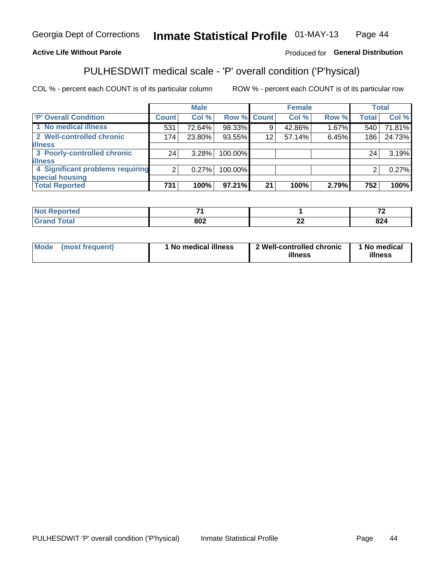#### Inmate Statistical Profile 01-MAY-13 Page 44

# **Active Life Without Parole**

## Produced for General Distribution

# PULHESDWIT medical scale - 'P' overall condition ('P'hysical)

COL % - percent each COUNT is of its particular column

|                                  |       | <b>Male</b> |             |    | <b>Female</b> |       |              | <b>Total</b> |
|----------------------------------|-------|-------------|-------------|----|---------------|-------|--------------|--------------|
| <b>'P' Overall Condition</b>     | Count | Col %       | Row % Count |    | Col %         | Row % | <b>Total</b> | Col %        |
| 1 No medical illness             | 531   | 72.64%      | 98.33%      |    | 42.86%        | 1.67% | 540          | 71.81%       |
| 2 Well-controlled chronic        | 174   | 23.80%      | 93.55%      | 12 | 57.14%        | 6.45% | 186          | 24.73%       |
| <b>illness</b>                   |       |             |             |    |               |       |              |              |
| 3 Poorly-controlled chronic      | 24    | 3.28%       | 100.00%     |    |               |       | 24           | 3.19%        |
| <b>illness</b>                   |       |             |             |    |               |       |              |              |
| 4 Significant problems requiring | 2     | $0.27\%$    | 100.00%     |    |               |       | 2            | 0.27%        |
| special housing                  |       |             |             |    |               |       |              |              |
| <b>Total Reported</b>            | 731   | 100%        | 97.21%      | 21 | 100%          | 2.79% | 752          | 100%         |

| _         |            | $\rightarrow$<br>. . |
|-----------|------------|----------------------|
| ൦൨൨<br>שפ | - -<br>--- | ---<br>-20           |

| Mode | (most frequent) | No medical illness | 2 Well-controlled chronic<br>illness | 1 No medical<br>illness |
|------|-----------------|--------------------|--------------------------------------|-------------------------|
|------|-----------------|--------------------|--------------------------------------|-------------------------|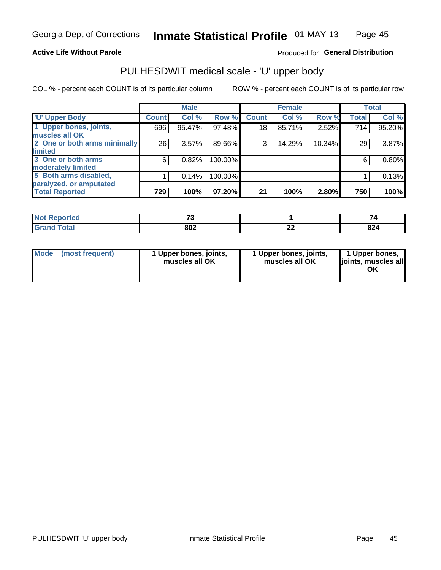### **Active Life Without Parole**

# Produced for General Distribution

# PULHESDWIT medical scale - 'U' upper body

COL % - percent each COUNT is of its particular column

|                              |              | <b>Male</b> |         |              | <b>Female</b> |        |              | <b>Total</b> |
|------------------------------|--------------|-------------|---------|--------------|---------------|--------|--------------|--------------|
| <b>U' Upper Body</b>         | <b>Count</b> | Col %       | Row %   | <b>Count</b> | Col %         | Row %  | <b>Total</b> | Col %        |
| 1 Upper bones, joints,       | 696          | 95.47%      | 97.48%  | 18           | 85.71%        | 2.52%  | 714          | 95.20%       |
| muscles all OK               |              |             |         |              |               |        |              |              |
| 2 One or both arms minimally | 26           | 3.57%       | 89.66%  | 3            | 14.29%        | 10.34% | 29           | 3.87%        |
| limited                      |              |             |         |              |               |        |              |              |
| 3 One or both arms           | 6            | 0.82%       | 100.00% |              |               |        | 6            | $0.80\%$     |
| moderately limited           |              |             |         |              |               |        |              |              |
| 5 Both arms disabled,        |              | 0.14%       | 100.00% |              |               |        |              | 0.13%        |
| paralyzed, or amputated      |              |             |         |              |               |        |              |              |
| <b>Total Reported</b>        | 729          | 100%        | 97.20%  | 21           | 100%          | 2.80%  | 750          | 100%         |

| <b>Not Reported</b><br>$\cdots$ | --  |    |               |
|---------------------------------|-----|----|---------------|
| <b>Total</b><br>------          | 802 | -- | $\sim$<br>824 |

| Mode | (most frequent) | 1 Upper bones, joints,<br>muscles all OK | 1 Upper bones, joints,<br>muscles all OK | 1 Upper bones,<br>ljoints, muscles all<br>ΟK |
|------|-----------------|------------------------------------------|------------------------------------------|----------------------------------------------|
|------|-----------------|------------------------------------------|------------------------------------------|----------------------------------------------|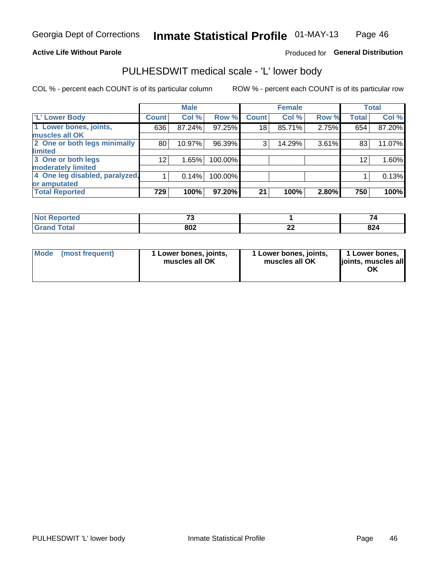## **Active Life Without Parole**

# Produced for General Distribution

# PULHESDWIT medical scale - 'L' lower body

COL % - percent each COUNT is of its particular column

|                                |                 | <b>Male</b> |         |              | <b>Female</b> |       |              | <b>Total</b> |
|--------------------------------|-----------------|-------------|---------|--------------|---------------|-------|--------------|--------------|
| 'L' Lower Body                 | <b>Count</b>    | Col %       | Row %   | <b>Count</b> | Col %         | Row % | <b>Total</b> | Col %        |
| 1 Lower bones, joints,         | 636             | 87.24%      | 97.25%  | 18           | 85.71%        | 2.75% | 654          | 87.20%       |
| muscles all OK                 |                 |             |         |              |               |       |              |              |
| 2 One or both legs minimally   | 80              | 10.97%      | 96.39%  | 3            | 14.29%        | 3.61% | 83           | 11.07%       |
| limited                        |                 |             |         |              |               |       |              |              |
| 3 One or both legs             | 12 <sub>1</sub> | 1.65%       | 100.00% |              |               |       | 12           | 1.60%        |
| moderately limited             |                 |             |         |              |               |       |              |              |
| 4 One leg disabled, paralyzed, |                 | 0.14%       | 100.00% |              |               |       |              | 0.13%        |
| or amputated                   |                 |             |         |              |               |       |              |              |
| <b>Total Reported</b>          | 729             | 100%        | 97.20%  | 21           | 100%          | 2.80% | 750          | 100%         |

| <b>Not Reported</b><br>$\cdots$ | --  |    |               |
|---------------------------------|-----|----|---------------|
| <b>Total</b><br>------          | 802 | -- | $\sim$<br>824 |

| Mode | (most frequent) | 1 Lower bones, joints,<br>muscles all OK | 1 Lower bones, joints,<br>muscles all OK | 1 Lower bones,<br>ljoints, muscles all<br>ΟK |
|------|-----------------|------------------------------------------|------------------------------------------|----------------------------------------------|
|------|-----------------|------------------------------------------|------------------------------------------|----------------------------------------------|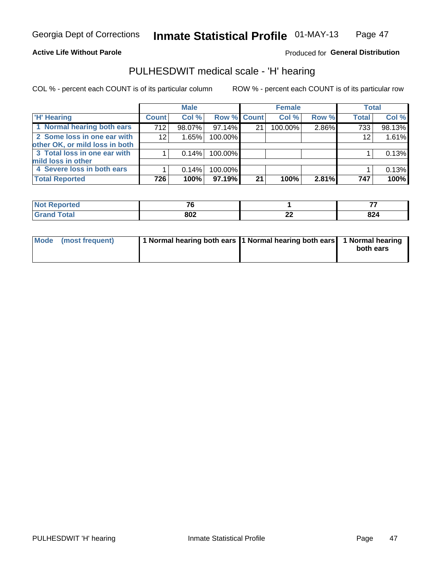#### **Active Life Without Parole**

# Produced for General Distribution

# PULHESDWIT medical scale - 'H' hearing

COL % - percent each COUNT is of its particular column

|                                |              | <b>Male</b> |                    |    | <b>Female</b> |       | <b>Total</b> |        |
|--------------------------------|--------------|-------------|--------------------|----|---------------|-------|--------------|--------|
| <b>H' Hearing</b>              | <b>Count</b> | Col %       | <b>Row % Count</b> |    | Col %         | Row % | <b>Total</b> | Col %  |
| 1 Normal hearing both ears     | 712          | 98.07%      | 97.14%             | 21 | 100.00%       | 2.86% | 733          | 98.13% |
| 2 Some loss in one ear with    | 12           | 1.65%       | 100.00%            |    |               |       | 12           | 1.61%  |
| other OK, or mild loss in both |              |             |                    |    |               |       |              |        |
| 3 Total loss in one ear with   |              | 0.14%       | 100.00%            |    |               |       |              | 0.13%  |
| mild loss in other             |              |             |                    |    |               |       |              |        |
| 4 Severe loss in both ears     |              | 0.14%       | 100.00%            |    |               |       |              | 0.13%  |
| <b>Total Reported</b>          | 726          | 100%        | 97.19%             | 21 | 100%          | 2.81% | 747          | 100%   |

| тео                         | --                |          |     |
|-----------------------------|-------------------|----------|-----|
| $\sim$ $\sim$ $\sim$ $\sim$ | nna<br><b>UV4</b> | ^'<br>-- | 824 |

| Mode (most frequent) | 1 Normal hearing both ears 1 Normal hearing both ears 1 Normal hearing | both ears |
|----------------------|------------------------------------------------------------------------|-----------|
|                      |                                                                        |           |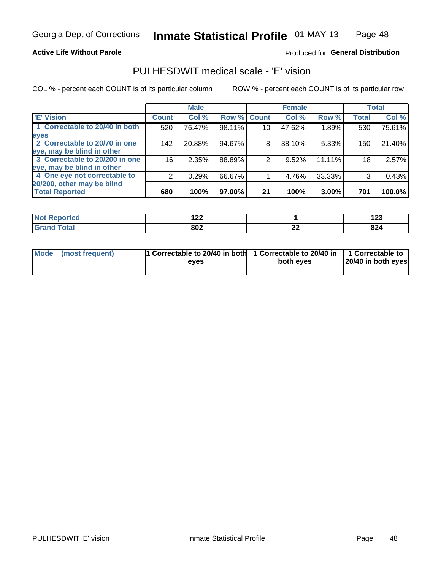### **Active Life Without Parole**

### Produced for General Distribution

# PULHESDWIT medical scale - 'E' vision

COL % - percent each COUNT is of its particular column

|                                |                 | <b>Male</b> |        |                 | <b>Female</b> |        |              | <b>Total</b> |
|--------------------------------|-----------------|-------------|--------|-----------------|---------------|--------|--------------|--------------|
| <b>E' Vision</b>               | <b>Count</b>    | Col %       | Row %  | <b>Count</b>    | Col %         | Row %  | <b>Total</b> | Col %        |
| 1 Correctable to 20/40 in both | 520             | 76.47%      | 98.11% | 10 <sub>1</sub> | 47.62%        | 1.89%  | 530          | 75.61%       |
| eyes                           |                 |             |        |                 |               |        |              |              |
| 2 Correctable to 20/70 in one  | 142             | 20.88%      | 94.67% | 8               | 38.10%        | 5.33%  | 150          | 21.40%       |
| eye, may be blind in other     |                 |             |        |                 |               |        |              |              |
| 3 Correctable to 20/200 in one | 16 <sub>1</sub> | 2.35%       | 88.89% |                 | 9.52%         | 11.11% | 18           | 2.57%        |
| eye, may be blind in other     |                 |             |        |                 |               |        |              |              |
| 4 One eye not correctable to   | 2               | 0.29%       | 66.67% |                 | 4.76%         | 33.33% | 3            | 0.43%        |
| 20/200, other may be blind     |                 |             |        |                 |               |        |              |              |
| <b>Total Reported</b>          | 680             | 100%        | 97.00% | 21              | 100%          | 3.00%  | 701          | 100.0%       |

| ਾ∩rted <b>ਅ</b><br>'N ( | י ה<br>17L |              | י ה<br><u>ی م</u> ا |
|-------------------------|------------|--------------|---------------------|
| $f \wedge f \wedge f'$  | 802        | $\sim$<br>LL | 824                 |

| Mode (most frequent) | <b>1</b> Correctable to 20/40 in both 1 Correctable to 20/40 in $\vert$ 1 Correctable to<br>eves | both eves | 20/40 in both eyes |
|----------------------|--------------------------------------------------------------------------------------------------|-----------|--------------------|
|                      |                                                                                                  |           |                    |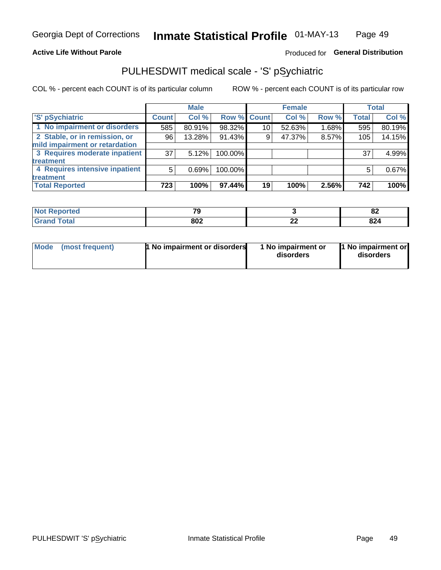#### **Active Life Without Parole**

# Produced for General Distribution

# PULHESDWIT medical scale - 'S' pSychiatric

COL % - percent each COUNT is of its particular column

|                                |              | <b>Male</b> |             |                 | <b>Female</b> |       |              | <b>Total</b> |
|--------------------------------|--------------|-------------|-------------|-----------------|---------------|-------|--------------|--------------|
| 'S' pSychiatric                | <b>Count</b> | Col %       | Row % Count |                 | Col %         | Row % | <b>Total</b> | Col %        |
| 1 No impairment or disorders   | 585          | 80.91%      | 98.32%      | 10 <sup>°</sup> | 52.63%        | 1.68% | 595          | 80.19%       |
| 2 Stable, or in remission, or  | 96           | 13.28%      | 91.43%      | 9               | 47.37%        | 8.57% | 105          | 14.15%       |
| mild impairment or retardation |              |             |             |                 |               |       |              |              |
| 3 Requires moderate inpatient  | 37           | 5.12%       | 100.00%     |                 |               |       | 37           | 4.99%        |
| treatment                      |              |             |             |                 |               |       |              |              |
| 4 Requires intensive inpatient | 5            | 0.69%       | 100.00%     |                 |               |       | 5            | 0.67%        |
| treatment                      |              |             |             |                 |               |       |              |              |
| <b>Total Reported</b>          | 723          | 100%        | 97.44%      | 19              | 100%          | 2.56% | 742          | 100%         |

| тес | 70          |          | . .<br><u>uz</u> |
|-----|-------------|----------|------------------|
|     | 802<br>$ -$ | ^^<br>-- | 824              |

| Mode | (most frequent) | <b>1 No impairment or disorders</b> | 1 No impairment or<br>disorders | 11 No impairment or<br>disorders |
|------|-----------------|-------------------------------------|---------------------------------|----------------------------------|
|------|-----------------|-------------------------------------|---------------------------------|----------------------------------|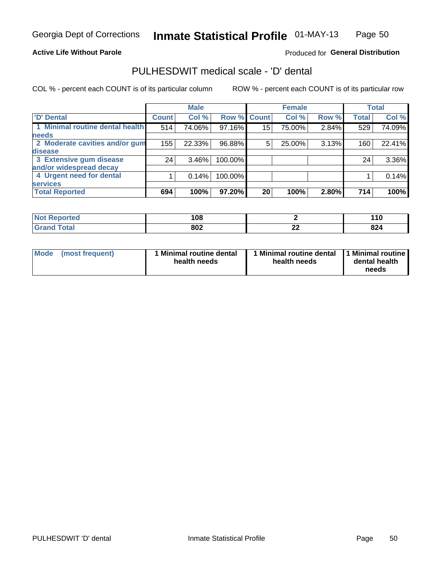### **Active Life Without Parole**

## Produced for General Distribution

# PULHESDWIT medical scale - 'D' dental

COL % - percent each COUNT is of its particular column

|                                 |                 | <b>Male</b> |         |             | <b>Female</b> |       |              | <b>Total</b> |
|---------------------------------|-----------------|-------------|---------|-------------|---------------|-------|--------------|--------------|
| 'D' Dental                      | <b>Count</b>    | Col %       |         | Row % Count | Col %         | Row % | <b>Total</b> | Col %        |
| 1 Minimal routine dental health | 514             | 74.06%      | 97.16%  | 15          | 75.00%        | 2.84% | 529          | 74.09%       |
| <b>needs</b>                    |                 |             |         |             |               |       |              |              |
| 2 Moderate cavities and/or gum  | 155             | 22.33%      | 96.88%  | 5           | 25.00%        | 3.13% | 160          | 22.41%       |
| disease                         |                 |             |         |             |               |       |              |              |
| 3 Extensive gum disease         | 24 <sub>1</sub> | $3.46\%$    | 100.00% |             |               |       | 24           | 3.36%        |
| and/or widespread decay         |                 |             |         |             |               |       |              |              |
| 4 Urgent need for dental        |                 | 0.14%       | 100.00% |             |               |       |              | 0.14%        |
| <b>services</b>                 |                 |             |         |             |               |       |              |              |
| <b>Total Reported</b>           | 694             | 100%        | 97.20%  | 20          | 100%          | 2.80% | 714          | 100%         |

| المناسب المتعاد<br>rtea<br>N<br>. | 100<br> |          | £<br>.u       |
|-----------------------------------|---------|----------|---------------|
| $f$ ata $f$                       | 802     | ^^<br>-- | $\sim$<br>824 |

| <b>Mode</b> | (most frequent) | Minimal routine dental<br>health needs | 1 Minimal routine dental 11 Minimal routine<br>health needs | dental health<br>needs |
|-------------|-----------------|----------------------------------------|-------------------------------------------------------------|------------------------|
|-------------|-----------------|----------------------------------------|-------------------------------------------------------------|------------------------|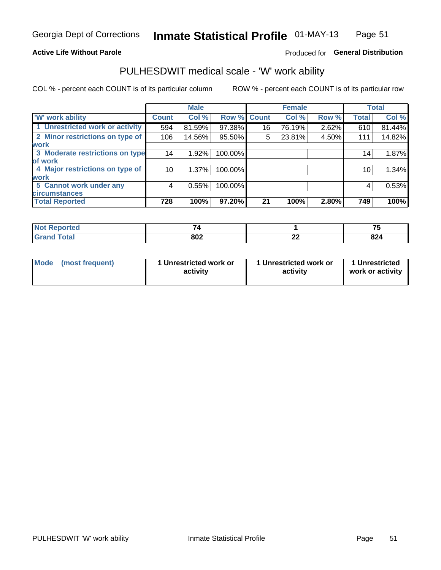### **Active Life Without Parole**

# Produced for General Distribution

# PULHESDWIT medical scale - 'W' work ability

COL % - percent each COUNT is of its particular column

|                                 |              | <b>Male</b> |         |             | <b>Female</b> |       |              | <b>Total</b> |
|---------------------------------|--------------|-------------|---------|-------------|---------------|-------|--------------|--------------|
| <b>W' work ability</b>          | <b>Count</b> | Col %       |         | Row % Count | Col %         | Row % | <b>Total</b> | Col %        |
| 1 Unrestricted work or activity | 594          | 81.59%      | 97.38%  | 16          | 76.19%        | 2.62% | 610          | 81.44%       |
| 2 Minor restrictions on type of | 106          | 14.56%      | 95.50%  | 5           | 23.81%        | 4.50% | 111          | 14.82%       |
| <b>work</b>                     |              |             |         |             |               |       |              |              |
| 3 Moderate restrictions on type | 14           | 1.92%       | 100.00% |             |               |       | 14           | 1.87%        |
| lof work                        |              |             |         |             |               |       |              |              |
| 4 Major restrictions on type of | 10           | $1.37\%$    | 100.00% |             |               |       | 10           | 1.34%        |
| <b>work</b>                     |              |             |         |             |               |       |              |              |
| 5 Cannot work under any         | 4            | 0.55%       | 100.00% |             |               |       | 4            | 0.53%        |
| <b>circumstances</b>            |              |             |         |             |               |       |              |              |
| <b>Total Reported</b>           | 728          | 100%        | 97.20%  | 21          | 100%          | 2.80% | 749          | 100%         |

| <b>Not Reported</b> | $-$ |         | --  |
|---------------------|-----|---------|-----|
| <b>Grand Total</b>  | 802 | ^^<br>" | 824 |

| Mode            | 1 Unrestricted work or | 1 Unrestricted work or | 1 Unrestricted   |
|-----------------|------------------------|------------------------|------------------|
| (most frequent) | activity               | activity               | work or activity |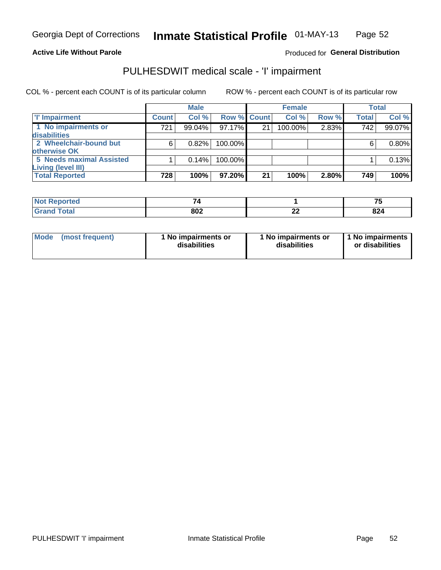#### **Active Life Without Parole**

# Produced for General Distribution

# PULHESDWIT medical scale - 'I' impairment

|                                             |              | <b>Male</b> |             |    | <b>Female</b> |       |              | <b>Total</b> |
|---------------------------------------------|--------------|-------------|-------------|----|---------------|-------|--------------|--------------|
| <b>T' Impairment</b>                        | <b>Count</b> | Col %       | Row % Count |    | Col%          | Row % | <b>Total</b> | Col %        |
| 1 No impairments or<br>disabilities         | 721          | 99.04%      | 97.17%      | 21 | 100.00%       | 2.83% | 742          | 99.07%       |
| 2 Wheelchair-bound but<br>otherwise OK      | 6            | 0.82%       | 100.00%     |    |               |       | 6            | $0.80\%$     |
| <b>5 Needs maximal Assisted</b>             |              | 0.14%       | 100.00%     |    |               |       |              | 0.13%        |
| Living (level III)<br><b>Total Reported</b> | 728          | 100%        | 97.20%      | 21 | 100%          | 2.80% | 749          | 100%         |

| ⊩Not Reborted⊦<br>110111 |     |         | --<br>. . |
|--------------------------|-----|---------|-----------|
| <b>Total</b>             | 802 | ~<br>-- | 824       |

| Mode            | 1 No impairments or | 1 No impairments or | 1 No impairments |
|-----------------|---------------------|---------------------|------------------|
| (most frequent) | disabilities        | disabilities        | or disabilities  |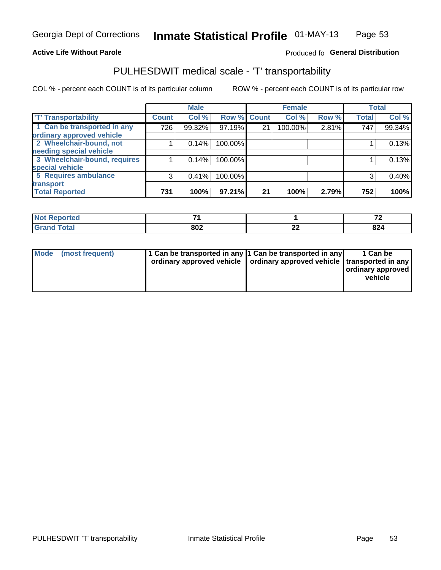### **Active Life Without Parole**

### Produced fo General Distribution

# PULHESDWIT medical scale - 'T' transportability

COL % - percent each COUNT is of its particular column

|                              |              | <b>Male</b> |             |    | <b>Female</b> |       |              | <b>Total</b> |
|------------------------------|--------------|-------------|-------------|----|---------------|-------|--------------|--------------|
| <b>T' Transportability</b>   | <b>Count</b> | Col %       | Row % Count |    | Col %         | Row % | <b>Total</b> | Col %        |
| 1 Can be transported in any  | 726          | 99.32%      | 97.19%      | 21 | 100.00%       | 2.81% | 747          | 99.34%       |
| ordinary approved vehicle    |              |             |             |    |               |       |              |              |
| 2 Wheelchair-bound, not      |              | 0.14%       | 100.00%     |    |               |       |              | 0.13%        |
| needing special vehicle      |              |             |             |    |               |       |              |              |
| 3 Wheelchair-bound, requires |              | 0.14%       | 100.00%     |    |               |       |              | 0.13%        |
| special vehicle              |              |             |             |    |               |       |              |              |
| 5 Requires ambulance         | 3            | 0.41%       | 100.00%     |    |               |       |              | 0.40%        |
| transport                    |              |             |             |    |               |       |              |              |
| <b>Total Reported</b>        | 731          | 100%        | 97.21%      | 21 | 100%          | 2.79% | 752          | 100%         |

| <b>NOT</b><br>oortea | $-$ |    | -~         |
|----------------------|-----|----|------------|
|                      | 802 | -- | nn.<br>044 |

| <b>Mode</b> | (most frequent) | 11 Can be transported in any 1 Can be transported in any<br>ordinary approved vehicle   ordinary approved vehicle   transported in any |  | 1 Can be<br>ordinary approved<br>vehicle |
|-------------|-----------------|----------------------------------------------------------------------------------------------------------------------------------------|--|------------------------------------------|
|-------------|-----------------|----------------------------------------------------------------------------------------------------------------------------------------|--|------------------------------------------|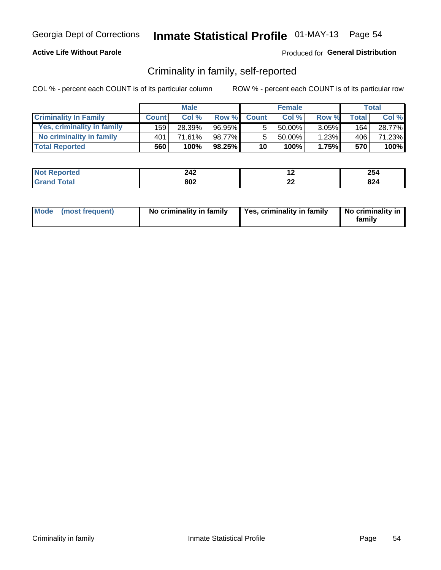## **Active Life Without Parole**

## Produced for General Distribution

# Criminality in family, self-reported

COL % - percent each COUNT is of its particular column

|                              |              | <b>Male</b> |        |                 | <b>Female</b> |          |       | Total  |
|------------------------------|--------------|-------------|--------|-----------------|---------------|----------|-------|--------|
| <b>Criminality In Family</b> | <b>Count</b> | Col%        | Row %  | <b>Count</b>    | Col %         | Row %    | Total | Col %  |
| Yes, criminality in family   | 159          | 28.39%      | 96.95% | 5               | $50.00\%$ ,   | $3.05\%$ | 164   | 28.77% |
| No criminality in family     | 401          | 71.61%      | 98.77% | 5               | $50.00\%$     | 1.23%    | 406   | 71.23% |
| <b>Total Reported</b>        | 560          | 100%        | 98.25% | 10 <sup>1</sup> | 100%          | 1.75%    | 570   | 100%   |

| <b>Not</b>             | າ 12                           | . . | OE.              |
|------------------------|--------------------------------|-----|------------------|
| <b>Reported</b>        | LTL                            |     | 2J4              |
| $n+n$<br>l Grs<br>____ | $\mathbf{0} \mathbf{0}$<br>OUZ | --  | nn<br><b>044</b> |

|  | Mode (most frequent) | No criminality in family | Yes, criminality in family | No criminality in<br>family |
|--|----------------------|--------------------------|----------------------------|-----------------------------|
|--|----------------------|--------------------------|----------------------------|-----------------------------|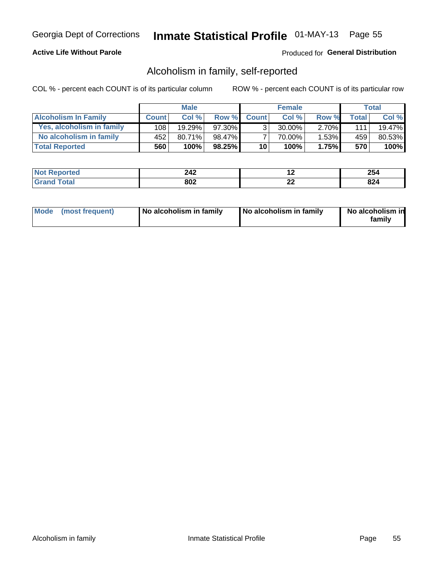# **Active Life Without Parole**

## Produced for General Distribution

# Alcoholism in family, self-reported

COL % - percent each COUNT is of its particular column

|                             |              | <b>Male</b> |        |                 | <b>Female</b> |          |              | Total   |
|-----------------------------|--------------|-------------|--------|-----------------|---------------|----------|--------------|---------|
| <b>Alcoholism In Family</b> | <b>Count</b> | Col%        | Row %  | <b>Count</b>    | Col%          | Row %    | <b>Total</b> | Col %   |
| Yes, alcoholism in family   | 108          | 19.29%      | 97.30% | 3 <sub>1</sub>  | 30.00%        | $2.70\%$ | 111          | 19.47%  |
| No alcoholism in family     | 452          | $80.71\%$   | 98.47% |                 | 70.00%        | 1.53%    | 459          | 80.53%  |
| <b>Total Reported</b>       | 560          | 100%        | 98.25% | 10 <sub>1</sub> | 100%          | 1.75%    | 570          | $100\%$ |

| Reported    | 242 |         | OE.                  |
|-------------|-----|---------|----------------------|
| <b>NO</b> t |     |         | ZJ4                  |
| <b>ota</b>  | 802 | .<br>-- | $\sim$<br><b>044</b> |

|  | Mode (most frequent) | No alcoholism in family | No alcoholism in family | No alcoholism in<br>family |
|--|----------------------|-------------------------|-------------------------|----------------------------|
|--|----------------------|-------------------------|-------------------------|----------------------------|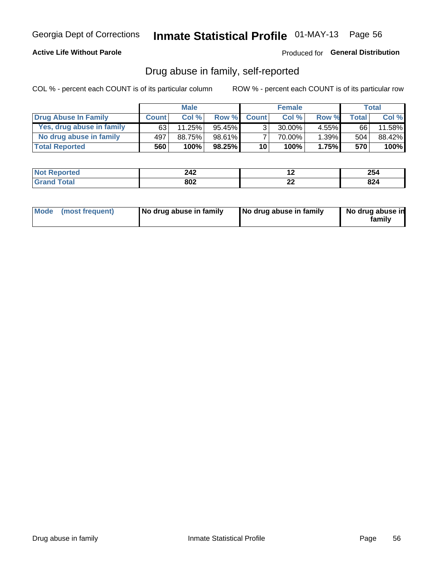## **Active Life Without Parole**

Produced for General Distribution

# Drug abuse in family, self-reported

COL % - percent each COUNT is of its particular column

|                           |              | <b>Male</b> |           |                 | <b>Female</b> |          |       | Total   |
|---------------------------|--------------|-------------|-----------|-----------------|---------------|----------|-------|---------|
| Drug Abuse In Family      | <b>Count</b> | Col%        | Row %     | <b>Count</b>    | Col%          | Row %    | Total | Col %   |
| Yes, drug abuse in family | 63           | 11.25%      | 95.45%    | 3 <sub>1</sub>  | $30.00\%$     | $4.55\%$ | 66    | 11.58%  |
| No drug abuse in family   | 497          | 88.75%      | 98.61%    |                 | 70.00%        | 1.39%    | 504   | 88.42%  |
| <b>Total Reported</b>     | 560          | 100%        | $98.25\%$ | 10 <sub>1</sub> | 100%          | 1.75%    | 570   | $100\%$ |

| المنتقب بالتعبين | 242 | . .            | OE.               |
|------------------|-----|----------------|-------------------|
| <b>eported</b>   |     |                | 2J4               |
| otal             | 802 | ~<br><u>__</u> | or.<br><b>044</b> |

|  | Mode (most frequent) | No drug abuse in family | No drug abuse in family | No drug abuse in<br>family |
|--|----------------------|-------------------------|-------------------------|----------------------------|
|--|----------------------|-------------------------|-------------------------|----------------------------|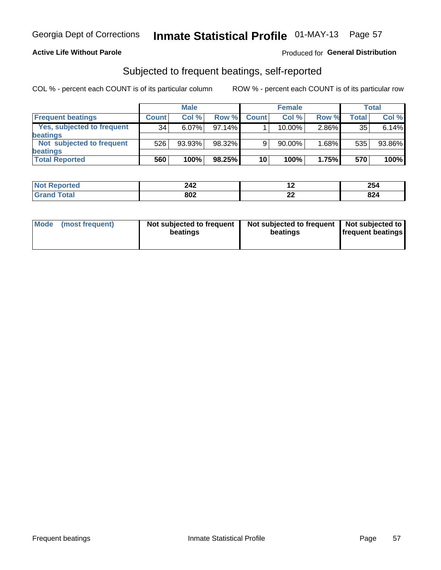## **Active Life Without Parole**

## Produced for General Distribution

# Subjected to frequent beatings, self-reported

COL % - percent each COUNT is of its particular column

|                                   |              | <b>Male</b> |        |              | <b>Female</b> |       |         | Total  |
|-----------------------------------|--------------|-------------|--------|--------------|---------------|-------|---------|--------|
| <b>Frequent beatings</b>          | <b>Count</b> | Col %       | Row %  | <b>Count</b> | Col %         | Row % | Total . | Col %  |
| <b>Yes, subjected to frequent</b> | 34           | 6.07%       | 97.14% |              | 10.00%        | 2.86% | 35      | 6.14%  |
| beatings                          |              |             |        |              |               |       |         |        |
| Not subjected to frequent         | 526          | 93.93%      | 98.32% | 9            | 90.00%        | 1.68% | 535     | 93.86% |
| beatings                          |              |             |        |              |               |       |         |        |
| <b>Total Reported</b>             | 560          | 100%        | 98.25% | 10           | 100%          | 1.75% | 570     | 100%   |

| <b>Not Reported</b> | 242 | . . | 254 |
|---------------------|-----|-----|-----|
| Total               | 802 | LL  | 824 |

| (most frequent)<br>Not subjected to frequent<br><b>Mode</b><br>beatings | Not subjected to frequent   Not subjected to<br>beatings | <b>frequent beatings</b> |
|-------------------------------------------------------------------------|----------------------------------------------------------|--------------------------|
|-------------------------------------------------------------------------|----------------------------------------------------------|--------------------------|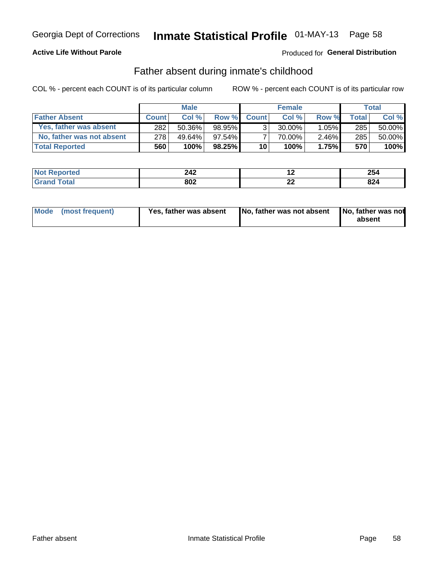# **Active Life Without Parole**

# **Produced for General Distribution**

# Father absent during inmate's childhood

COL % - percent each COUNT is of its particular column

|                           |              | <b>Male</b> |           |                 | <b>Female</b> |          |       | Total  |
|---------------------------|--------------|-------------|-----------|-----------------|---------------|----------|-------|--------|
| <b>Father Absent</b>      | <b>Count</b> | Col%        | Row %     | <b>Count</b>    | Col %         | Row %    | Total | Col %  |
| Yes, father was absent    | 282          | 50.36%      | 98.95%    | 3 <sub>1</sub>  | $30.00\%$     | $1.05\%$ | 285   | 50.00% |
| No, father was not absent | 278          | 49.64%      | $97.54\%$ |                 | 70.00%        | $2.46\%$ | 285   | 50.00% |
| <b>Total Reported</b>     | 560          | 100%        | $98.25\%$ | 10 <sup>1</sup> | 100%          | 1.75%    | 570   | 100%   |

| <b>Not Reported</b> | 242 | . . | OE.<br>204    |
|---------------------|-----|-----|---------------|
| <sup>F</sup> otal   | 802 | --  | 824           |
| ' Grani             |     |     | $\sim$ $\sim$ |

|  | Mode (most frequent) | Yes, father was absent | <b>No. father was not absent</b> | No, father was not<br>absent |
|--|----------------------|------------------------|----------------------------------|------------------------------|
|--|----------------------|------------------------|----------------------------------|------------------------------|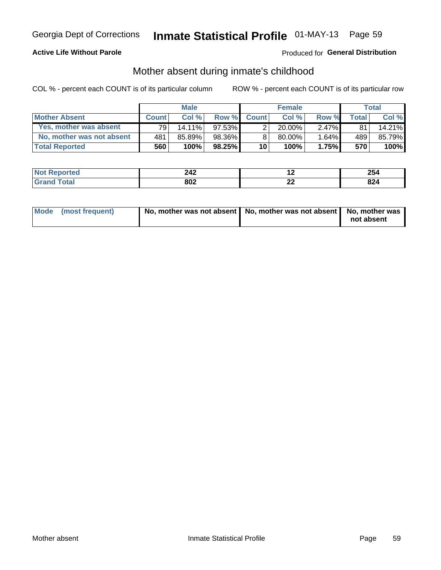# **Active Life Without Parole**

# **Produced for General Distribution**

# Mother absent during inmate's childhood

COL % - percent each COUNT is of its particular column

|                           |              | <b>Male</b> |           |                 | <b>Female</b> |          |       | Total  |
|---------------------------|--------------|-------------|-----------|-----------------|---------------|----------|-------|--------|
| <b>Mother Absent</b>      | <b>Count</b> | Col%        | Row %     | <b>Count</b>    | Col%          | Row %    | Total | Col %  |
| Yes, mother was absent    | 791          | $14.11\%$   | $97.53\%$ | 2               | $20.00\%$     | $2.47\%$ | 81    | 14.21% |
| No, mother was not absent | 481          | 85.89%      | 98.36%    | 8               | 80.00%        | 1.64%    | 489   | 85.79% |
| <b>Total Reported</b>     | 560          | 100%        | 98.25%    | 10 <sup>1</sup> | 100%          | 1.75%    | 570   | 100%   |

| Reported    | 242 |         | OE.                  |
|-------------|-----|---------|----------------------|
| <b>NO</b> t |     |         | ZJ4                  |
| <b>ota</b>  | 802 | .<br>-- | $\sim$<br><b>044</b> |

| Mode (most frequent) | No, mother was not absent   No, mother was not absent   No, mother was | not absent |
|----------------------|------------------------------------------------------------------------|------------|
|                      |                                                                        |            |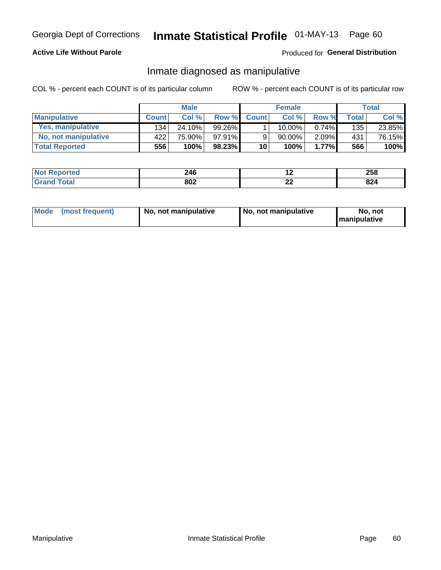## **Active Life Without Parole**

## Produced for General Distribution

# Inmate diagnosed as manipulative

COL % - percent each COUNT is of its particular column

|                       |              | <b>Male</b> |          |              | <b>Female</b> |          |       | Total  |
|-----------------------|--------------|-------------|----------|--------------|---------------|----------|-------|--------|
| <b>Manipulative</b>   | <b>Count</b> | Col %       | Row %    | <b>Count</b> | Col %         | Row %    | Total | Col %  |
| Yes, manipulative     | 134          | 24.10%      | 99.26% ∎ |              | 10.00%        | $0.74\%$ | 135   | 23.85% |
| No, not manipulative  | 422          | 75.90%      | 97.91%   | 9            | $90.00\%$     | $2.09\%$ | 431   | 76.15% |
| <b>Total Reported</b> | 556          | 100%        | 98.23%   | 10           | 100%          | $1.77\%$ | 566   | 100%   |

| <b>Not</b><br><b>Reported</b> | <b>9</b> ላይ<br>44 V     | .  | 258 |
|-------------------------------|-------------------------|----|-----|
| ota                           | $\mathbf{0} \mathbf{0}$ | ^^ | 824 |
| Grar                          | ουΖ                     |    |     |

|  | Mode (most frequent) | No, not manipulative | No, not manipulative | No. not<br><b>I</b> manipulative |
|--|----------------------|----------------------|----------------------|----------------------------------|
|--|----------------------|----------------------|----------------------|----------------------------------|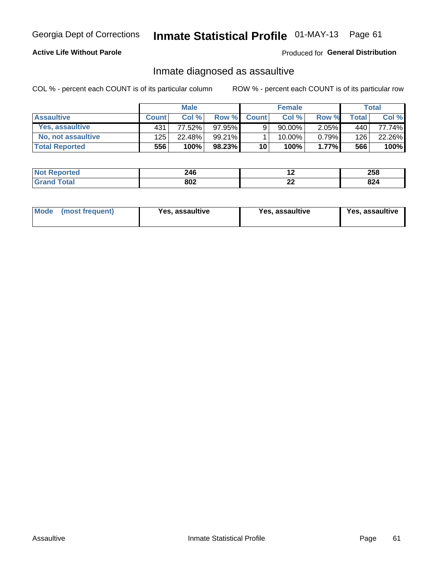# Inmate Statistical Profile 01-MAY-13 Page 61

# **Active Life Without Parole**

Produced for General Distribution

# Inmate diagnosed as assaultive

COL % - percent each COUNT is of its particular column

|                       |              | <b>Male</b> |           |              | <b>Female</b> |          |       | Total  |
|-----------------------|--------------|-------------|-----------|--------------|---------------|----------|-------|--------|
| <b>Assaultive</b>     | <b>Count</b> | Col%        | Row %     | <b>Count</b> | Col%          | Row %    | Total | Col %  |
| Yes, assaultive       | 431          | 77.52%      | 97.95%    | 9            | 90.00%        | $2.05\%$ | 440   | 77.74% |
| No, not assaultive    | 125          | 22.48%      | 99.21%I   |              | $10.00\%$ .   | $0.79\%$ | 126   | 22.26% |
| <b>Total Reported</b> | 556          | 100%        | $98.23\%$ | 10           | 100%          | $1.77\%$ | 566   | 100%   |

| <b>Not</b><br><b>Reported</b> | 246 | . .      | 258           |
|-------------------------------|-----|----------|---------------|
| <b>otal</b>                   | 802 | n.<br>-- | $\sim$<br>044 |

| Mode (most frequent)<br>Yes, assaultive | Yes, assaultive | <b>Yes, assaultive</b> |
|-----------------------------------------|-----------------|------------------------|
|-----------------------------------------|-----------------|------------------------|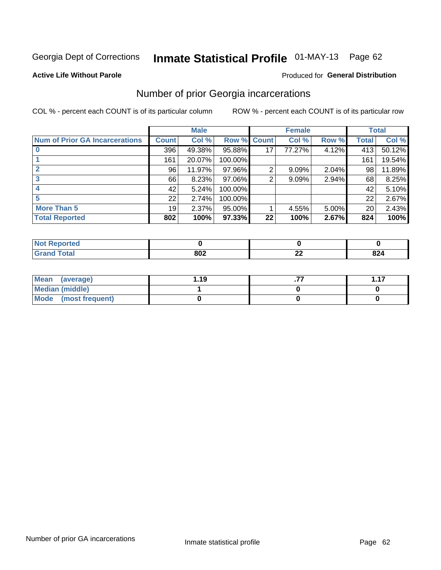# Inmate Statistical Profile 01-MAY-13 Page 62

#### **Active Life Without Parole**

# **Produced for General Distribution**

# Number of prior Georgia incarcerations

COL % - percent each COUNT is of its particular column

|                                       | <b>Male</b>     |        |                    |    | <b>Female</b> | <b>Total</b> |       |        |
|---------------------------------------|-----------------|--------|--------------------|----|---------------|--------------|-------|--------|
| <b>Num of Prior GA Incarcerations</b> | <b>Count</b>    | Col %  | <b>Row % Count</b> |    | Col %         | Row %        | Total | Col %  |
|                                       | 396             | 49.38% | 95.88%             |    | 77.27%        | 4.12%        | 413   | 50.12% |
|                                       | 161             | 20.07% | 100.00%            |    |               |              | 161   | 19.54% |
|                                       | 96              | 11.97% | 97.96%             | 2  | 9.09%         | 2.04%        | 98    | 11.89% |
| 3                                     | 66              | 8.23%  | 97.06%             | 2  | 9.09%         | 2.94%        | 68    | 8.25%  |
|                                       | 42              | 5.24%  | 100.00%            |    |               |              | 42    | 5.10%  |
| 5                                     | 22              | 2.74%  | 100.00%            |    |               |              | 22    | 2.67%  |
| <b>More Than 5</b>                    | 19 <sup>1</sup> | 2.37%  | 95.00%             |    | 4.55%         | 5.00%        | 20    | 2.43%  |
| <b>Total Reported</b>                 | 802             | 100%   | 97.33%             | 22 | 100%          | 2.67%        | 824   | 100%   |

| <b>orteo</b>                |            |               |     |
|-----------------------------|------------|---------------|-----|
| <b>otal</b><br>$\mathbf{u}$ | 000<br>ouz | $\sim$<br>--- | 824 |

| Mean (average)       | 1.19 | -47 |
|----------------------|------|-----|
| Median (middle)      |      |     |
| Mode (most frequent) |      |     |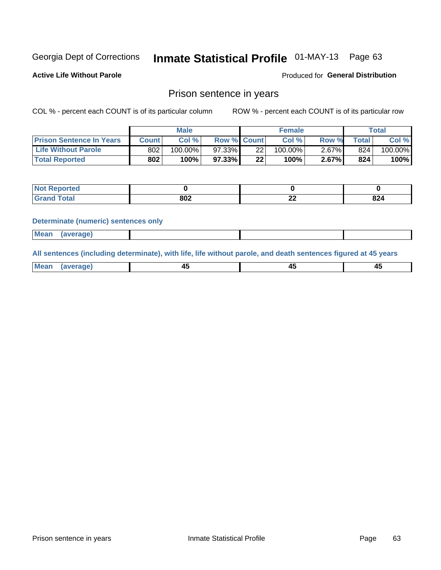# Inmate Statistical Profile 01-MAY-13 Page 63

**Active Life Without Parole** 

Produced for General Distribution

# Prison sentence in years

COL % - percent each COUNT is of its particular column

ROW % - percent each COUNT is of its particular row

|                                 | <b>Male</b> |            |                    | <b>Female</b> |            |       | Total       |         |
|---------------------------------|-------------|------------|--------------------|---------------|------------|-------|-------------|---------|
| <b>Prison Sentence In Years</b> | Count l     | Col %      | <b>Row % Count</b> |               | Col %      | Row % | $\tau$ otal | Col %   |
| <b>Life Without Parole</b>      | 802         | $100.00\%$ | 97.33%             | 22            | $100.00\%$ | 2.67% | 824         | 100.00% |
| <b>Total Reported</b>           | 802         | 100%       | 97.33%             | 22            | 100%       | 2.67% | 824         | 100%    |

| <b>Not Reported</b> |     |          |     |
|---------------------|-----|----------|-----|
| <b>Total</b>        | 802 | ~<br>--- | 824 |

#### **Determinate (numeric) sentences only**

| <b>Mean</b> | <i>(average)</i> |  |  |
|-------------|------------------|--|--|
|             |                  |  |  |

All sentences (including determinate), with life, life without parole, and death sentences figured at 45 years

| $M$ ea<br>(average) | $\sim$ | ,,<br>т. |
|---------------------|--------|----------|
|                     |        |          |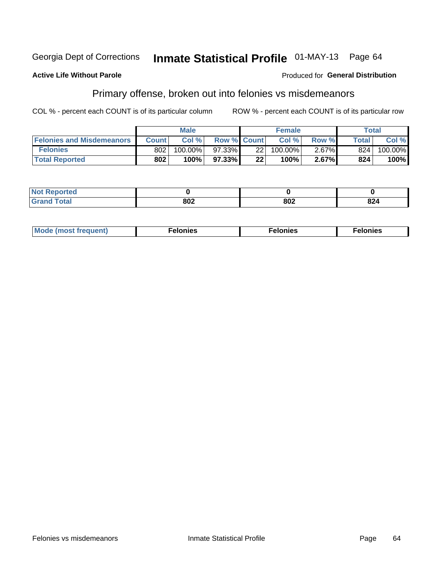#### **Active Life Without Parole**

#### Produced for General Distribution

# Primary offense, broken out into felonies vs misdemeanors

COL % - percent each COUNT is of its particular column

|                                  | <b>Male</b>  |         |                    | <b>Female</b> |         |          | Total              |         |
|----------------------------------|--------------|---------|--------------------|---------------|---------|----------|--------------------|---------|
| <b>Felonies and Misdemeanors</b> | <b>Count</b> | Col%    | <b>Row % Count</b> |               | Col%    | Row %    | Total <sub>1</sub> | Col %   |
| <b>Felonies</b>                  | 802          | 100.00% | $97.33\%$          | 22            | 100.00% | $2.67\%$ | 824                | 100.00% |
| <b>Total Reported</b>            | 802          | $100\%$ | 97.33%             | 22            | 100%    | 2.67%    | 824                | 100%    |

| <b>Not Reported</b>         |            |     |     |
|-----------------------------|------------|-----|-----|
| <b>Total</b><br>Gran<br>uuu | onn<br>אטנ | 802 | 824 |

| <b>Mode</b><br>frequent)<br>nies<br>≧ (most tr.<br>. | onies<br>. | lonies<br>ею<br>____ |
|------------------------------------------------------|------------|----------------------|
|------------------------------------------------------|------------|----------------------|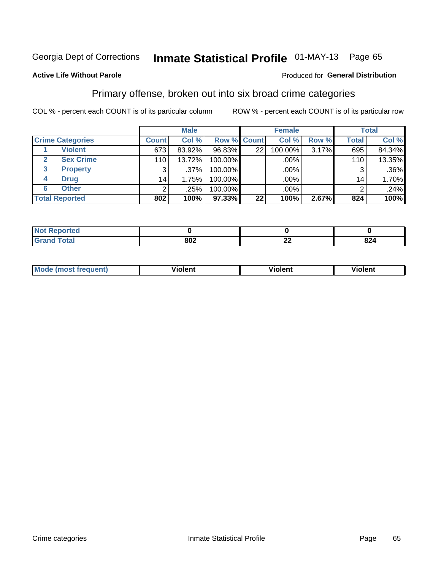# Inmate Statistical Profile 01-MAY-13 Page 65

### **Active Life Without Parole**

#### Produced for General Distribution

# Primary offense, broken out into six broad crime categories

COL % - percent each COUNT is of its particular column

|                         |                 | <b>Male</b> |         |                    | <b>Female</b> |       |                 | <b>Total</b> |
|-------------------------|-----------------|-------------|---------|--------------------|---------------|-------|-----------------|--------------|
| <b>Crime Categories</b> | <b>Count</b>    | Col %       |         | <b>Row % Count</b> | Col %         | Row % | <b>Total</b>    | Col %        |
| <b>Violent</b>          | 673             | 83.92%      | 96.83%  | 22 <sub>1</sub>    | 100.00%       | 3.17% | 695             | 84.34%       |
| <b>Sex Crime</b>        | 110             | 13.72%      | 100.00% |                    | .00%          |       | 110             | 13.35%       |
| 3<br><b>Property</b>    | 3               | .37%        | 100.00% |                    | .00%          |       | 3               | $.36\%$      |
| <b>Drug</b><br>4        | 14 <sub>1</sub> | 1.75%       | 100.00% |                    | .00%          |       | 14 <sub>1</sub> | 1.70%        |
| <b>Other</b><br>6       | $\overline{2}$  | .25%        | 100.00% |                    | .00%          |       | 2               | .24%         |
| <b>Total Reported</b>   | 802             | 100%        | 97.33%  | 22                 | 100%          | 2.67% | 824             | 100%         |

| <b>Not Reported</b> |     |          |     |
|---------------------|-----|----------|-----|
| <b>Total</b>        | 802 | ^^<br>-- | 824 |

| M | <br>. |  |
|---|-------|--|
|   |       |  |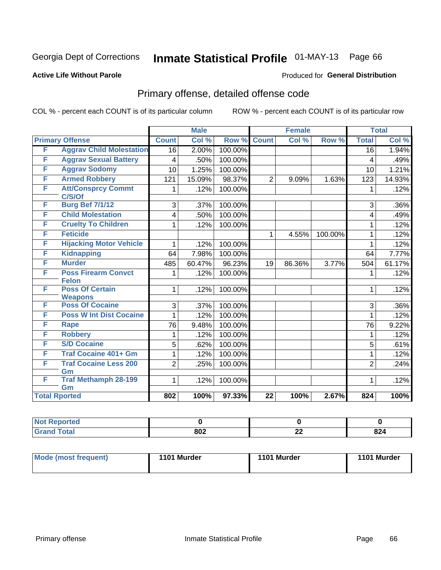# Inmate Statistical Profile 01-MAY-13 Page 66

#### **Active Life Without Parole**

#### Produced for General Distribution

# Primary offense, detailed offense code

COL % - percent each COUNT is of its particular column

|   |                                          |                  | <b>Male</b> |         |                 | <b>Female</b> |         | <b>Total</b>   |        |
|---|------------------------------------------|------------------|-------------|---------|-----------------|---------------|---------|----------------|--------|
|   | <b>Primary Offense</b>                   | <b>Count</b>     | Col %       | Row %   | <b>Count</b>    | Col%          | Row %   | <b>Total</b>   | Col %  |
| F | <b>Aggrav Child Molestation</b>          | 16               | 2.00%       | 100.00% |                 |               |         | 16             | 1.94%  |
| F | <b>Aggrav Sexual Battery</b>             | 4                | .50%        | 100.00% |                 |               |         | 4              | .49%   |
| F | <b>Aggrav Sodomy</b>                     | 10               | 1.25%       | 100.00% |                 |               |         | 10             | 1.21%  |
| F | <b>Armed Robbery</b>                     | 121              | 15.09%      | 98.37%  | $\overline{2}$  | 9.09%         | 1.63%   | 123            | 14.93% |
| F | <b>Att/Consprcy Commt</b><br>C/S/Of      | 1                | .12%        | 100.00% |                 |               |         |                | .12%   |
| F | <b>Burg Bef 7/1/12</b>                   | 3                | .37%        | 100.00% |                 |               |         | 3              | .36%   |
| F | <b>Child Molestation</b>                 | 4                | .50%        | 100.00% |                 |               |         | 4              | .49%   |
| F | <b>Cruelty To Children</b>               | 1                | .12%        | 100.00% |                 |               |         | 1              | .12%   |
| F | <b>Feticide</b>                          |                  |             |         | 1               | 4.55%         | 100.00% | 1              | .12%   |
| F | <b>Hijacking Motor Vehicle</b>           | 1                | .12%        | 100.00% |                 |               |         | 1              | .12%   |
| F | <b>Kidnapping</b>                        | 64               | 7.98%       | 100.00% |                 |               |         | 64             | 7.77%  |
| F | <b>Murder</b>                            | 485              | 60.47%      | 96.23%  | 19              | 86.36%        | 3.77%   | 504            | 61.17% |
| F | <b>Poss Firearm Convct</b>               | 1                | .12%        | 100.00% |                 |               |         | 1              | .12%   |
|   | <b>Felon</b>                             |                  |             |         |                 |               |         |                |        |
| F | <b>Poss Of Certain</b><br><b>Weapons</b> | 1                | .12%        | 100.00% |                 |               |         | $\mathbf 1$    | .12%   |
| F | <b>Poss Of Cocaine</b>                   | 3                | .37%        | 100.00% |                 |               |         | 3              | .36%   |
| F | <b>Poss W Int Dist Cocaine</b>           |                  | .12%        | 100.00% |                 |               |         |                | .12%   |
| F | <b>Rape</b>                              | 76               | 9.48%       | 100.00% |                 |               |         | 76             | 9.22%  |
| F | <b>Robbery</b>                           | 1                | .12%        | 100.00% |                 |               |         | 1              | .12%   |
| F | <b>S/D Cocaine</b>                       | 5                | .62%        | 100.00% |                 |               |         | 5              | .61%   |
| F | <b>Traf Cocaine 401+ Gm</b>              | 1                | .12%        | 100.00% |                 |               |         | 1              | .12%   |
| F | <b>Traf Cocaine Less 200</b>             | $\overline{2}$   | .25%        | 100.00% |                 |               |         | $\overline{2}$ | .24%   |
| F | Gm<br><b>Traf Methamph 28-199</b>        | 1                | .12%        | 100.00% |                 |               |         | 1              | .12%   |
|   | Gm                                       |                  |             |         |                 |               |         |                |        |
|   | <b>Total Rported</b>                     | $\overline{802}$ | 100%        | 97.33%  | $\overline{22}$ | 100%          | 2.67%   | 824            | 100%   |

| oorted<br>m. |     |              |     |
|--------------|-----|--------------|-----|
| <b>otal</b>  | 802 | $\sim$<br>44 | 824 |

| Mode (most frequent) | 1101 Murder | 1101 Murder | 1101 Murder |
|----------------------|-------------|-------------|-------------|
|                      |             |             |             |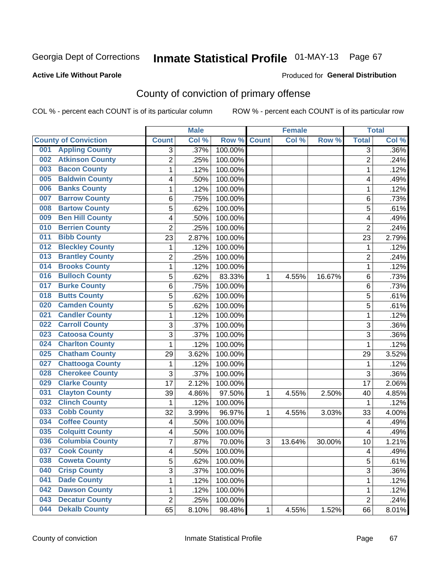### **Active Life Without Parole**

#### Produced for **General Distribution**

# County of conviction of primary offense

|     |                             |                | <b>Male</b> |         |              | <b>Female</b> |        |                | <b>Total</b> |
|-----|-----------------------------|----------------|-------------|---------|--------------|---------------|--------|----------------|--------------|
|     | <b>County of Conviction</b> | <b>Count</b>   | Col %       | Row %   | <b>Count</b> | Col %         | Row %  | <b>Total</b>   | Col %        |
| 001 | <b>Appling County</b>       | 3              | .37%        | 100.00% |              |               |        | 3              | $.36\%$      |
| 002 | <b>Atkinson County</b>      | $\overline{2}$ | .25%        | 100.00% |              |               |        | $\overline{2}$ | .24%         |
| 003 | <b>Bacon County</b>         | $\mathbf 1$    | .12%        | 100.00% |              |               |        | 1              | .12%         |
| 005 | <b>Baldwin County</b>       | 4              | .50%        | 100.00% |              |               |        | 4              | .49%         |
| 006 | <b>Banks County</b>         | 1              | .12%        | 100.00% |              |               |        | 1              | .12%         |
| 007 | <b>Barrow County</b>        | 6              | .75%        | 100.00% |              |               |        | 6              | .73%         |
| 008 | <b>Bartow County</b>        | 5              | .62%        | 100.00% |              |               |        | 5              | .61%         |
| 009 | <b>Ben Hill County</b>      | 4              | .50%        | 100.00% |              |               |        | 4              | .49%         |
| 010 | <b>Berrien County</b>       | $\overline{2}$ | .25%        | 100.00% |              |               |        | $\overline{2}$ | .24%         |
| 011 | <b>Bibb County</b>          | 23             | 2.87%       | 100.00% |              |               |        | 23             | 2.79%        |
| 012 | <b>Bleckley County</b>      | 1              | .12%        | 100.00% |              |               |        | 1              | .12%         |
| 013 | <b>Brantley County</b>      | $\overline{c}$ | .25%        | 100.00% |              |               |        | $\overline{2}$ | .24%         |
| 014 | <b>Brooks County</b>        | 1              | .12%        | 100.00% |              |               |        | $\mathbf{1}$   | .12%         |
| 016 | <b>Bulloch County</b>       | 5              | .62%        | 83.33%  | 1            | 4.55%         | 16.67% | 6              | .73%         |
| 017 | <b>Burke County</b>         | 6              | .75%        | 100.00% |              |               |        | 6              | .73%         |
| 018 | <b>Butts County</b>         | 5              | .62%        | 100.00% |              |               |        | 5              | .61%         |
| 020 | <b>Camden County</b>        | 5              | .62%        | 100.00% |              |               |        | 5              | .61%         |
| 021 | <b>Candler County</b>       | $\mathbf{1}$   | .12%        | 100.00% |              |               |        | $\mathbf{1}$   | .12%         |
| 022 | <b>Carroll County</b>       | 3              | .37%        | 100.00% |              |               |        | 3              | .36%         |
| 023 | <b>Catoosa County</b>       | 3              | .37%        | 100.00% |              |               |        | $\overline{3}$ | .36%         |
| 024 | <b>Charlton County</b>      | $\mathbf 1$    | .12%        | 100.00% |              |               |        | 1              | .12%         |
| 025 | <b>Chatham County</b>       | 29             | 3.62%       | 100.00% |              |               |        | 29             | 3.52%        |
| 027 | <b>Chattooga County</b>     | $\mathbf{1}$   | .12%        | 100.00% |              |               |        | 1              | .12%         |
| 028 | <b>Cherokee County</b>      | 3              | .37%        | 100.00% |              |               |        | 3              | .36%         |
| 029 | <b>Clarke County</b>        | 17             | 2.12%       | 100.00% |              |               |        | 17             | 2.06%        |
| 031 | <b>Clayton County</b>       | 39             | 4.86%       | 97.50%  | 1            | 4.55%         | 2.50%  | 40             | 4.85%        |
| 032 | <b>Clinch County</b>        | $\mathbf 1$    | .12%        | 100.00% |              |               |        | 1              | .12%         |
| 033 | <b>Cobb County</b>          | 32             | 3.99%       | 96.97%  | 1            | 4.55%         | 3.03%  | 33             | 4.00%        |
| 034 | <b>Coffee County</b>        | 4              | .50%        | 100.00% |              |               |        | 4              | .49%         |
| 035 | <b>Colquitt County</b>      | 4              | .50%        | 100.00% |              |               |        | 4              | .49%         |
| 036 | <b>Columbia County</b>      | $\overline{7}$ | .87%        | 70.00%  | 3            | 13.64%        | 30.00% | 10             | 1.21%        |
| 037 | <b>Cook County</b>          | 4              | .50%        | 100.00% |              |               |        | 4              | .49%         |
| 038 | <b>Coweta County</b>        | 5              | .62%        | 100.00% |              |               |        | 5              | .61%         |
| 040 | <b>Crisp County</b>         | 3              | .37%        | 100.00% |              |               |        | 3              | .36%         |
| 041 | <b>Dade County</b>          | $\mathbf 1$    | .12%        | 100.00% |              |               |        | $\mathbf{1}$   | .12%         |
| 042 | <b>Dawson County</b>        | 1              | .12%        | 100.00% |              |               |        | 1              | .12%         |
| 043 | <b>Decatur County</b>       | $\overline{2}$ | .25%        | 100.00% |              |               |        | $\overline{2}$ | .24%         |
| 044 | <b>Dekalb County</b>        | 65             | 8.10%       | 98.48%  | 1            | 4.55%         | 1.52%  | 66             | 8.01%        |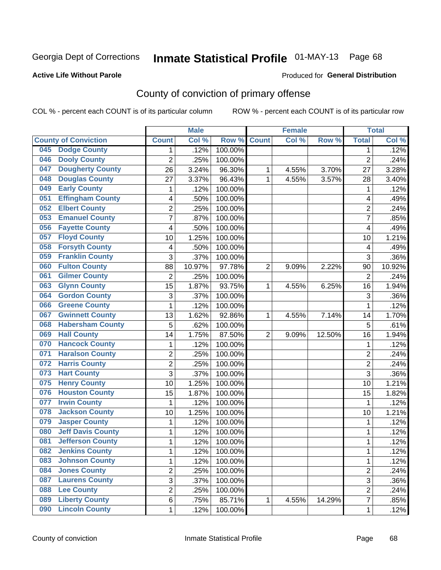#### **Active Life Without Parole**

#### Produced for **General Distribution**

# County of conviction of primary offense

|     |                             |                | <b>Male</b> |         |                | <b>Female</b> |        |                | <b>Total</b> |
|-----|-----------------------------|----------------|-------------|---------|----------------|---------------|--------|----------------|--------------|
|     | <b>County of Conviction</b> | <b>Count</b>   | Col %       | Row %   | <b>Count</b>   | Col %         | Row %  | <b>Total</b>   | Col %        |
| 045 | <b>Dodge County</b>         | 1              | .12%        | 100.00% |                |               |        | 1              | .12%         |
| 046 | <b>Dooly County</b>         | $\overline{2}$ | .25%        | 100.00% |                |               |        | $\overline{2}$ | .24%         |
| 047 | <b>Dougherty County</b>     | 26             | 3.24%       | 96.30%  | 1              | 4.55%         | 3.70%  | 27             | 3.28%        |
| 048 | <b>Douglas County</b>       | 27             | 3.37%       | 96.43%  | 1              | 4.55%         | 3.57%  | 28             | 3.40%        |
| 049 | <b>Early County</b>         | $\mathbf{1}$   | .12%        | 100.00% |                |               |        | $\mathbf{1}$   | .12%         |
| 051 | <b>Effingham County</b>     | 4              | .50%        | 100.00% |                |               |        | 4              | .49%         |
| 052 | <b>Elbert County</b>        | $\overline{c}$ | .25%        | 100.00% |                |               |        | $\overline{2}$ | .24%         |
| 053 | <b>Emanuel County</b>       | $\overline{7}$ | .87%        | 100.00% |                |               |        | $\overline{7}$ | .85%         |
| 056 | <b>Fayette County</b>       | 4              | .50%        | 100.00% |                |               |        | 4              | .49%         |
| 057 | <b>Floyd County</b>         | 10             | 1.25%       | 100.00% |                |               |        | 10             | 1.21%        |
| 058 | <b>Forsyth County</b>       | 4              | .50%        | 100.00% |                |               |        | 4              | .49%         |
| 059 | <b>Franklin County</b>      | 3              | .37%        | 100.00% |                |               |        | $\overline{3}$ | .36%         |
| 060 | <b>Fulton County</b>        | 88             | 10.97%      | 97.78%  | $\overline{2}$ | 9.09%         | 2.22%  | 90             | 10.92%       |
| 061 | <b>Gilmer County</b>        | $\overline{2}$ | .25%        | 100.00% |                |               |        | $\overline{2}$ | .24%         |
| 063 | <b>Glynn County</b>         | 15             | 1.87%       | 93.75%  | 1              | 4.55%         | 6.25%  | 16             | 1.94%        |
| 064 | <b>Gordon County</b>        | 3              | .37%        | 100.00% |                |               |        | 3              | .36%         |
| 066 | <b>Greene County</b>        | 1              | .12%        | 100.00% |                |               |        | $\mathbf{1}$   | .12%         |
| 067 | <b>Gwinnett County</b>      | 13             | 1.62%       | 92.86%  | 1              | 4.55%         | 7.14%  | 14             | 1.70%        |
| 068 | <b>Habersham County</b>     | 5              | .62%        | 100.00% |                |               |        | 5              | .61%         |
| 069 | <b>Hall County</b>          | 14             | 1.75%       | 87.50%  | $\overline{2}$ | 9.09%         | 12.50% | 16             | 1.94%        |
| 070 | <b>Hancock County</b>       | $\mathbf{1}$   | .12%        | 100.00% |                |               |        | $\mathbf{1}$   | .12%         |
| 071 | <b>Haralson County</b>      | $\overline{2}$ | .25%        | 100.00% |                |               |        | $\overline{2}$ | .24%         |
| 072 | <b>Harris County</b>        | $\overline{c}$ | .25%        | 100.00% |                |               |        | $\overline{2}$ | .24%         |
| 073 | <b>Hart County</b>          | 3              | .37%        | 100.00% |                |               |        | $\overline{3}$ | .36%         |
| 075 | <b>Henry County</b>         | 10             | 1.25%       | 100.00% |                |               |        | 10             | 1.21%        |
| 076 | <b>Houston County</b>       | 15             | 1.87%       | 100.00% |                |               |        | 15             | 1.82%        |
| 077 | <b>Irwin County</b>         | $\mathbf 1$    | .12%        | 100.00% |                |               |        | 1              | .12%         |
| 078 | <b>Jackson County</b>       | 10             | 1.25%       | 100.00% |                |               |        | 10             | 1.21%        |
| 079 | <b>Jasper County</b>        | $\mathbf{1}$   | .12%        | 100.00% |                |               |        | $\mathbf{1}$   | .12%         |
| 080 | <b>Jeff Davis County</b>    | $\mathbf{1}$   | .12%        | 100.00% |                |               |        | $\mathbf{1}$   | .12%         |
| 081 | <b>Jefferson County</b>     | $\mathbf{1}$   | .12%        | 100.00% |                |               |        | 1              | .12%         |
| 082 | <b>Jenkins County</b>       | 1              | .12%        | 100.00% |                |               |        | 1              | .12%         |
| 083 | <b>Johnson County</b>       | $\mathbf{1}$   | .12%        | 100.00% |                |               |        | $\mathbf{1}$   | .12%         |
| 084 | <b>Jones County</b>         | $\overline{2}$ | .25%        | 100.00% |                |               |        | $\overline{2}$ | .24%         |
| 087 | <b>Laurens County</b>       | $\overline{3}$ | .37%        | 100.00% |                |               |        | $\overline{3}$ | .36%         |
| 088 | <b>Lee County</b>           | $\overline{2}$ | .25%        | 100.00% |                |               |        | $\overline{2}$ | .24%         |
| 089 | <b>Liberty County</b>       | 6              | .75%        | 85.71%  | $\mathbf{1}$   | 4.55%         | 14.29% | $\overline{7}$ | .85%         |
| 090 | <b>Lincoln County</b>       | 1              | .12%        | 100.00% |                |               |        | $\mathbf 1$    | .12%         |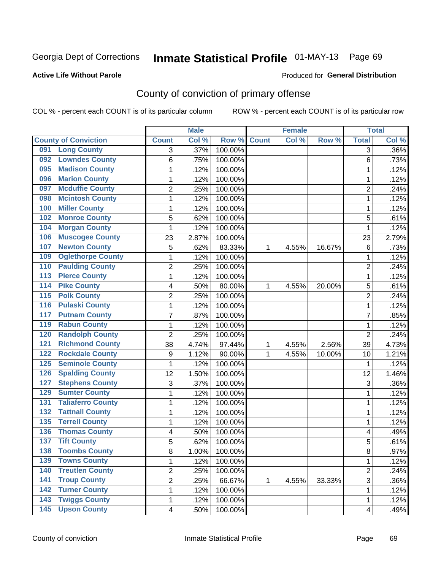#### **Active Life Without Parole**

#### Produced for **General Distribution**

# County of conviction of primary offense

|                                           |                         | <b>Male</b> |         |              | <b>Female</b> |        |                | <b>Total</b> |
|-------------------------------------------|-------------------------|-------------|---------|--------------|---------------|--------|----------------|--------------|
| <b>County of Conviction</b>               | <b>Count</b>            | Col %       | Row %   | <b>Count</b> | Col %         | Row %  | <b>Total</b>   | Col %        |
| <b>Long County</b><br>091                 | 3                       | .37%        | 100.00% |              |               |        | $\overline{3}$ | $.36\%$      |
| <b>Lowndes County</b><br>092              | 6                       | .75%        | 100.00% |              |               |        | 6              | .73%         |
| <b>Madison County</b><br>095              | 1                       | .12%        | 100.00% |              |               |        | 1              | .12%         |
| <b>Marion County</b><br>096               | 1                       | .12%        | 100.00% |              |               |        | 1              | .12%         |
| <b>Mcduffie County</b><br>097             | 2                       | .25%        | 100.00% |              |               |        | $\overline{2}$ | .24%         |
| <b>Mcintosh County</b><br>098             | 1                       | .12%        | 100.00% |              |               |        | $\mathbf{1}$   | .12%         |
| <b>Miller County</b><br>100               | 1                       | .12%        | 100.00% |              |               |        | 1              | .12%         |
| <b>Monroe County</b><br>102               | 5                       | .62%        | 100.00% |              |               |        | 5              | .61%         |
| <b>Morgan County</b><br>104               | 1                       | .12%        | 100.00% |              |               |        | $\mathbf{1}$   | .12%         |
| <b>Muscogee County</b><br>106             | 23                      | 2.87%       | 100.00% |              |               |        | 23             | 2.79%        |
| <b>Newton County</b><br>107               | 5                       | .62%        | 83.33%  | 1            | 4.55%         | 16.67% | $\,6$          | .73%         |
| <b>Oglethorpe County</b><br>109           | 1                       | .12%        | 100.00% |              |               |        | 1              | .12%         |
| <b>Paulding County</b><br>110             | 2                       | .25%        | 100.00% |              |               |        | $\overline{2}$ | .24%         |
| <b>Pierce County</b><br>113               | 1                       | .12%        | 100.00% |              |               |        | $\mathbf{1}$   | .12%         |
| <b>Pike County</b><br>$\overline{114}$    | 4                       | .50%        | 80.00%  | 1            | 4.55%         | 20.00% | 5              | .61%         |
| <b>Polk County</b><br>$\overline{115}$    | $\overline{2}$          | .25%        | 100.00% |              |               |        | $\overline{2}$ | .24%         |
| <b>Pulaski County</b><br>$\overline{116}$ | 1                       | .12%        | 100.00% |              |               |        | 1              | .12%         |
| <b>Putnam County</b><br>117               | 7                       | .87%        | 100.00% |              |               |        | 7              | .85%         |
| <b>Rabun County</b><br>119                | 1                       | .12%        | 100.00% |              |               |        | $\mathbf{1}$   | .12%         |
| <b>Randolph County</b><br>120             | $\overline{2}$          | .25%        | 100.00% |              |               |        | $\overline{2}$ | .24%         |
| <b>Richmond County</b><br>121             | 38                      | 4.74%       | 97.44%  | 1            | 4.55%         | 2.56%  | 39             | 4.73%        |
| <b>Rockdale County</b><br>122             | $\boldsymbol{9}$        | 1.12%       | 90.00%  | 1            | 4.55%         | 10.00% | 10             | 1.21%        |
| <b>Seminole County</b><br>125             | 1                       | .12%        | 100.00% |              |               |        | $\mathbf{1}$   | .12%         |
| <b>Spalding County</b><br>126             | 12                      | 1.50%       | 100.00% |              |               |        | 12             | 1.46%        |
| <b>Stephens County</b><br>127             | 3                       | .37%        | 100.00% |              |               |        | 3              | .36%         |
| <b>Sumter County</b><br>129               | 1                       | .12%        | 100.00% |              |               |        | $\mathbf{1}$   | .12%         |
| <b>Taliaferro County</b><br>131           | 1                       | .12%        | 100.00% |              |               |        | $\mathbf{1}$   | .12%         |
| <b>Tattnall County</b><br>132             | 1                       | .12%        | 100.00% |              |               |        | 1              | .12%         |
| <b>Terrell County</b><br>135              | 1                       | .12%        | 100.00% |              |               |        | $\mathbf{1}$   | .12%         |
| <b>Thomas County</b><br>136               | 4                       | .50%        | 100.00% |              |               |        | 4              | .49%         |
| $\overline{137}$<br><b>Tift County</b>    | 5                       | .62%        | 100.00% |              |               |        | 5              | .61%         |
| 138<br><b>Toombs County</b>               | 8                       | 1.00%       | 100.00% |              |               |        | 8              | .97%         |
| <b>Towns County</b><br>139                | 1                       | .12%        | 100.00% |              |               |        | $\mathbf{1}$   | .12%         |
| <b>Treutlen County</b><br>140             | $\overline{2}$          | .25%        | 100.00% |              |               |        | $\overline{2}$ | .24%         |
| <b>Troup County</b><br>141                | $\overline{2}$          | .25%        | 66.67%  | 1            | 4.55%         | 33.33% | 3              | .36%         |
| <b>Turner County</b><br>142               | 1                       | .12%        | 100.00% |              |               |        | 1              | .12%         |
| <b>Twiggs County</b><br>143               | 1                       | .12%        | 100.00% |              |               |        | 1              | .12%         |
| <b>Upson County</b><br>145                | $\overline{\mathbf{4}}$ | .50%        | 100.00% |              |               |        | 4              | .49%         |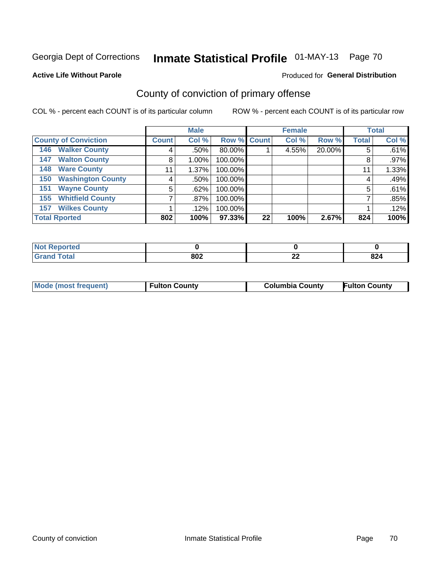#### **Active Life Without Parole**

## Produced for **General Distribution**

# County of conviction of primary offense

|                                 | <b>Male</b>  |          |           | <b>Female</b> |       |        | <b>Total</b> |       |
|---------------------------------|--------------|----------|-----------|---------------|-------|--------|--------------|-------|
| <b>County of Conviction</b>     | <b>Count</b> | Col %    |           | Row % Count   | Col % | Row %  | <b>Total</b> | Col % |
| <b>146 Walker County</b>        | 4            | $.50\%$  | $80.00\%$ |               | 4.55% | 20.00% | 5            | .61%  |
| <b>Walton County</b><br>147     | 8            | $1.00\%$ | 100.00%   |               |       |        | 8            | .97%  |
| <b>Ware County</b><br>148       | 11           | 1.37%    | 100.00%   |               |       |        | 11           | 1.33% |
| <b>Washington County</b><br>150 | 4            | $.50\%$  | 100.00%   |               |       |        | 4            | .49%  |
| <b>Wayne County</b><br>151      | 5            | .62%     | 100.00%   |               |       |        | 5            | .61%  |
| <b>Whitfield County</b><br>155  |              | $.87\%$  | 100.00%   |               |       |        |              | .85%  |
| <b>Wilkes County</b><br>157     |              | .12%     | 100.00%   |               |       |        |              | .12%  |
| <b>Total Rported</b>            | 802          | 100%     | 97.33%    | 22            | 100%  | 2.67%  | 824          | 100%  |

| Reported<br><b>NOT</b><br>$\sim$ |     |              |           |
|----------------------------------|-----|--------------|-----------|
| <b>Total</b>                     | 802 | $\sim$<br>-- | nn<br>824 |

| Mode (most frequent) | <b>Fulton County</b> | <b>Columbia County</b> | <b>Fulton County</b> |
|----------------------|----------------------|------------------------|----------------------|
|                      |                      |                        |                      |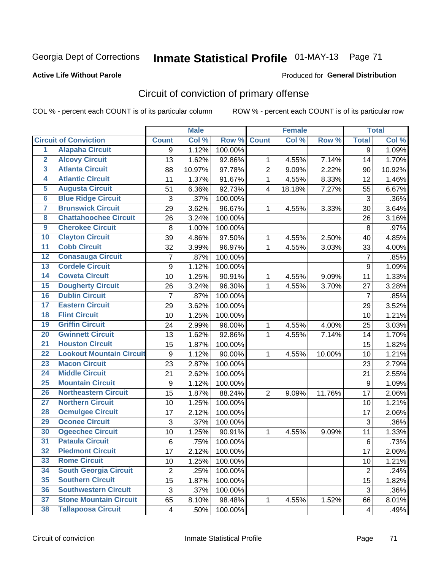### **Active Life Without Parole**

#### Produced for **General Distribution**

# Circuit of conviction of primary offense

|                         |                                 |                           | <b>Male</b> |                  |                         | <b>Female</b> |        |                | <b>Total</b> |
|-------------------------|---------------------------------|---------------------------|-------------|------------------|-------------------------|---------------|--------|----------------|--------------|
|                         | <b>Circuit of Conviction</b>    | <b>Count</b>              | Col %       | Row <sup>%</sup> | <b>Count</b>            | Col %         | Row %  | <b>Total</b>   | Col %        |
| 1                       | <b>Alapaha Circuit</b>          | 9                         | 1.12%       | 100.00%          |                         |               |        | $\overline{9}$ | 1.09%        |
| $\overline{2}$          | <b>Alcovy Circuit</b>           | 13                        | 1.62%       | 92.86%           | 1                       | 4.55%         | 7.14%  | 14             | 1.70%        |
| $\overline{\mathbf{3}}$ | <b>Atlanta Circuit</b>          | 88                        | 10.97%      | 97.78%           | $\overline{2}$          | 9.09%         | 2.22%  | 90             | 10.92%       |
| 4                       | <b>Atlantic Circuit</b>         | 11                        | 1.37%       | 91.67%           | $\mathbf{1}$            | 4.55%         | 8.33%  | 12             | 1.46%        |
| $\overline{5}$          | <b>Augusta Circuit</b>          | 51                        | 6.36%       | 92.73%           | $\overline{\mathbf{4}}$ | 18.18%        | 7.27%  | 55             | 6.67%        |
| $6\overline{6}$         | <b>Blue Ridge Circuit</b>       | $\ensuremath{\mathsf{3}}$ | .37%        | 100.00%          |                         |               |        | 3              | .36%         |
| 7                       | <b>Brunswick Circuit</b>        | 29                        | 3.62%       | 96.67%           | 1                       | 4.55%         | 3.33%  | 30             | 3.64%        |
| 8                       | <b>Chattahoochee Circuit</b>    | 26                        | 3.24%       | 100.00%          |                         |               |        | 26             | 3.16%        |
| $\overline{9}$          | <b>Cherokee Circuit</b>         | 8                         | 1.00%       | 100.00%          |                         |               |        | 8              | .97%         |
| 10                      | <b>Clayton Circuit</b>          | 39                        | 4.86%       | 97.50%           | 1                       | 4.55%         | 2.50%  | 40             | 4.85%        |
| $\overline{11}$         | <b>Cobb Circuit</b>             | 32                        | 3.99%       | 96.97%           | $\mathbf{1}$            | 4.55%         | 3.03%  | 33             | 4.00%        |
| 12                      | <b>Conasauga Circuit</b>        | 7                         | .87%        | 100.00%          |                         |               |        | $\overline{7}$ | .85%         |
| $\overline{13}$         | <b>Cordele Circuit</b>          | 9                         | 1.12%       | 100.00%          |                         |               |        | 9              | 1.09%        |
| $\overline{14}$         | <b>Coweta Circuit</b>           | 10                        | 1.25%       | 90.91%           | $\mathbf{1}$            | 4.55%         | 9.09%  | 11             | 1.33%        |
| $\overline{15}$         | <b>Dougherty Circuit</b>        | 26                        | 3.24%       | 96.30%           | $\mathbf{1}$            | 4.55%         | 3.70%  | 27             | 3.28%        |
| 16                      | <b>Dublin Circuit</b>           | $\overline{7}$            | .87%        | 100.00%          |                         |               |        | $\overline{7}$ | .85%         |
| $\overline{17}$         | <b>Eastern Circuit</b>          | 29                        | 3.62%       | 100.00%          |                         |               |        | 29             | 3.52%        |
| 18                      | <b>Flint Circuit</b>            | 10                        | 1.25%       | 100.00%          |                         |               |        | 10             | 1.21%        |
| 19                      | <b>Griffin Circuit</b>          | 24                        | 2.99%       | 96.00%           | 1                       | 4.55%         | 4.00%  | 25             | 3.03%        |
| 20                      | <b>Gwinnett Circuit</b>         | 13                        | 1.62%       | 92.86%           | 1                       | 4.55%         | 7.14%  | 14             | 1.70%        |
| $\overline{21}$         | <b>Houston Circuit</b>          | 15                        | 1.87%       | 100.00%          |                         |               |        | 15             | 1.82%        |
| $\overline{22}$         | <b>Lookout Mountain Circuit</b> | $\boldsymbol{9}$          | 1.12%       | 90.00%           | $\mathbf{1}$            | 4.55%         | 10.00% | 10             | 1.21%        |
| 23                      | <b>Macon Circuit</b>            | 23                        | 2.87%       | 100.00%          |                         |               |        | 23             | 2.79%        |
| $\overline{24}$         | <b>Middle Circuit</b>           | 21                        | 2.62%       | 100.00%          |                         |               |        | 21             | 2.55%        |
| $\overline{25}$         | <b>Mountain Circuit</b>         | 9                         | 1.12%       | 100.00%          |                         |               |        | 9              | 1.09%        |
| 26                      | <b>Northeastern Circuit</b>     | 15                        | 1.87%       | 88.24%           | $\overline{2}$          | 9.09%         | 11.76% | 17             | 2.06%        |
| $\overline{27}$         | <b>Northern Circuit</b>         | 10                        | 1.25%       | 100.00%          |                         |               |        | 10             | 1.21%        |
| 28                      | <b>Ocmulgee Circuit</b>         | 17                        | 2.12%       | 100.00%          |                         |               |        | 17             | 2.06%        |
| 29                      | <b>Oconee Circuit</b>           | 3                         | .37%        | 100.00%          |                         |               |        | 3              | .36%         |
| 30                      | <b>Ogeechee Circuit</b>         | 10                        | 1.25%       | 90.91%           | 1                       | 4.55%         | 9.09%  | 11             | 1.33%        |
| $\overline{31}$         | <b>Pataula Circuit</b>          | 6                         | .75%        | 100.00%          |                         |               |        | 6              | .73%         |
| 32                      | <b>Piedmont Circuit</b>         | 17                        | 2.12%       | 100.00%          |                         |               |        | 17             | 2.06%        |
| 33                      | <b>Rome Circuit</b>             | 10                        | 1.25%       | 100.00%          |                         |               |        | 10             | 1.21%        |
| 34                      | <b>South Georgia Circuit</b>    | $\overline{2}$            | .25%        | 100.00%          |                         |               |        | $\overline{2}$ | .24%         |
| 35                      | <b>Southern Circuit</b>         | 15                        | 1.87%       | 100.00%          |                         |               |        | 15             | 1.82%        |
| 36                      | <b>Southwestern Circuit</b>     | $\sqrt{3}$                | .37%        | 100.00%          |                         |               |        | 3              | .36%         |
| 37                      | <b>Stone Mountain Circuit</b>   | 65                        | 8.10%       | 98.48%           | 1                       | 4.55%         | 1.52%  | 66             | 8.01%        |
| 38                      | <b>Tallapoosa Circuit</b>       | 4                         | .50%        | 100.00%          |                         |               |        | $\overline{4}$ | .49%         |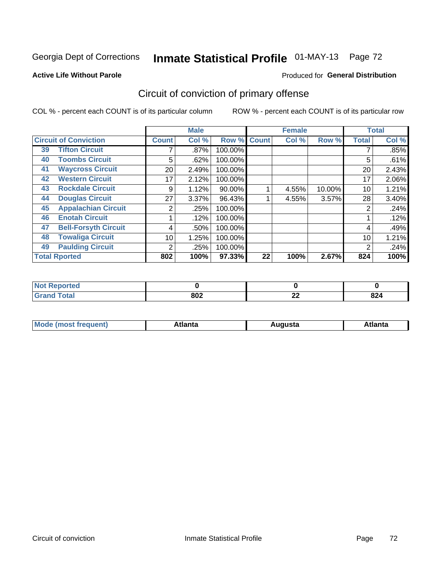#### **Active Life Without Parole**

# Produced for **General Distribution**

# Circuit of conviction of primary offense

|    |                              |              | <b>Male</b> |         |              | <b>Female</b> |        |              | <b>Total</b> |
|----|------------------------------|--------------|-------------|---------|--------------|---------------|--------|--------------|--------------|
|    | <b>Circuit of Conviction</b> | <b>Count</b> | Col %       | Row %   | <b>Count</b> | Col %         | Row %  | <b>Total</b> | Col %        |
| 39 | <b>Tifton Circuit</b>        |              | $.87\%$     | 100.00% |              |               |        |              | .85%         |
| 40 | <b>Toombs Circuit</b>        | 5            | .62%        | 100.00% |              |               |        | 5            | .61%         |
| 41 | <b>Waycross Circuit</b>      | 20           | 2.49%       | 100.00% |              |               |        | 20           | 2.43%        |
| 42 | <b>Western Circuit</b>       | 17           | 2.12%       | 100.00% |              |               |        | 17           | 2.06%        |
| 43 | <b>Rockdale Circuit</b>      | 9            | 1.12%       | 90.00%  |              | 4.55%         | 10.00% | 10           | 1.21%        |
| 44 | <b>Douglas Circuit</b>       | 27           | 3.37%       | 96.43%  |              | 4.55%         | 3.57%  | 28           | 3.40%        |
| 45 | <b>Appalachian Circuit</b>   | 2            | .25%        | 100.00% |              |               |        | 2            | .24%         |
| 46 | <b>Enotah Circuit</b>        |              | .12%        | 100.00% |              |               |        |              | .12%         |
| 47 | <b>Bell-Forsyth Circuit</b>  | 4            | .50%        | 100.00% |              |               |        | 4            | .49%         |
| 48 | <b>Towaliga Circuit</b>      | 10           | 1.25%       | 100.00% |              |               |        | 10           | 1.21%        |
| 49 | <b>Paulding Circuit</b>      | 2            | .25%        | 100.00% |              |               |        | 2            | .24%         |
|    | <b>Total Rported</b>         | 802          | 100%        | 97.33%  | 22           | 100%          | 2.67%  | 824          | 100%         |

| <b>orted</b><br><b>Not</b><br>וסר |     |          |     |
|-----------------------------------|-----|----------|-----|
| <b>otal</b><br>---                | 802 | 00<br>▵▴ | 824 |

| М<br>. In n tr<br>.<br>.<br>wanta<br>Πū<br>31.<br>$\sim$ $\sim$ $\sim$ |
|------------------------------------------------------------------------|
|------------------------------------------------------------------------|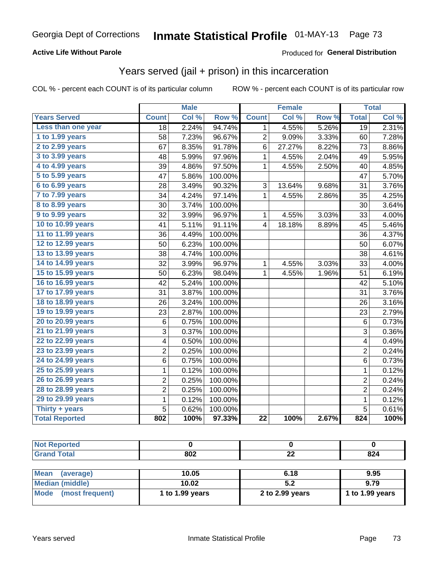#### **Active Life Without Parole**

#### Produced for **General Distribution**

### Years served (jail + prison) in this incarceration

|                        |                | <b>Male</b> |                  |                         | <b>Female</b> |       |                 | <b>Total</b> |
|------------------------|----------------|-------------|------------------|-------------------------|---------------|-------|-----------------|--------------|
| <b>Years Served</b>    | <b>Count</b>   | Col %       | Row <sup>%</sup> | <b>Count</b>            | Col %         | Row % | <b>Total</b>    | Col %        |
| Less than one year     | 18             | 2.24%       | 94.74%           | 1                       | 4.55%         | 5.26% | $\overline{19}$ | 2.31%        |
| 1 to 1.99 years        | 58             | 7.23%       | 96.67%           | $\overline{2}$          | 9.09%         | 3.33% | 60              | 7.28%        |
| 2 to 2.99 years        | 67             | 8.35%       | 91.78%           | 6                       | 27.27%        | 8.22% | 73              | 8.86%        |
| 3 to 3.99 years        | 48             | 5.99%       | 97.96%           | 1                       | 4.55%         | 2.04% | 49              | 5.95%        |
| 4 to 4.99 years        | 39             | 4.86%       | 97.50%           | $\mathbf{1}$            | 4.55%         | 2.50% | 40              | 4.85%        |
| 5 to 5.99 years        | 47             | 5.86%       | 100.00%          |                         |               |       | 47              | 5.70%        |
| 6 to 6.99 years        | 28             | 3.49%       | 90.32%           | 3                       | 13.64%        | 9.68% | 31              | 3.76%        |
| 7 to 7.99 years        | 34             | 4.24%       | 97.14%           | 1                       | 4.55%         | 2.86% | 35              | 4.25%        |
| <b>8 to 8.99 years</b> | 30             | 3.74%       | 100.00%          |                         |               |       | 30              | 3.64%        |
| 9 to 9.99 years        | 32             | 3.99%       | 96.97%           | $\mathbf{1}$            | 4.55%         | 3.03% | 33              | 4.00%        |
| 10 to 10.99 years      | 41             | 5.11%       | 91.11%           | $\overline{\mathbf{4}}$ | 18.18%        | 8.89% | 45              | 5.46%        |
| 11 to 11.99 years      | 36             | 4.49%       | 100.00%          |                         |               |       | 36              | 4.37%        |
| 12 to 12.99 years      | 50             | 6.23%       | 100.00%          |                         |               |       | 50              | 6.07%        |
| 13 to 13.99 years      | 38             | 4.74%       | 100.00%          |                         |               |       | 38              | 4.61%        |
| 14 to 14.99 years      | 32             | 3.99%       | 96.97%           | $\mathbf 1$             | 4.55%         | 3.03% | 33              | 4.00%        |
| 15 to 15.99 years      | 50             | 6.23%       | 98.04%           | 1                       | 4.55%         | 1.96% | 51              | 6.19%        |
| 16 to 16.99 years      | 42             | 5.24%       | 100.00%          |                         |               |       | 42              | 5.10%        |
| 17 to 17.99 years      | 31             | 3.87%       | 100.00%          |                         |               |       | 31              | 3.76%        |
| 18 to 18.99 years      | 26             | 3.24%       | 100.00%          |                         |               |       | 26              | 3.16%        |
| 19 to 19.99 years      | 23             | 2.87%       | 100.00%          |                         |               |       | 23              | 2.79%        |
| 20 to 20.99 years      | 6              | 0.75%       | 100.00%          |                         |               |       | 6               | 0.73%        |
| 21 to 21.99 years      | 3              | 0.37%       | 100.00%          |                         |               |       | 3               | 0.36%        |
| 22 to 22.99 years      | 4              | 0.50%       | 100.00%          |                         |               |       | 4               | 0.49%        |
| 23 to 23.99 years      | $\overline{2}$ | 0.25%       | 100.00%          |                         |               |       | $\overline{2}$  | 0.24%        |
| 24 to 24.99 years      | 6              | 0.75%       | 100.00%          |                         |               |       | 6               | 0.73%        |
| 25 to 25.99 years      | $\mathbf 1$    | 0.12%       | 100.00%          |                         |               |       | $\mathbf{1}$    | 0.12%        |
| 26 to 26.99 years      | $\overline{c}$ | 0.25%       | 100.00%          |                         |               |       | $\overline{2}$  | 0.24%        |
| 28 to 28.99 years      | $\overline{c}$ | 0.25%       | 100.00%          |                         |               |       | $\overline{2}$  | 0.24%        |
| 29 to 29.99 years      | $\mathbf 1$    | 0.12%       | 100.00%          |                         |               |       | $\mathbf{1}$    | 0.12%        |
| Thirty + years         | 5              | 0.62%       | 100.00%          |                         |               |       | $\overline{5}$  | 0.61%        |
| <b>Total Reported</b>  | 802            | 100%        | 97.33%           | $\overline{22}$         | 100%          | 2.67% | 824             | 100%         |

| <b>Not Reported</b>     |                 |                 |                 |
|-------------------------|-----------------|-----------------|-----------------|
| <b>Grand Total</b>      | 802             | 22              | 824             |
|                         |                 |                 |                 |
| Mean<br>(average)       | 10.05           | 6.18            | 9.95            |
| <b>Median (middle)</b>  | 10.02           | 5.2             | 9.79            |
| Mode<br>(most frequent) | 1 to 1.99 years | 2 to 2.99 years | 1 to 1.99 years |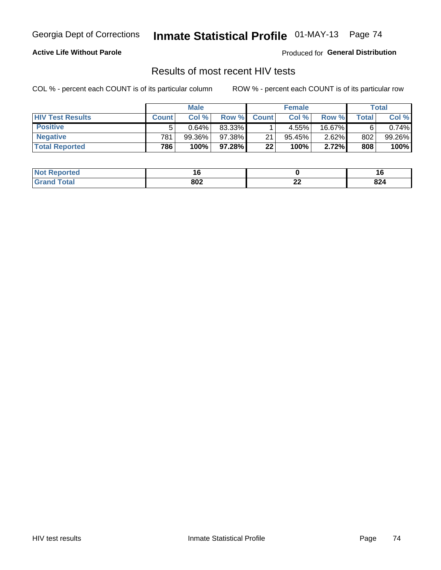#### **Active Life Without Parole**

Produced for **General Distribution**

### Results of most recent HIV tests

|                         | <b>Male</b>  |        |          | <b>Female</b> |           |          | Total        |           |
|-------------------------|--------------|--------|----------|---------------|-----------|----------|--------------|-----------|
| <b>HIV Test Results</b> | <b>Count</b> | Col%   | Row %I   | <b>Count</b>  | Col%      | Row %    | <b>Total</b> | Col %     |
| <b>Positive</b>         | 5            | 0.64%  | 83.33%   |               | 4.55%     | 16.67%   |              | $0.74\%$  |
| <b>Negative</b>         | 781          | 99.36% | 97.38%   | 21            | $95.45\%$ | $2.62\%$ | 802          | $99.26\%$ |
| <b>Total Reported</b>   | 786          | 100%   | 97.28% 1 | 22            | 100%      | 2.72%    | 808          | 100%      |

| <b>Not Reported</b> | . u |          | . .               |
|---------------------|-----|----------|-------------------|
| <b>cotal</b>        | 802 | ~~<br>-- | 00.<br><b>044</b> |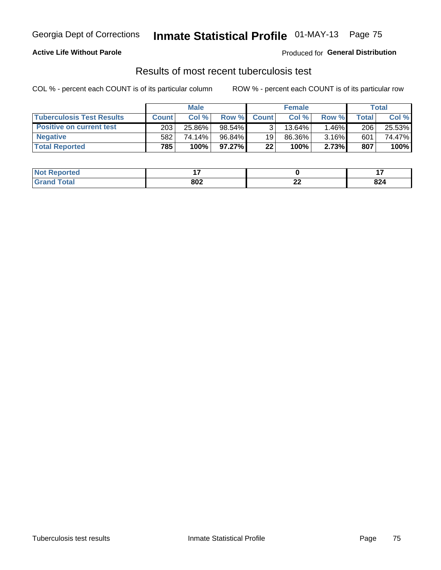#### **Active Life Without Parole**

Produced for **General Distribution**

### Results of most recent tuberculosis test

|                                  | <b>Male</b>  |        |           | <b>Female</b> |         |                         | Total        |        |
|----------------------------------|--------------|--------|-----------|---------------|---------|-------------------------|--------------|--------|
| <b>Tuberculosis Test Results</b> | <b>Count</b> | Col%   | Row %I    | <b>Count</b>  | Col%    | Row %                   | <b>Total</b> | Col %  |
| <b>Positive on current test</b>  | 203          | 25.86% | 98.54%    |               | 13.64%」 | $1.46\%$ $\blacksquare$ | 206          | 25.53% |
| <b>Negative</b>                  | 582          | 74.14% | 96.84%    | 19            | 86.36%  | 3.16%                   | 601          | 74.47% |
| <b>Total Reported</b>            | 785          | 100%   | $97.27\%$ | 22            | 100%    | 2.73%                   | 807          | 100%   |

| <b>Not Reported</b> | . .<br>. . |          | $\cdot$ $\cdot$ |
|---------------------|------------|----------|-----------------|
| <b>Fotal</b><br>.C. | 802        | ~~<br>-- | nn.<br>824      |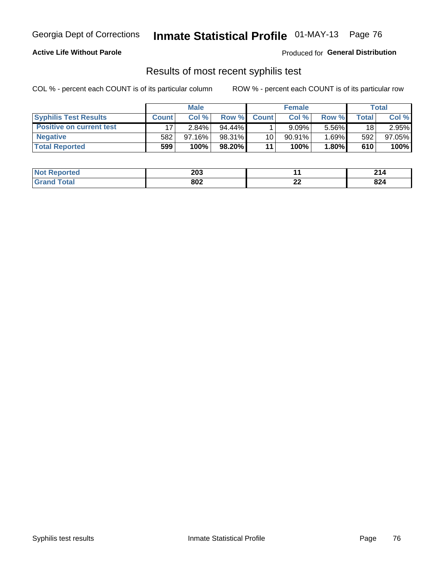#### **Active Life Without Parole**

Produced for **General Distribution**

### Results of most recent syphilis test

|                                 | <b>Male</b>  |           |           | <b>Female</b> |           |          | Total        |        |
|---------------------------------|--------------|-----------|-----------|---------------|-----------|----------|--------------|--------|
| <b>Syphilis Test Results</b>    | <b>Count</b> | Col%      | Row %I    | <b>Count</b>  | Col %     | Row %    | <b>Total</b> | Col %  |
| <b>Positive on current test</b> |              | $2.84\%$  | $94.44\%$ |               | 9.09%     | 5.56%    | 18           | 2.95%  |
| <b>Negative</b>                 | 582          | $97.16\%$ | 98.31%    | 10            | $90.91\%$ | $1.69\%$ | 592          | 97.05% |
| <b>Total Reported</b>           | 599          | 100%      | 98.20%    | 11            | 100%      | 1.80%    | 610          | 100%   |

| <b>Not Reported</b> | 203 |          | ົດ4.1<br>4 I 4 |
|---------------------|-----|----------|----------------|
| <b>Total</b>        | 802 | ^^<br>▴▴ | 024<br>044     |